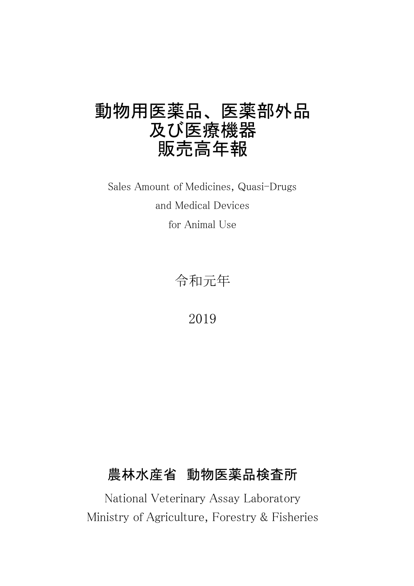# 動物用医薬品、 医薬部外品 及び医療機器 販売高年報

for Animal Use Sales Amount of Medicines, Quasi-Drugs and Medical Devices

令和元年

2019

# 農林水産省 動物医薬品検査所

National Veterinary Assay Laboratory Ministry of Agriculture, Forestry & Fisheries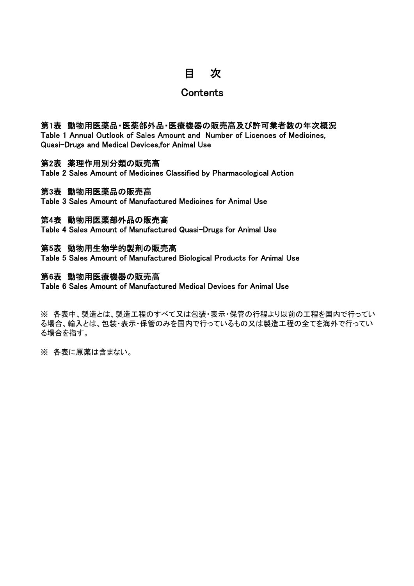# 目 次

## **Contents**

## 第1表 動物用医薬品・医薬部外品・医療機器の販売高及び許可業者数の年次概況

Table 1 Annual Outlook of Sales Amount and Number of Licences of Medicines, Quasi-Drugs and Medical Devices,for Animal Use

## 第2表 薬理作用別分類の販売高

Table 2 Sales Amount of Medicines Classified by Pharmacological Action

## 第3表 動物用医薬品の販売高

Table 3 Sales Amount of Manufactured Medicines for Animal Use

## 第4表 動物用医薬部外品の販売高

Table 4 Sales Amount of Manufactured Quasi-Drugs for Animal Use

## 第5表 動物用生物学的製剤の販売高

Table 5 Sales Amount of Manufactured Biological Products for Animal Use

## 第6表 動物用医療機器の販売高

Table 6 Sales Amount of Manufactured Medical Devices for Animal Use

※ 各表中、製造とは、製造工程のすべて又は包装・表示・保管の行程より以前の工程を国内で行ってい る場合、輸入とは、包装・表示・保管のみを国内で行っているもの又は製造工程の全てを海外で行ってい る場合を指す。

※ 各表に原薬は含まない。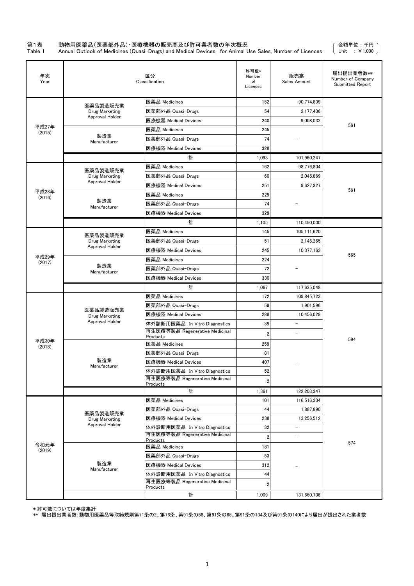## 第1表 動物用医薬品(医薬部外品) •医療機器の販売高及び許可業者数の年次概況<br>Table 1 Annual Outlook of Medicines (Quasi-Drugs) and Medical Devices, for Animal L

Table 1 Annual Outlook of Medicines (Quasi-Drugs) and Medical Devices, for Animal Use Sales, Number of Licences

金額単位 : 千円 Unit : ¥1,000

| 年次<br>Year      |                                         | 区分<br>Classification                       | 許可数*<br>Number<br>of<br>Licences | 販売高<br>Sales Amount      | 届出提出業者数**<br>Number of Company<br>Submitted Report |
|-----------------|-----------------------------------------|--------------------------------------------|----------------------------------|--------------------------|----------------------------------------------------|
|                 |                                         | 医薬品 Medicines                              | 152                              | 90,774,809               |                                                    |
|                 | 医薬品製造販売業<br>Drug Marketing              | 医薬部外品 Quasi-Drugs                          | 54                               | 2.177.406                |                                                    |
|                 | Approval Holder                         | 医療機器 Medical Devices                       | 240                              | 9,008,032                |                                                    |
| 平成27年<br>(2015) |                                         | 医薬品 Medicines                              | 245                              |                          | 561                                                |
|                 | 製造業                                     | 医薬部外品 Quasi-Drugs                          | 74                               |                          |                                                    |
|                 | Manufacturer                            | 医療機器 Medical Devices                       | 328                              |                          |                                                    |
|                 |                                         | 計                                          | 1,093                            | 101,960,247              |                                                    |
|                 |                                         | 医薬品 Medicines                              | 162                              | 98,776,804               |                                                    |
|                 | 医薬品製造販売業<br>Drug Marketing              | 医薬部外品 Quasi-Drugs                          | 60                               | 2,045,869                |                                                    |
|                 | Approval Holder                         | 医療機器 Medical Devices                       | 251                              | 9,627,327                |                                                    |
| 平成28年<br>(2016) |                                         | 医薬品 Medicines                              | 229                              |                          | 561                                                |
|                 | 製造業<br>Manufacturer                     | 医薬部外品 Quasi-Drugs                          | 74                               |                          |                                                    |
|                 |                                         | 医療機器 Medical Devices                       | 329                              |                          |                                                    |
|                 |                                         | 計                                          | 1,105                            | 110.450.000              |                                                    |
|                 |                                         | 医薬品 Medicines                              | 145                              | 105,111,620              |                                                    |
|                 | 医薬品製造販売業<br>Drug Marketing              | 医薬部外品 Quasi-Drugs                          | 51                               | 2,146,265                |                                                    |
|                 | Approval Holder<br>医療機器 Medical Devices |                                            | 245                              | 10,377,163               |                                                    |
| 平成29年<br>(2017) |                                         | 医薬品 Medicines                              | 224                              |                          | 565                                                |
|                 | 製造業<br>Manufacturer                     | 医薬部外品 Quasi-Drugs                          | 72                               |                          |                                                    |
|                 |                                         | 医療機器 Medical Devices                       | 330                              |                          |                                                    |
|                 |                                         | 計                                          | 1,067                            | 117,635,048              |                                                    |
|                 |                                         | 医薬品 Medicines                              | 172                              | 109,845,723              |                                                    |
|                 |                                         | 医薬部外品 Quasi-Drugs                          | 59                               | 1,901,596                |                                                    |
|                 | 医薬品製造販売業<br>Drug Marketing              | 医療機器 Medical Devices                       | 288                              | 10,456,028               |                                                    |
|                 | Approval Holder                         | 体外診断用医薬品 In Vitro Diagnostics              | 39                               | $\overline{\phantom{a}}$ |                                                    |
|                 |                                         | 再生医療等製品 Regenerative Medicinal<br>Products | $\overline{2}$                   | $\overline{\phantom{a}}$ |                                                    |
| 平成30年<br>(2018) |                                         | 医薬品 Medicines                              | 259                              |                          | 594                                                |
|                 |                                         | 医薬部外品 Quasi-Drugs                          | 81                               |                          |                                                    |
|                 | 製造業                                     | 医療機器 Medical Devices                       | 407                              |                          |                                                    |
|                 | Manufacturer                            | 体外診断用医薬品 In Vitro Diagnostics              | 52                               |                          |                                                    |
|                 |                                         | 再生医療等製品 Regenerative Medicinal<br>Products | $\overline{2}$                   |                          |                                                    |
|                 |                                         | 計                                          | 1,361                            | 122,203,347              |                                                    |
|                 |                                         | 医薬品 Medicines                              | 101                              | 116,516,304              |                                                    |
|                 |                                         | 医薬部外品 Quasi-Drugs                          | 44                               | 1,887,890                |                                                    |
|                 | 医薬品製造販売業<br>Drug Marketing              | 医療機器 Medical Devices                       | 238                              | 13,256,512               |                                                    |
|                 | Approval Holder                         | 体外診断用医薬品 In Vitro Diagnostics              | 32                               | $\overline{a}$           |                                                    |
|                 |                                         | 再生医療等製品 Regenerative Medicinal             | $\overline{2}$                   | $\qquad \qquad -$        |                                                    |
| 令和元年            |                                         | <b>Products</b><br>医薬品 Medicines           | 181                              |                          | 574                                                |
| (2019)          |                                         | 医薬部外品 Quasi-Drugs                          | 53                               |                          |                                                    |
|                 | 製造業                                     | 医療機器 Medical Devices                       | 312                              |                          |                                                    |
|                 | Manufacturer                            | 体外診断用医薬品 In Vitro Diagnostics              | 44                               |                          |                                                    |
|                 |                                         | 再生医療等製品 Regenerative Medicinal             | $\overline{2}$                   |                          |                                                    |
|                 |                                         | Products<br>計                              | 1,009                            | 131,660,706              |                                                    |

\* 許可数については年度集計

\*\* 届出提出業者数:動物用医薬品等取締規則第71条の2、第76条、第91条の58、第91条の65、第91条の134及び第91条の140により届出が提出された業者数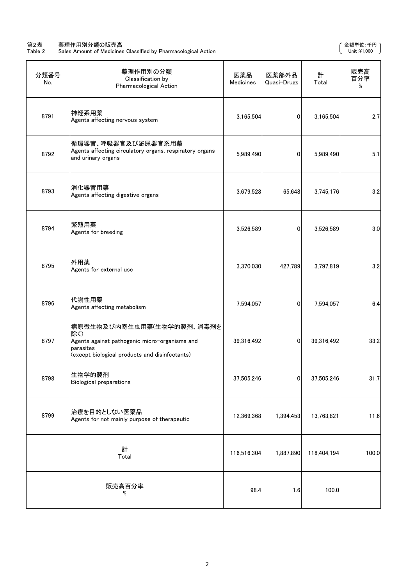#### 第2表 薬理作用別分類の販売高 さんじょう しょうしょう かんしょう かんしゅう かんしゅう かんしゅう かんきょう すいのい てんきゅう すいのえん

Table 2 Sales Amount of Medicines Classified by Pharmacological Action Unit:¥1,000

| 分類番号<br>No. | 薬理作用別の分類<br>Classification by<br>Pharmacological Action                                                                                          | 医薬品<br>Medicines | 医薬部外品<br>Quasi-Drugs | 計<br>Total  | 販売高<br>百分率<br>% |
|-------------|--------------------------------------------------------------------------------------------------------------------------------------------------|------------------|----------------------|-------------|-----------------|
| 8791        | 神経系用薬<br>Agents affecting nervous system                                                                                                         | 3,165,504        | $\overline{0}$       | 3,165,504   | 2.7             |
| 8792        | 循環器官、呼吸器官及び泌尿器官系用薬<br>Agents affecting circulatory organs, respiratory organs<br>and urinary organs                                              | 5,989,490        | $\overline{0}$       | 5,989,490   | 5.1             |
| 8793        | 消化器官用薬<br>Agents affecting digestive organs                                                                                                      | 3,679,528        | 65,648               | 3,745,176   | 3.2             |
| 8794        | 繁殖用薬<br>Agents for breeding                                                                                                                      | 3,526,589        | $\overline{0}$       | 3,526,589   | 3.0             |
| 8795        | 外用薬<br>Agents for external use                                                                                                                   | 3,370,030        | 427,789              | 3,797,819   | 3.2             |
| 8796        | 代謝性用薬<br>Agents affecting metabolism                                                                                                             | 7,594,057        | $\overline{0}$       | 7,594,057   | 6.4             |
| 8797        | 病原微生物及び内寄生虫用薬(生物学的製剤、消毒剤を<br>除く)<br>Agents against pathogenic micro-organisms and<br>parasites<br>(except biological products and disinfectants) | 39,316,492       | $\overline{0}$       | 39,316,492  | 33.2            |
| 8798        | 生物学的製剤<br><b>Biological preparations</b>                                                                                                         | 37,505,246       | $\mathbf 0$          | 37,505,246  | 31.7            |
| 8799        | 治療を目的としない医薬品<br>Agents for not mainly purpose of therapeutic                                                                                     | 12,369,368       | 1,394,453            | 13,763,821  | 11.6            |
|             | 計<br>Total                                                                                                                                       | 116,516,304      | 1,887,890            | 118,404,194 | 100.0           |
|             | 販売高百分率<br>$\%$                                                                                                                                   | 98.4             | 1.6                  | 100.0       |                 |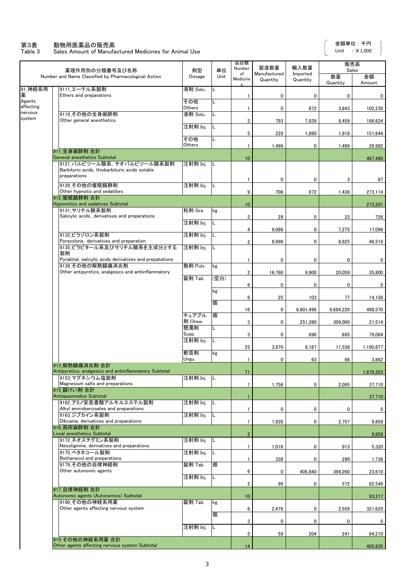#### 第3表 動物用医薬品の販売高

Table 3 Sales Amount of Manufactured Medicines for Animal Use

 $\overline{\phantom{a}}$ 

|                                | 薬理作用別の分類番号及び名称                                                                                                                           | 剤型               | 単位   | 品目数<br>Number           | 製造数量                     | 輸入数量                 | 販売高<br>Sales   |              |
|--------------------------------|------------------------------------------------------------------------------------------------------------------------------------------|------------------|------|-------------------------|--------------------------|----------------------|----------------|--------------|
|                                | Number and Name Classified by Pharmacological Action                                                                                     | Dosage           | Unit | of<br>Medicine          | Manufactured<br>Quantity | Imported<br>Quantity | 数量<br>Quantity | 金額<br>Amount |
| 91_神経系用                        | 9111 エーテル系製剤<br>Ethers and preparations                                                                                                  | 液剤 Solu.         | L    | 1                       | 0                        | 0                    | 0              | 0            |
| Agents<br>affecting<br>nervous |                                                                                                                                          | その他<br>Others    |      | 1                       | 0                        | 872                  | 3,843          | 102,230      |
| system                         | 9119 その他の全身麻酔剤<br>Other general anesthetics                                                                                              | 液剤 Solu.         |      | $\overline{\mathbf{2}}$ | 793                      | 7,839                | 8,459          | 186,624      |
|                                |                                                                                                                                          | 注射剤 Inj.         | L    | 5                       | 229                      | 1,890                | 1,918          | 151,644      |
|                                |                                                                                                                                          | その他<br>Others    | L    | $\mathbf{1}$            | 1,499                    | 0                    | 1,499          | 26,982       |
|                                | 911 全身麻酔剤 合計<br>General anesthetics Subtotal                                                                                             |                  |      | 10                      |                          |                      |                | 467,480      |
|                                | 9121 バルビツール酸系. チオバルビツール酸系製剤<br>Barbituric acids, thiobarbituric acids soluble<br>preparations                                            | 注射剤 Inj.         |      | $\mathbf{1}$            | 0                        | 0                    | 3              | 87           |
|                                | 9129 その他の催眠鎮静剤<br>Other hypnotis and sedatibes                                                                                           | 注射剤 Inj.         | L    | 9                       | 708                      | 872                  | 1,438          | 273,114      |
|                                | 912 催眠鎮静剤 合計<br><b>Hyponotics and sadatives Subtotal</b>                                                                                 |                  |      | 10                      |                          |                      |                | 273,201      |
|                                | 9131 サリチル酸系製剤<br>Salicylic acids, derivatives and preparations                                                                           | 粒剤 Gra.          | kg   | $\overline{\mathbf{2}}$ | 29                       | 0                    |                |              |
|                                |                                                                                                                                          | 注射剤 Inj.         | L    |                         |                          |                      | 23             | 726          |
|                                | 9132 ビラゾロン系製剤                                                                                                                            | 注射剤 Inj.         | L    | $\overline{4}$          | 9,086                    | 0                    | 7,275          | 17,096       |
|                                | Pyrazolone, derivatives and preparation<br>9135 ビラビタール系及びサリチル酸系を主成分とする                                                                   | 注射剤 Inj.         | L    | $\overline{\mathbf{c}}$ | 8,996                    | 0                    | 8,825          | 46,518       |
|                                | 製剤<br>Pyrabital, salicylic acids derivatives and prepatations<br>9139 その他の解熱鎮痛消炎剤<br>Other antipyretics, analgesics and antiinflammatory |                  |      | $\mathbf{1}$            | 0                        | 0                    | 0              | 0            |
|                                |                                                                                                                                          | 散剤 Pulv.         | kg   | 2                       | 16,760                   | 9,900                | 20,059         | 35,800       |
|                                |                                                                                                                                          | 錠剤 Tab.          | (空白) | 6                       | 0                        | 0                    | 0              | 0            |
|                                |                                                                                                                                          |                  | kg   | 6                       | 25                       | 103                  | 77             | 14,156       |
|                                |                                                                                                                                          |                  | 個    | 16                      | 0                        | 6,801,498            | 6,684,220      | 498,570      |
|                                |                                                                                                                                          | チュアブル<br>剤 Chew. | 個    | 3                       | 0                        | 251,280              | 309,000        | 21,514       |
|                                |                                                                                                                                          | 懸濁剤<br>Susp.     | L    | 3                       | 0                        | 696                  | 695            | 79,084       |
|                                |                                                                                                                                          | 注射剤 Inj.         | L    | 25                      | 3,970                    | 8,187                | 11,538         | 1.160.877    |
|                                |                                                                                                                                          | 軟膏剤<br>Ungu.     | kg   | $\mathbf{1}$            | 0                        | 63                   | 66             | 3,862        |
|                                | 913 解熱鎮痛消炎剤 合計<br>Antipyretics, analgesics and antiinflammatory Subtotal                                                                 |                  |      | 71                      |                          |                      |                | 1.878.203    |
|                                | 9153 マグネシウム塩製剤<br>Magnesium salts and preparations                                                                                       | 注射剤 Inj.         | -lL  | $\mathbf{1}$            | 1,756                    | 0                    | 2,095          | 37,710       |
|                                | 915 鎮けい剤 合計<br><b>Antispasmodics Subtotal</b>                                                                                            |                  |      |                         |                          |                      |                |              |
|                                | 9162 アミノ安息香酸アルキルエステル製剤                                                                                                                   | 注射剤 Inj.         | L    | $\mathbf{1}$            |                          |                      |                | 37,710       |
|                                | Alkyl aminobenzoates and preparations<br>9163 ジブカイン系製剤                                                                                   | 注射剤 Inj.         | L    | 1                       | 0                        | 0                    | 0              | 0            |
|                                | Dibcaine, derivatives and preparations<br>916 局所麻酔剤 合計                                                                                   |                  |      | $\mathbf{1}$            | 1,928                    | 0                    | 2,757          | 9,858        |
|                                | <b>Local anesthetics Subtotal</b><br>9172 ネオスチグミン系製剤                                                                                     | 注射剤 Inj.         | IL.  | $\overline{c}$          |                          |                      |                | 9,858        |
|                                | Neostigmine, derivatives and preparations<br>9175 ベタネコール製剤                                                                               | 注射剤 Inj.         | L    | 1                       | 1,016                    | 0                    | 913            | 5,320        |
|                                | Bethanecol and preparations<br>9179 その他の自律神経剤                                                                                            | 錠剤 Tab.          | 個    | $\mathbf{1}$            | 338                      | 0                    | 290            | 1,738        |
|                                | Other autonomic agents                                                                                                                   |                  |      | 6                       | 0                        | 405,840              | 394,260        | 23,610       |
|                                |                                                                                                                                          | 注射剤 Inj.         | L    | 2                       | 99                       | 0                    | 572            | 62,549       |
|                                | 917 自律神経剤 合計<br>Autonomic agents (Autonomics) Subtotal                                                                                   |                  |      | 10                      |                          |                      |                | 93,217       |
|                                | 9190 その他の神経系用薬<br>Other agents affecting nervous system                                                                                  | 錠剤 Tab.          | kg   | 6                       | 2,478                    | 0                    | 2,559          | 321,625      |
|                                |                                                                                                                                          |                  | 個    | 3                       | 0                        | 0                    | 0              | 0            |
|                                |                                                                                                                                          | 注射剤 Inj.         | L    | 5                       | 59                       | 204                  | 241            | 84,210       |
|                                | 919 その他の神経系用薬 合計<br>Other agents affecting nervous system Subtotal                                                                       |                  |      | 14                      |                          |                      |                | 405,835      |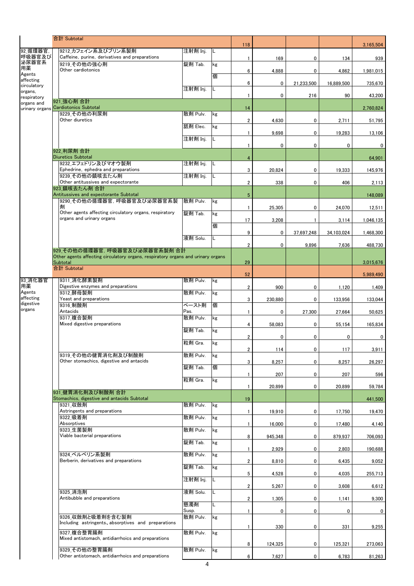|                                                             |  | 合計 Subtotal                                                                                                        |                   |     |                         |              |              |            |           |
|-------------------------------------------------------------|--|--------------------------------------------------------------------------------------------------------------------|-------------------|-----|-------------------------|--------------|--------------|------------|-----------|
| 92_循環器官,                                                    |  | 9212_カフェイン系及びプリン系製剤                                                                                                | 注射剤 Inj.          | IL  | 118                     |              |              |            | 3,165,504 |
| 呼吸器官及び<br>泌尿器官系                                             |  | Caffeine, purine, derivatives and preparations<br>9219 その他の強心剤                                                     | 錠剤 Tab.           | kg  | $\mathbf{1}$            | 169          | 0            | 134        | 939       |
| 用薬<br>Agents                                                |  | Other cardiotonics                                                                                                 |                   |     | 6                       | 4.888        | 0            | 4,862      | 1,981,015 |
| affecting<br>circulatory                                    |  |                                                                                                                    |                   | 個   | 6                       | $\mathbf{0}$ | 21,233,500   | 16.889.500 | 735,670   |
| organs,                                                     |  |                                                                                                                    | 注射剤 Inj.          | L   | $\mathbf{1}$            | $\mathbf{0}$ | 216          | 90         | 43,200    |
| respiratory<br>organs and                                   |  | 921 強心剤 合計<br>urinary organs Cardiotonics Subtotal                                                                 |                   |     |                         |              |              |            |           |
|                                                             |  | 9229 その他の利尿剤                                                                                                       | 散剤 Pulv.          | kg  | 14                      |              |              |            | 2.760.824 |
|                                                             |  | Other diuretics                                                                                                    | 舐剤 Elec.          | kg  | $\overline{2}$          | 4,630        | 0            | 2,711      | 51,795    |
|                                                             |  |                                                                                                                    | 注射剤 Inj.          | L   | $\mathbf{1}$            | 9,698        | 0            | 19,283     | 13,106    |
|                                                             |  |                                                                                                                    |                   |     | $\mathbf{1}$            | 0            | 0            | 0          | 0         |
|                                                             |  | 922 利尿剤 合計<br><b>Diuretics Subtotal</b>                                                                            |                   |     | $\overline{4}$          |              |              |            | 64,901    |
|                                                             |  | 9232 エフェドリン及びマオウ製剤<br>Ephedrine, ephedra and preparations                                                          | 注射剤 Inj.          | -lL | 3                       | 20,824       | 0            | 19,333     | 145,976   |
|                                                             |  | 9239 その他の鎮咳去たん剤<br>Other antitussives and expectorante                                                             | 注射剤 Inj.          | IL  | $\overline{\mathbf{2}}$ | 338          | 0            | 406        | 2,113     |
|                                                             |  | 923 鎮咳去たん剤 合計                                                                                                      |                   |     |                         |              |              |            |           |
|                                                             |  | Antitussives and expectorante Subtotal<br>9290 その他の循環器官, 呼吸器官及び泌尿器官系製                                              | 散剤 Pulv.          | kg  | $5\phantom{.0}$         |              |              |            | 148,089   |
|                                                             |  | 剳<br>Other agents affecting circulatory organs, respiratory                                                        | 錠剤 Tab.           | kg  | $\mathbf{1}$            | 25,305       | 0            | 24,070     | 12,511    |
|                                                             |  | organs and urinary organs                                                                                          |                   | 個   | 17                      | 3,208        | $\mathbf{1}$ | 3,114      | 1,046,135 |
|                                                             |  |                                                                                                                    |                   |     | 9                       | 0            | 37,697,248   | 34,103,024 | 1,468,300 |
|                                                             |  |                                                                                                                    | 液剤 Solu.          | L   | $\overline{\mathbf{2}}$ | 0            | 9,896        | 7,636      | 488,730   |
|                                                             |  | 929 その他の循環器官. 呼吸器官及び泌尿器官系製剤 合計<br>Other agents affecting circulatory organs, respiratory organs and urinary organs |                   |     |                         |              |              |            |           |
|                                                             |  | Subtotal<br>合計 Subtotal                                                                                            |                   |     | 29                      |              |              |            | 3,015,676 |
|                                                             |  | 9311 消化酵素製剤                                                                                                        | 散剤 Pulv.          | kg  | 52                      |              |              |            | 5,989,490 |
| 93 消化器官<br>用薬<br>Agents<br>affecting<br>digestive<br>organs |  | Digestive enzymes and preparations                                                                                 |                   |     | $\overline{\mathbf{2}}$ | 900          | 0            | 1,120      | 1,409     |
|                                                             |  | 9312 酵母製剤<br>Yeast and preparations                                                                                | 散剤 Pulv.          | kg  | 3                       | 230,880      | 0            | 133,956    | 133,044   |
|                                                             |  | 9316 制酸剤<br>Antacids                                                                                               | ペースト剤<br>Pas.     | 個   | $\mathbf{1}$            | 0            | 27,300       | 27,664     | 50,625    |
|                                                             |  | 9317 複合製剤                                                                                                          | 散剤 Pulv.          | kg  |                         |              |              |            |           |
|                                                             |  | Mixed digestive preparations                                                                                       | 錠剤 Tab.           | kg  | 4                       | 58,083       | 0            | 55,154     | 165,834   |
|                                                             |  |                                                                                                                    | 粒剤 Gra.           | kg  | $\overline{\mathbf{2}}$ | 0            | 0            | 0          | 0         |
|                                                             |  | 9319 その他の健胃消化剤及び制酸剤                                                                                                | 散剤 Pulv.          | kg  | $\overline{2}$          | 114          | 0            | 117        | 3,911     |
|                                                             |  | Other stomachics, digestive and antacids                                                                           |                   |     | 3                       | 8,257        | 0            | 8,257      | 26,297    |
|                                                             |  |                                                                                                                    | 錠剤 Tab.           | 個   | 1                       | 207          | 0            | 207        | 596       |
|                                                             |  |                                                                                                                    | 粒剤 Gra.           | kg  | $\mathbf{1}$            | 20,899       | 0            | 20,899     | 59.784    |
|                                                             |  | 931 健胃消化剤及び制酸剤 合計<br>Stomachics, digestive and antacids Subtotal                                                   |                   |     | 19                      |              |              |            | 441,500   |
|                                                             |  | 9321 収斂剤                                                                                                           | 散剤 Pulv.          | kg  |                         |              |              |            |           |
|                                                             |  | Astringents and preparations<br>9322 吸着剤                                                                           | 散剤 Pulv.          | kg  | 1                       | 19,910       | 0            | 17,750     | 19,470    |
|                                                             |  | Absorptives<br>9323 生菌製剤                                                                                           | 散剤 Pulv.          | kg  | $\mathbf{1}$            | 16,000       | 0            | 17,480     | 4,140     |
|                                                             |  | Viable bacterial preparations                                                                                      | 錠剤 Tab.           |     | 8                       | 945,348      | 0            | 879,937    | 706,093   |
|                                                             |  |                                                                                                                    |                   | kg  | 1                       | 2,929        | 0            | 2,803      | 190,688   |
|                                                             |  | 9324 ベルベリン系製剤<br>Berberin, derivatives and preparations                                                            | 散剤 Pulv.          | kg  | 2                       | 8,810        | 0            | 6,435      | 9,052     |
|                                                             |  |                                                                                                                    | 錠剤 Tab.           | kg  | 5                       | 4,528        | 0            | 4,035      | 255,713   |
|                                                             |  |                                                                                                                    | 注射剤 Inj.          | L   |                         |              |              |            |           |
|                                                             |  | 9325 消泡剤                                                                                                           | 液剤 Solu.          | L   | 2                       | 5,267        | 0            | 3,608      | 6,612     |
|                                                             |  | Antibubble and preparations                                                                                        | 懸濁剤               | L   | 2                       | 1,305        | 0            | 1,141      | 9,300     |
|                                                             |  | 9326 収斂剤と吸着剤を含む製剤                                                                                                  | Susp.<br>散剤 Pulv. | kg  | $\mathbf{1}$            | 0            | 0            | 0          | 0         |
|                                                             |  | Including astringents, absorptives and preparations                                                                |                   |     | 1                       | 330          | 0            | 331        | 9,255     |
|                                                             |  | 9327 複合整胃腸剤<br>Mixed antistomach, antidiarrhoics and preparations                                                  | 散剤 Pulv.          | kg  |                         |              |              |            |           |
|                                                             |  |                                                                                                                    |                   |     | 8                       | 124,325      | 0            | 125,321    | 273,063   |
|                                                             |  | 9329 その他の整胃腸剤<br>Other antistomach, antidiarrhoics and preparations                                                | 散剤 Pulv.          | kg  | 6                       | 7,627        | 0            | 6,783      | 81,263    |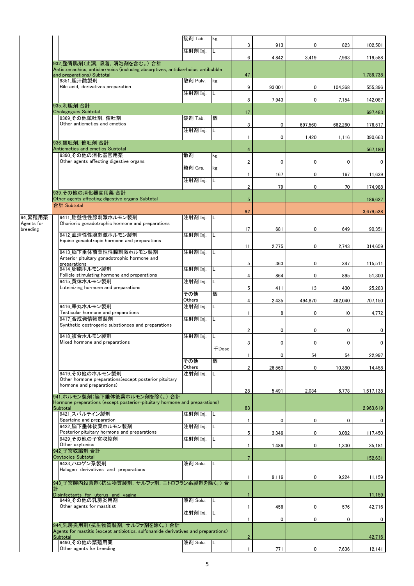|                       |                                                                                                                                                | 錠剤 Tab.            | kg    | 3                       | 913         | 0           | 823     | 102,501     |
|-----------------------|------------------------------------------------------------------------------------------------------------------------------------------------|--------------------|-------|-------------------------|-------------|-------------|---------|-------------|
|                       |                                                                                                                                                | 注射剤 Inj.           | L     | 6                       | 4,842       | 3,419       | 7,963   | 119,588     |
|                       | 932_整胃腸剤(止瀉, 吸着, 消泡剤を含む。)合計<br>Antistomachics, antidiarrhoics (including absorptives, antidiarrhoics, antibubble<br>and preparations) Subtotal |                    |       | 47                      |             |             |         | 1,786,738   |
|                       | 9351 胆汁酸製剤                                                                                                                                     | 散剤 Pulv.           | kg    |                         |             |             |         |             |
|                       | Bile acid, derivatives preparation                                                                                                             | 注射剤 Inj.           | L     | 9                       | 93.001      | 0           | 104,368 | 555,396     |
|                       | 935 利胆剤 合計                                                                                                                                     |                    |       | 8                       | 7,943       | 0           | 7,154   | 142,087     |
|                       | <b>Cholagogues Subtotal</b><br>9369 その他鎮吐剤, 催吐剤                                                                                                | 錠剤 Tab.            | 個     | 17                      |             |             |         | 697,483     |
|                       | Other antiemetics and emetics                                                                                                                  |                    |       | 3                       | 0           | 697,560     | 662,260 | 176,517     |
|                       |                                                                                                                                                | 注射剤 Inj.           | L     | $\mathbf{1}$            | 0           | 1,420       | 1,116   | 390,663     |
|                       | 936 鎮吐剤, 催吐剤 合計<br>Antiemetics and emetics Subtotal                                                                                            |                    |       | 4                       |             |             |         | 567,180     |
|                       | 9390 その他の消化器官用薬<br>Other agents affecting digestive organs                                                                                     | 散剤                 | kg    |                         |             |             |         |             |
|                       |                                                                                                                                                | 粒剤 Gra.            | kg    | $\overline{\mathbf{2}}$ | 0           | 0           | 0       | 0           |
|                       |                                                                                                                                                | 注射剤 Inj.           | L     | 1                       | 167         | 0           | 167     | 11,639      |
|                       | 939 その他の消化器官用薬 合計                                                                                                                              |                    |       | $\overline{\mathbf{c}}$ | 79          | 0           | 70      | 174,988     |
|                       | Other agents affecting digestive organs Subtotal                                                                                               |                    |       | $5\phantom{.0}$         |             |             |         | 186,627     |
|                       | 合計 Subtotal                                                                                                                                    |                    |       | 92                      |             |             |         | 3,679,528   |
| 94_繁殖用薬<br>Agents for | 9411 胎盤性性腺刺激ホルモン製剤<br>Chorionic gonadotrophic hormone and preparations                                                                         | 注射剤 Inj.           | IL    |                         |             |             |         |             |
| breeding              | 9412 血清性性腺刺激ホルモン製剤                                                                                                                             | 注射剤 Inj.           | L     | 17                      | 681         | 0           | 649     | 90,351      |
|                       | Equine gonadotropic hormone and preparations                                                                                                   |                    |       | 11                      | 2,775       | 0           | 2,743   | 314,659     |
|                       | 9413 脳下垂体前葉性性腺刺激ホルモン製剤                                                                                                                         | 注射剤 Inj.           | L     |                         |             |             |         |             |
|                       | Anterior pituitary gonadotrophic hormone and<br>preparations                                                                                   |                    |       | 5                       | 363         | 0           | 347     | 115,511     |
|                       | 9414 卵胞ホルモン製剤<br>Follicle stimulating hormone and preparations                                                                                 | 注射剤 Inj.           | L     | 4                       | 864         | 0           | 895     | 51,300      |
|                       | 9415 黄体ホルモン製剤<br>Luteinizing hormone and preparations                                                                                          | 注射剤 Inj.           | L     | 5                       | 411         | 13          | 430     | 25,283      |
|                       |                                                                                                                                                | その他<br>Others      | 個     |                         |             |             |         |             |
|                       | 9416 睾丸ホルモン製剤                                                                                                                                  | 注射剤 Inj.           | L     | 4                       | 2,435       | 494,870     | 462,040 | 707,150     |
|                       | Testicular hormone and preparations<br>9417 合成発情物質製剤                                                                                           | 注射剤 Inj.           | L     | $\mathbf{1}$            | 8           | 0           | 10      | 4,772       |
|                       | Synthetic oestrogenic substionces and preparations                                                                                             |                    |       | $\overline{\mathbf{c}}$ | $\mathbf 0$ | $\mathbf 0$ | 0       | 0           |
|                       | 9418 複合ホルモン製剤<br>Mixed hormone and preparations                                                                                                | 注射剤 Inj.           | L     | 3                       | 0           | 0           | 0       | $\mathbf 0$ |
|                       |                                                                                                                                                |                    | 千Dose |                         |             |             |         |             |
|                       |                                                                                                                                                | その他                | 個     | 1                       | 0           | 54          | 54      | 22,997      |
|                       | 9419 その他のホルモン製剤                                                                                                                                | Others<br>注射剤 Inj. | L     | $\overline{2}$          | 26,560      | 0           | 10,380  | 14,458      |
|                       | Other hormone preparations(except posterior pituitary<br>hormone and preparations)                                                             |                    |       |                         |             |             |         |             |
|                       | 941 ホルモン製剤(脳下垂体後葉ホルモン剤を除く。) 合計                                                                                                                 |                    |       | 28                      | 5,491       | 2,034       | 6,778   | 1.617.138   |
|                       | Hormone preparations (except posterior-pituitary hormone and preparations)<br>Subtotal                                                         |                    |       | 83                      |             |             |         | 2,963,619   |
|                       | 9421 スパルテイン製剤                                                                                                                                  | 注射剤 Inj.           | L     |                         |             |             |         |             |
|                       | Sparteine and preparation<br>9422 脳下垂体後葉ホルモン製剤                                                                                                 | 注射剤 Inj.           |       | 1                       | 0           | 0           | 0       | 0           |
|                       | Posterior pituitary hormone and preparations<br>9429 その他の子宮収縮剤                                                                                 | 注射剤 Inj.           | L     | 5                       | 3,346       | 0           | 3,082   | 117,450     |
|                       | Other oxytonics<br>942 子宮収縮剤 合計                                                                                                                |                    |       | 1                       | 1,486       | 0           | 1,330   | 35,181      |
|                       | <b>Oxytocics Subtotal</b>                                                                                                                      |                    |       | $\overline{7}$          |             |             |         | 152,631     |
|                       | 9433 ハロゲン系製剤<br>Halogen derivatives and preparations                                                                                           | 液剤 Solu.           |       |                         |             |             |         |             |
|                       | 943 子宮膣内殺菌剤(抗生物質製剤, サルファ剤, ニトロフラン系製剤を除く。)合                                                                                                     |                    |       | 1                       | 9,116       | 0           | 9,224   | 11,159      |
|                       | 計<br>Disinfectants for uterus and vagina                                                                                                       |                    |       |                         |             |             |         | 11,159      |
|                       | 9449 その他の乳房炎用剤                                                                                                                                 | 液剤 Solu.           | L     |                         |             |             |         |             |
|                       | Other agents for mastitist                                                                                                                     | 注射剤 Inj.           |       | 1                       | 456         | 0<br>0      | 576     | 42,716      |
|                       | 944 乳房炎用剤(抗生物質製剤, サルファ剤を除く。)合計                                                                                                                 |                    |       |                         |             |             | 0       | 0           |
|                       | Agents for mastitis (except antibiotics, sulfonamide derivatives and preparations)<br>Subtotal                                                 | $\overline{c}$     |       |                         |             | 42,716      |         |             |
|                       | 9490 その他の繁殖用薬<br>Other agents for breeding                                                                                                     | 液剤 Solu.           | L     | $\mathbf{1}$            | 771         | 0           | 7,636   | 12,141      |
|                       |                                                                                                                                                |                    |       |                         |             |             |         |             |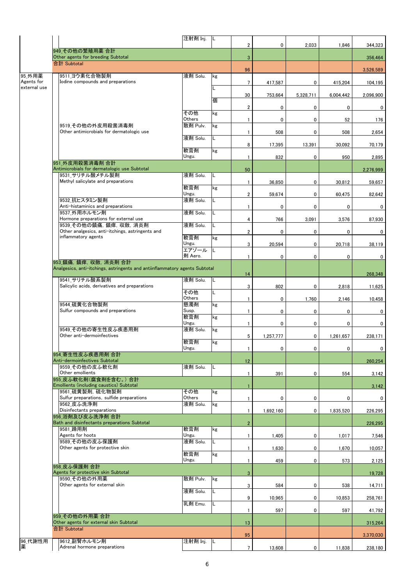|              |                                                                             | 注射剤 Inj.          | -lL |                         |           |           |           |           |
|--------------|-----------------------------------------------------------------------------|-------------------|-----|-------------------------|-----------|-----------|-----------|-----------|
|              | 949 その他の繁殖用薬 合計                                                             |                   |     | $\overline{2}$          | 0         | 2,033     | 1,846     | 344,323   |
|              | Other agents for breeding Subtotal                                          |                   |     | 3                       |           |           |           | 356,464   |
|              | 合計 Subtotal                                                                 |                   |     |                         |           |           |           |           |
| 95 外用薬       | 9511_ヨウ素化合物製剤                                                               | 液剤 Solu.          | kg  | 96                      |           |           |           | 3,526,589 |
| Agents for   | Iodine compounds and preparations                                           |                   |     | 7                       | 417,587   | 0         | 415,204   | 104,195   |
| external use |                                                                             |                   |     | 30                      | 753,664   | 5,328,711 | 6,004,442 | 2,096,900 |
|              |                                                                             |                   | 個   |                         |           |           |           |           |
|              |                                                                             |                   |     | 2                       | 0         | 0         | 0         | 0         |
|              |                                                                             | その他<br>Others     | kg  | 1                       | 0         | 0         | 52        | 176       |
|              | 9519 その他の外皮用殺菌消毒剤                                                           | 散剤 Pulv.          | kg  |                         |           |           |           |           |
|              | Other antimicrobials for dermatologic use                                   | 液剤 Solu.          | L.  | 1                       | 508       | 0         | 508       | 2,654     |
|              |                                                                             |                   |     | 8                       | 17,395    | 13,391    | 30,092    | 70,179    |
|              |                                                                             | 軟膏剤<br>Ungu.      | kg  | 1                       | 832       | 0         | 950       | 2,895     |
|              | 951 外皮用殺菌消毒剤 合計                                                             |                   |     |                         |           |           |           |           |
|              | Antimicrobials for dermatologic use Subtotal<br>9531 サリチル酸メチル製剤             | 液剤 Solu.          | L   | 50                      |           |           |           | 2,276,999 |
|              | Methyl salicylate and preparations                                          |                   |     | 1                       | 36,850    | 0         | 30,812    | 59,657    |
|              |                                                                             | 軟膏剤               | kg  |                         |           |           |           |           |
|              | 9532 抗ヒスタミン製剤                                                               | Ungu.<br>液剤 Solu. | L   | $\overline{\mathbf{c}}$ | 59,674    | 0         | 60,475    | 82.642    |
|              | Anti-histaminics and preparations                                           |                   |     | 1                       | 0         | 0         | 0         | 0         |
|              | 9537 外用ホルモン剤<br>Hormone preparations for external use                       | 液剤 Solu.          | L   | 4                       | 766       | 3,091     | 3,576     | 87,930    |
|              | 9539_その他の鎮痛, 鎮痒, 収斂, 消炎剤                                                    | 液剤 Solu.          | L   |                         |           |           |           |           |
|              | Other analgesics, anti-itchings, astringents and<br>inflammatory agents     | 軟膏剤               | kg  | 2                       | 0         | 0         | 0         | 0         |
|              |                                                                             | Ungu.             |     | 3                       | 20,594    | 0         | 20,718    | 38,119    |
|              |                                                                             | エアゾール             | L   |                         |           |           |           |           |
|              | 953 鎮痛, 鎮痒, 収斂, 消炎剤 合計                                                      | 剤 Aero.           |     | 1                       | 0         | 0         | 0         | 0         |
|              | Analgesics, anti-itchings, astringents and antiinflammatory agents Subtotal |                   |     |                         |           |           |           |           |
|              | 9541 サリチル酸系製剤                                                               | 液剤 Solu.          | IL. | 14                      |           |           |           | 268,348   |
|              | Salicylic acids, derivatives and preparations                               |                   |     | 3                       | 802       | 0         | 2,818     | 11,625    |
|              |                                                                             | その他<br>Others     | L   | 1                       | 0         | 1,760     | 2,146     | 10,458    |
|              | 9544 硫黄化合物製剤<br>Sulfur compounds and preparations                           | 懸濁剤               | kg  |                         |           |           |           |           |
|              |                                                                             | Susp.<br>軟膏剤      | kg  | 1                       | 0         | 0         | 0         | 0         |
|              |                                                                             | Ungu.             |     | 1                       | 0         | 0         | 0         | 0         |
|              | 9549 その他の寄生性皮ふ疾患用剤<br>Other anti-dermoinfectives                            | 液剤 Solu.          | kg  |                         |           |           |           |           |
|              |                                                                             | 軟膏剤               | kg  | 5                       | 1,257,777 | 0         | 1,261,657 | 238,171   |
|              |                                                                             | Ungu.             |     | 1                       | 0         | 0         | 0         | 0         |
|              | 954 寄生性皮ふ疾患用剤 合計<br>Anti-dermoinfectives Subtotal                           |                   |     | 12                      |           |           |           | 260.254   |
|              | 9559 その他の皮ふ軟化剤                                                              | 液剤 Solu.          | L   |                         |           |           |           |           |
|              | Other emollients<br>955 皮ふ軟化剤(腐食剤を含む。) 合計                                   |                   |     | 1                       | 391       | 0         | 554       | 3,142     |
|              | Emollients (including caustics) Subtotal                                    |                   |     |                         |           |           |           | 3,142     |
|              | 9561 硫黄製剤 硫化物製剤<br>Sulfur preparations, sulfide preparations                | その他<br>Others     | kg  | 1                       | 0         | 0         | 0         | 0         |
|              | 9562 皮ふ洗浄剤                                                                  | 液剤 Solu.          | kg  |                         |           |           |           |           |
|              | Disinfectants preparations<br>956 浴剤及び皮ふ洗浄剤 合計                              |                   |     | 1                       | 1,692,160 | 0         | 1,835,520 | 226,295   |
|              | Bath and disinfectants preparations Subtotal                                |                   |     | $\overline{2}$          |           |           |           | 226.295   |
|              | 9581 蹄用剤                                                                    | 軟膏剤               | kg  |                         |           |           |           |           |
|              | Agents for hoots<br>9589 その他の皮ふ保護剤                                          | Ungu.<br>液剤 Solu. | L.  | 1                       | 1,405     | 0         | 1,017     | 7,546     |
|              | Other agents for protective skin                                            |                   |     | 1                       | 1,630     | 0         | 1,670     | 10,057    |
|              |                                                                             | 軟膏剤<br>Ungu.      | kg  | 1                       | 459       | 0         | 573       | 2,125     |
|              | 958 皮ふ保護剤 合計                                                                |                   |     |                         |           |           |           |           |
|              | Agents for protective skin Subtotal<br>9590 その他の外用薬                         | 散剤 Pulv.          |     | 3                       |           |           |           | 19,728    |
|              | Other agents for external skin                                              |                   | kg  | 3                       | 584       | 0         | 538       | 14,711    |
|              |                                                                             | 液剤 Solu.          | L   |                         |           |           |           |           |
|              |                                                                             | 乳剤 Emu.           | L   | 9                       | 10,965    | 0         | 10,853    | 258,761   |
|              |                                                                             |                   |     | 1                       | 597       | 0         | 597       | 41,792    |
|              | 959 その他の外用薬 合計<br>Other agents for external skin Subtotal                   |                   |     | 13                      |           |           |           | 315,264   |
|              | 合計 Subtotal                                                                 |                   |     |                         |           |           |           |           |
| 96 代謝性用      | 9612 副腎ホルモン剤                                                                | 注射剤 Inj.  L       |     | 95                      |           |           |           | 3,370,030 |
| 薬            | Adrenal hormone preparations                                                |                   |     | $\overline{7}$          | 13,608    | 0         | 11,838    | 238,180   |
|              |                                                                             |                   |     |                         |           |           |           |           |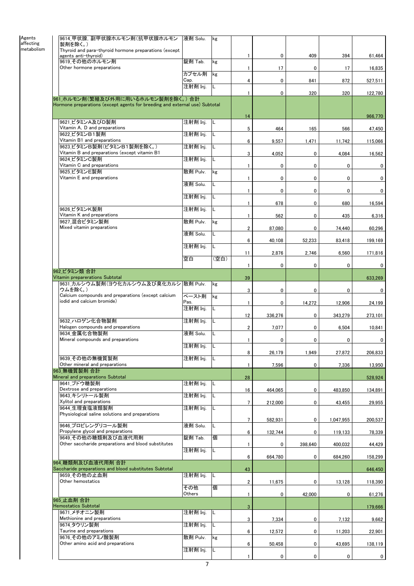| 9614_甲状腺, 副甲状腺ホルモン剤(抗甲状腺ホルモン                                                   | 液剤 Solu. | kg   |                         |             |             |             |              |
|--------------------------------------------------------------------------------|----------|------|-------------------------|-------------|-------------|-------------|--------------|
| 製剤を除く。)<br>metabolism<br>Thyroid and para-thyroid hormone preparations (except |          |      |                         |             |             |             |              |
| agents anti-thyroid)                                                           |          |      | 1                       | 0           | 409         | 394         | 61,464       |
| 9619 その他のホルモン剤                                                                 | 錠剤 Tab.  | kg   |                         |             |             |             |              |
| Other hormone preparations                                                     | カプセル剤    | kg   | 1                       | 17          | 0           | 17          | 16,835       |
|                                                                                | Cap.     |      | 4                       | 0           | 841         | 872         | 527,511      |
|                                                                                | 注射剤 Inj. | IL.  |                         |             |             |             |              |
| 961 ホルモン剤(繁殖及び外用に用いるホルモン製剤を除く。)合計                                              |          |      | 1                       | 0           | 320         | 320         | 122,780      |
| Hormone preparations (except agents for breeding and external use) Subtotal    |          |      |                         |             |             |             |              |
|                                                                                |          |      | 14                      |             |             |             | 966,770      |
| 9621 ビタミンA及びD製剤                                                                | 注射剤 Inj. | IL.  |                         |             |             |             |              |
| Vitamin A, D and preparations                                                  |          |      | 5                       | 464         | 165         | 566         | 47,450       |
| 9622 ビタミンB1製剤<br>Vitamin B1 and preparations                                   | 注射剤 Inj. | L    | 6                       | 9,557       | 1,471       | 11,742      | 115,066      |
| 9623 ビタミンB製剤(ビタミンB1製剤を除く。)                                                     | 注射剤 Inj. | L    |                         |             |             |             |              |
| Vitamin B and preparations (except vitamin B1<br>9624 ビタミンC製剤                  | 注射剤 Inj. | L    | 3                       | 4,052       | 0           | 4,084       | 16,562       |
| Vitamin C and preparations                                                     |          |      | $\mathbf{1}$            | 0           | 0           | 0           | 0            |
| 9625 ビタミンE製剤                                                                   | 散剤 Pulv. | kg   |                         |             |             |             |              |
| Vitamin E and preparations                                                     | 液剤 Solu. | L    | $\mathbf{1}$            | 0           | 0           | 0           | 0            |
|                                                                                |          |      | 1                       | $\mathbf 0$ | 0           | 0           | 0            |
|                                                                                | 注射剤 Inj. | L    |                         |             |             |             |              |
| 9626 ビタミンK製剤                                                                   | 注射剤 Inj. | L    | $\mathbf{1}$            | 678         | 0           | 680         | 16,594       |
| Vitamin K and preparations                                                     |          |      | $\mathbf{1}$            | 562         | 0           | 435         | 6,316        |
| 9627 混合ビタミン製剤                                                                  | 散剤 Pulv. | kg   |                         |             |             |             |              |
| Mixed vitamin preparations                                                     | 液剤 Solu. | L    | $\overline{2}$          | 87,080      | 0           | 74,440      | 60,296       |
|                                                                                |          |      | 6                       | 40,108      | 52,233      | 83,418      | 199,169      |
|                                                                                | 注射剤 Inj. | L    |                         |             |             |             |              |
|                                                                                | 空白       | (空白) | 11                      | 2,876       | 2,746       | 6,560       | 171,816      |
|                                                                                |          |      | $\mathbf{1}$            | 0           | 0           | 0           | 0            |
| 962 ビタミン類 合計<br>Vitamin preparerations Subtotal                                |          |      | 39                      |             |             |             | 633,269      |
| 9631_カルシウム製剤(ヨウ化カルシウム及び臭化カルシ 散剤 Pulv.                                          |          | kg   |                         |             |             |             |              |
| ウムを除く。)<br>Calcium compounds and preparations (except calcium                  | ペースト剤    |      | 3                       | 0           | 0           | 0           | 0            |
| iodid and calcium bromide)                                                     | Pas.     | kg   | $\mathbf{1}$            | 0           | 14,272      | 12,906      | 24,199       |
|                                                                                | 注射剤 Inj. | L    |                         |             |             |             |              |
| 9632 ハロゲン化合物製剤                                                                 | 注射剤 Inj. | L    | 12                      | 336,276     | 0           | 343,279     | 273,101      |
| Halogen compounds and preparations                                             |          |      | $\overline{\mathbf{2}}$ | 7,077       | 0           | 6,504       | 10,841       |
| 9634 金属化合物製剤                                                                   | 液剤 Solu. |      |                         |             |             |             |              |
| Mineral compounds and preparations                                             | 注射剤 Inj. |      | 1                       | 0           | 0           | 0           | 0            |
|                                                                                |          |      | 8                       | 26,179      | 1,949       | 27,872      | 206,833      |
| 9639 その他の無機質製剤<br>Other mineral and preparations                               | 注射剤 Inj. |      |                         |             |             |             |              |
| 963 無機質製剤 合計                                                                   |          |      | 1                       | 7,596       | 0           | 7,336       | 13,950       |
| Mineral and preparations Subtotal                                              |          |      | 28                      |             |             |             | 528,924      |
| 9641 ブドウ糖製剤<br>Dextrose and preparations                                       | 注射剤 Inj. | IL.  | 16                      | 464,065     | 0           | 483,850     | 134,891      |
| 9643 キシリトール製剤                                                                  | 注射剤 Inj. | L    |                         |             |             |             |              |
| Xylitol and preparations                                                       |          |      | $\overline{7}$          | 212,000     | 0           | 43,455      | 29,955       |
| 9644 生理食塩液類製剤<br>Physiological saline solutions and preparations               | 注射剤 Inj. | L    |                         |             |             |             |              |
|                                                                                |          |      | $\overline{7}$          | 582,931     | 0           | 1,047,955   | 200,537      |
| 9646 プロピレングリコール製剤<br>Propylene glycol and preparations                         | 液剤 Solu. | L    | 6                       | 132,744     | 0           | 119,133     | 78,339       |
| 9649 その他の糖類剤及び血液代用剤                                                            | 錠剤 Tab.  | 個    |                         |             |             |             |              |
| Other saccharide preparations and blood substitutes                            |          |      | $\mathbf{1}$            | 0           | 398,640     | 400,032     | 44,429       |
|                                                                                | 注射剤 Inj. | L    | 6                       | 664,780     | 0           | 684,260     | 158,299      |
| 964 糖類剤及び血液代用剤 合計                                                              |          |      |                         |             |             |             |              |
| Saccharide preparations and blood substitutes Subtotal<br>9659 その他の止血剤         | 注射剤 Inj. | L    | 43                      |             |             |             | 646,450      |
| Other hemostatics                                                              |          |      | $\overline{2}$          | 11,675      | 0           | 13,128      | 118,390      |
|                                                                                | その他      | 個    |                         |             |             |             |              |
| 965 止血剤 合計                                                                     | Others   |      | $\mathbf{1}$            | 0           | 42,000      | 0           | 61,276       |
| <b>Hemostatics Subtotal</b>                                                    |          |      | 3                       |             |             |             | 179,666      |
| 9671 メチオニン製剤                                                                   | 注射剤 Inj. | L    |                         |             |             |             |              |
| Methionine and preparations<br>9674 タウリン製剤                                     | 注射剤 Inj. | L    | 3                       | 7,334       | 0           | 7,132       | 9,662        |
| Taurine and preparations                                                       |          |      | 6                       | 12,572      | 0           | 11,203      | 22,901       |
| 9676 その他のアミノ酸製剤<br>Other amino acid and preparations                           | 散剤 Pulv. | kg   |                         |             |             |             |              |
|                                                                                | 注射剤 Inj. | L    | 6                       | 50,458      | 0           | 43,695      | 138,119      |
|                                                                                |          |      | 1                       | 0           | $\mathbf 0$ | $\mathbf 0$ | $\mathbf{0}$ |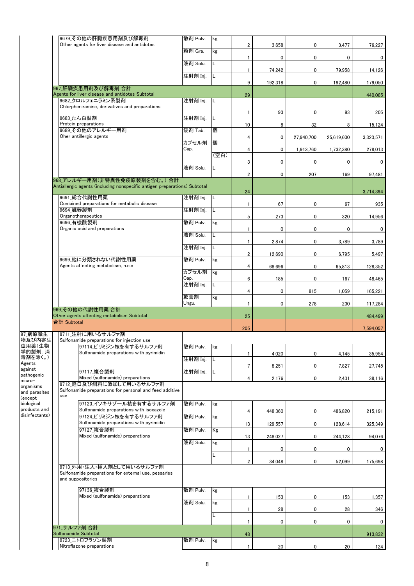|                            |                      | 9679 その他の肝臓疾患用剤及び解毒剤<br>Other agents for liver disease and antidotes      | 散剤 Pulv.      | kg   | $\overline{\mathbf{c}}$ | 3,658   | 0          | 3,477      | 76,227    |
|----------------------------|----------------------|---------------------------------------------------------------------------|---------------|------|-------------------------|---------|------------|------------|-----------|
|                            |                      |                                                                           | 粒剤 Gra.       | kg   | 1                       | 0       | 0          | 0          | 0         |
|                            |                      |                                                                           | 液剤 Solu.      | L    | 1                       | 74,242  | 0          | 79,958     | 14,126    |
|                            |                      |                                                                           | 注射剤 Inj.      | IL.  |                         |         |            |            |           |
|                            |                      | 967 肝臓疾患用剤及び解毒剤 合計                                                        |               |      | 9                       | 192,318 | 0          | 192,480    | 179,050   |
|                            |                      | Agents for liver disease and antidotes Subtotal<br>9682 クロルフェニラミン系製剤      | 注射剤 Inj.      | IL   | 29                      |         |            |            | 440,085   |
|                            |                      | Chlorpheniramine, derivatives and preparations                            |               |      | $\mathbf{1}$            | 93      | 0          | 93         | 205       |
|                            |                      | 9683 たん白製剤<br>Protein preparations                                        | 注射剤 Inj.      | L    | 10                      | 8       | 32         | 8          | 15,124    |
|                            |                      | 9689 その他のアレルギー用剤<br>Oher antillergic agents                               | 錠剤 Tab.       | 個    | 4                       | 0       | 27,940,700 | 25,619,600 | 3,323,571 |
|                            |                      |                                                                           | カプセル剤<br>Cap. | 個    |                         | 0       |            |            |           |
|                            |                      |                                                                           |               | (空白) | 4                       |         | 1,913,760  | 1,732,380  | 278,013   |
|                            |                      |                                                                           | 液剤 Solu.      | L    | 3                       | 0       | 0          | 0          | 0         |
|                            |                      | 968 アレルギー用剤(非特異性免疫原製剤を含む。)合計                                              |               |      | $\overline{\mathbf{c}}$ | 0       | 207        | 169        | 97,481    |
|                            |                      | Antiallergic agents (including nonspecific antigen preparations) Subtotal |               |      | 24                      |         |            |            | 3,714,394 |
|                            |                      | 9691 総合代謝性用薬<br>Combined preparations for metabolic disease               | 注射剤 Inj.      | IL   | 1                       | 67      | 0          | 67         | 935       |
|                            | 9694 臓器製剤            | Organotherapeutics                                                        | 注射剤 Inj.      | L    | 5                       |         |            |            |           |
|                            |                      | 9696 有機酸製剤                                                                | 散剤 Pulv.      | kg   |                         | 273     | 0          | 320        | 14,956    |
|                            |                      | Organic acid and preparations                                             | 液剤 Solu.      | L    | 1                       | 0       | 0          | 0          | 0         |
|                            |                      |                                                                           | 注射剤 Inj.      | L    | $\mathbf{1}$            | 2,874   | 0          | 3,789      | 3,789     |
|                            |                      | 9699 他に分類されない代謝性用薬                                                        | 散剤 Pulv.      | kg   | $\overline{\mathbf{c}}$ | 12,690  | 0          | 6,795      | 5,497     |
|                            |                      | Agents affecting metabolism, n.e.c                                        | カプセル剤         | kg   | 4                       | 68,696  | 0          | 65,813     | 128,352   |
|                            |                      |                                                                           | Cap.          |      | 6                       | 185     | 0          | 167        | 48,465    |
|                            |                      |                                                                           | 注射剤 Inj.      | IL   | 4                       | 0       | 815        | 1,059      | 165,221   |
|                            |                      |                                                                           | 軟膏剤<br>Ungu.  | kg   | 1                       | 0       | 278        | 230        | 117,284   |
|                            |                      | 969 その他の代謝性用薬 合計<br>Other agents affecting metabolism Subtotal            |               |      | 25                      |         |            |            | 484.499   |
|                            | 合計 Subtotal          |                                                                           |               |      | 205                     |         |            |            | 7,594,057 |
| 97_病原微生<br>物及び内寄生          |                      | 9711_注射に用いるサルファ剤<br>Sulfonamide preparations for injection use            |               |      |                         |         |            |            |           |
| 虫用薬(生物<br>学的製剤, 消          |                      | 97114 ピリミジン核を有するサルファ剤<br>Sulfonamide preparations with pyrimidin          | 散剤 Pulv.      | κg   |                         |         |            |            |           |
| 毒剤を除く。)<br>Agents          |                      |                                                                           | 注射剤 Inj.      |      | 1                       | 4,020   | 0          | 4,145      | 35,954    |
| against<br>pathogenic      |                      | 97117 複合製剤                                                                | 注射剤 Inj.      | L    | $\overline{7}$          | 8,251   | 0          | 7,827      | 27,745    |
| micro-<br>organisms        |                      | Mixed (sulfonamide) preparations<br>9712 経口及び飼料に添加して用いるサルファ剤              |               |      | 4                       | 2,176   | 0          | 2,431      | 38,116    |
| and parasites<br>(except   | use                  | Sulfonamide preparations for personal and feed additive                   |               |      |                         |         |            |            |           |
| biological<br>products and |                      | 97123 イソキサゾール核を有するサルファ剤<br>Sulfonamide preparations with isoxazole        | 散剤 Pulv.      | kg   |                         |         |            |            |           |
| disinfectants)             |                      | 97124 ピリミジン核を有するサルファ剤                                                     | 散剤 Pulv.      | kg   | 4                       | 448,360 | 0          | 486,820    | 215,191   |
|                            |                      | Sulfonamide preparations with pyrimidin<br>97127 複合製剤                     | 散剤 Pulv.      | Kg   | 13                      | 129,557 | 0          | 128,614    | 325,349   |
|                            |                      | Mixed (sulfonamide) preparations                                          | 液剤 Solu.      | kg   | 13                      | 248,027 | 0          | 244,128    | 94,076    |
|                            |                      |                                                                           |               | L    | 1                       | 0       | 0          | 0          | 0         |
|                            |                      | 9713 外用・注入・挿入剤として用いるサルファ剤                                                 |               |      | $\boldsymbol{2}$        | 34,048  | 0          | 52,099     | 175,698   |
|                            |                      | Sulfonamide preparations for external use, pessaries<br>and suppositories |               |      |                         |         |            |            |           |
|                            |                      | 97136 複合製剤<br>Mixed (sulfonamide) preparations                            | 散剤 Pulv.      | kg   | 1                       | 153     | 0          | 153        | 1,357     |
|                            |                      |                                                                           | 液剤 Solu.      | kg   |                         | 28      | 0          |            |           |
|                            |                      |                                                                           |               | L    | 1                       |         |            | 28         | 346       |
|                            | 971 サルファ剤 合計         |                                                                           |               |      | 1                       | 0       | 0          | 0          | 0         |
|                            | Sulfonamide Subtotal | 9723 ニトロフラゾン製剤                                                            | 散剤 Pulv.      | kg   | 48                      |         |            |            | 913,832   |
|                            |                      | Nitroflazone preparations                                                 |               |      | 1                       | 20      | 0          | 20         | 124       |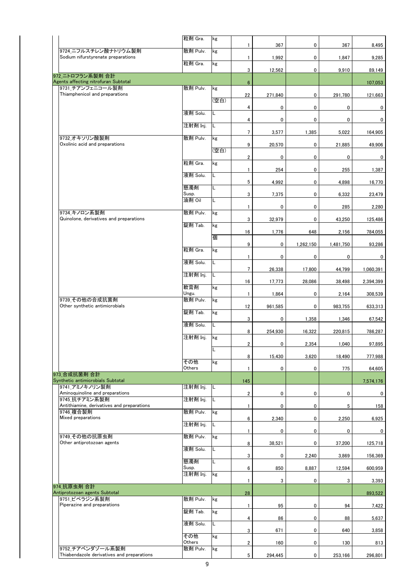|                                                                | 粒剤 Gra.           | kg   | 1                       | 367     | 0           | 367       | 8,495       |
|----------------------------------------------------------------|-------------------|------|-------------------------|---------|-------------|-----------|-------------|
| 9724 ニフルスチレン酸ナトリウム製剤<br>Sodium nifurstyrenate preparations     | 散剤 Pulv.          | kg   |                         |         |             |           |             |
|                                                                | 粒剤 Gra.           | kg   | $\mathbf{1}$            | 1,992   | 0           | 1,847     | 9,285       |
| 972 ニトロフラン系製剤 合計                                               |                   |      | 3                       | 12,562  | 0           | 9,910     | 89,149      |
| Agents affecting nitrofuran Subtotal<br>9731 チアンフェニコール製剤       | 散剤 Pulv.          | kg   | $6\phantom{.0}$         |         |             |           | 107,053     |
| Thiamphenicol and preparations                                 |                   |      | 22                      | 271,840 | 0           | 291,780   | 121,663     |
|                                                                |                   | (空白) | 4                       | 0       | 0           | 0         | 0           |
|                                                                | 液剤 Solu.          | L    | 4                       | 0       | $\mathbf 0$ | 0         | 0           |
|                                                                | 注射剤 Inj.          | L    | $\overline{7}$          | 3,577   | 1,385       | 5,022     | 164,905     |
| 9732 オキソリン酸製剤<br>Oxolinic acid and preparations                | 散剤 Pulv.          | kg   | 9                       | 20,570  | 0           | 21,885    | 49,906      |
|                                                                |                   | (空白) | $\overline{2}$          | 0       | 0           | 0         | 0           |
|                                                                | 粒剤 Gra.           | kg   |                         |         |             |           |             |
|                                                                | 液剤 Solu.          | L    | 1                       | 254     | 0           | 255       | 1,387       |
|                                                                | 懸濁剤               | L    | 5                       | 4,992   | 0           | 4,898     | 16,770      |
|                                                                | Susp.<br>油剤 Oil   | L    | 3                       | 7,375   | 0           | 6,332     | 23,479      |
|                                                                |                   |      | 1                       | 0       | 0           | 285       | 2,280       |
| 9734 キノロン系製剤<br>Quinolone, derivatives and preparations        | 散剤 Pulv.          | kg   | 3                       | 32,979  | 0           | 43.250    | 125,486     |
|                                                                | 錠剤 Tab.           | kg   | 16                      | 1,776   | 648         | 2,156     | 784,055     |
|                                                                |                   | 個    | 9                       | 0       | 1,262,150   | 1,481,750 | 93,286      |
|                                                                | 粒剤 Gra.           | kg   | $\mathbf{1}$            | 0       | 0           | 0         | 0           |
|                                                                | 液剤 Solu.          | L    | 7                       | 26,338  | 17,800      | 44,799    | 1,060,391   |
|                                                                | 注射剤 Inj.          | L    |                         |         |             |           |             |
|                                                                | 軟膏剤               | kg   | 16                      | 17,773  | 28,086      | 38,498    | 2,394,399   |
| 9739 その他の合成抗菌剤                                                 | Ungu.<br>散剤 Pulv. | kg   | $\mathbf{1}$            | 1,864   | 0           | 2,164     | 308,539     |
| Other synthetic antimicrobials                                 | 錠剤 Tab.           | kg   | 12                      | 961,585 | 0           | 983,755   | 633,313     |
|                                                                | 液剤 Solu.          | L    | 3                       | 0       | 1,358       | 1,346     | 67,542      |
|                                                                |                   |      | 8                       | 254,930 | 16.322      | 220,815   | 786,287     |
|                                                                | 注射剤 Inj.          | kg   | $\overline{2}$          | 0       | 2,354       | 1,040     | 97,895      |
|                                                                |                   | L    | 8                       | 15,430  | 3,620       | 18,490    | 777,988     |
|                                                                | その他<br>Others     | kg   | 1                       | 0       | 0           | 775       | 64,605      |
| 973_合成抗菌剤 合計<br>Synthetic antimicrobials Subtotal              |                   |      |                         |         |             |           |             |
| 9741 アミノキノリン製剤                                                 | 注射剤 Inj.          | L    | 145                     |         |             |           | 7,574,176   |
| Aminoquinoline and preparations<br>9745 抗チアミン系製剤               | 注射剤 Inj.          | L    | $\overline{\mathbf{c}}$ | 0       | 0           | 0         | 0           |
| Antithiamine, derivatives and preparations<br>9746 複合製剤        | 散剤 Pulv.          | kg   | 1                       | 0       | 0           | 5         | 158         |
| Mixed preparations                                             | 注射剤 Inj.          | L    | 6                       | 2,340   | 0           | 2,250     | 6,925       |
|                                                                |                   |      | $\mathbf{1}$            | 0       | 0           | 0         | $\mathbf 0$ |
| 9749 その他の抗原虫剤<br>Other antiprotozoan agents                    | 散剤 Pulv.          | kg   | 8                       | 38,521  | 0           | 37,200    | 125,718     |
|                                                                | 液剤 Solu.          | L    | 3                       | 0       | 2,240       | 3,869     | 156,369     |
|                                                                | 懸濁剤<br>Susp.      | Г    | 6                       | 850     | 8,887       | 12,594    | 600,959     |
|                                                                | 注射剤 Inj.          | kg   | 1                       |         |             |           |             |
| 974 抗原虫剤 合計                                                    |                   |      |                         | 3       | 0           | 3         | 3,393       |
| Antiprotozoan agents Subtotal<br>9751 ピペラジン系製剤                 | 散剤 Pulv.          | kg   | 28                      |         |             |           | 893,522     |
| Piperazine and preparations                                    | 錠剤 Tab.           | kg   | 1                       | 95      | 0           | 94        | 7,422       |
|                                                                | 液剤 Solu.          | L    | 4                       | 86      | 0           | 88        | 5,637       |
|                                                                | その他               | kg   | 3                       | 671     | 0           | 640       | 3,858       |
|                                                                | Others            |      | $\overline{\mathbf{c}}$ | 160     | 0           | 130       | 813         |
| 9752 チアベンダゾール系製剤<br>Thiabendazole derivatives and preparations | 散剤 Pulv.          | kg   | $5\phantom{.0}$         | 294,445 | $\mathbf 0$ | 253,166   | 296,801     |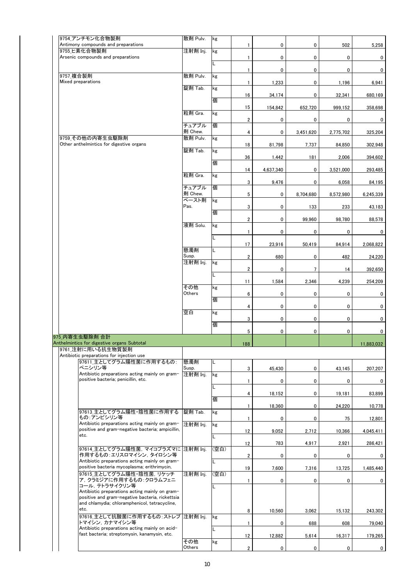| 9754 アンチモン化合物製剤<br>Antimony compounds and preparations                                             | 散剤 Pulv.            | kg   | 1                       | 0           | 0         | 502       | 5,258      |
|----------------------------------------------------------------------------------------------------|---------------------|------|-------------------------|-------------|-----------|-----------|------------|
| 9755 ヒ素化合物製剤<br>Arsenic compounds and preparations                                                 | 注射剤 Inj.            | kg   |                         |             |           |           |            |
|                                                                                                    |                     | L    | 1                       | $\mathbf 0$ | 0         | 0         | 0          |
| 9757_複合製剤                                                                                          | 散剤 Pulv.            | kg   | 1                       | $\mathbf 0$ | 0         | 0         | 0          |
| Mixed preparations                                                                                 | 錠剤 Tab.             | kg   | 1                       | 1,233       | 0         | 1,196     | 6,941      |
|                                                                                                    |                     |      | 16                      | 34,174      | 0         | 32,341    | 680,169    |
|                                                                                                    |                     | 個    | 15                      | 154,842     | 652,720   | 999,152   | 358,698    |
|                                                                                                    | 粒剤 Gra.             | kg   | $\overline{\mathbf{c}}$ | 0           | 0         | 0         | 0          |
|                                                                                                    | チュアブル               | 個    |                         |             |           |           |            |
| 9759 その他の内寄生虫駆除剤                                                                                   | 剤 Chew.<br>散剤 Pulv. | kg   | 4                       | $\mathbf 0$ | 3,451,620 | 2,775,702 | 325,204    |
| Other anthelmintics for digestive organs                                                           | 錠剤 Tab.             | kg   | 18                      | 81,798      | 7,737     | 84,850    | 302,948    |
|                                                                                                    |                     | 個    | 36                      | 1,442       | 181       | 2,006     | 394,602    |
|                                                                                                    |                     |      | 14                      | 4,637,340   | 0         | 3,521,000 | 293,485    |
|                                                                                                    | 粒剤 Gra.             | kg   | 3                       | 9,476       | 0         | 6,058     | 84,195     |
|                                                                                                    | チュアブル<br>剤 Chew.    | 個    | 5                       | 0           |           |           |            |
|                                                                                                    | ペースト剤               | kg   |                         |             | 8,704,680 | 8,572,980 | 6,245,339  |
|                                                                                                    | Pas.                | 個    | 3                       | 0           | 133       | 233       | 43,183     |
|                                                                                                    | 液剤 Solu.            | kg   | $\overline{\mathbf{2}}$ | 0           | 99,960    | 98.780    | 88,578     |
|                                                                                                    |                     |      | $\mathbf{1}$            | 0           | 0         | 0         | 0          |
|                                                                                                    |                     | L    | 17                      | 23,916      | 50,419    | 84,914    | 2,068,822  |
|                                                                                                    | 懸濁剤<br>Susp.        | L    | 2                       | 680         | 0         | 482       | 24,220     |
|                                                                                                    | 注射剤 Inj.            | kg   | 2                       | 0           | 7         | 14        |            |
|                                                                                                    |                     |      |                         |             |           |           | 392,650    |
|                                                                                                    | その他                 | kg   | 11                      | 1,584       | 2,346     | 4,239     | 254,209    |
|                                                                                                    | Others              | 個    | 6                       | 0           | 0         | 0         | 0          |
|                                                                                                    | 空白                  | kg   | 4                       | $\mathbf 0$ | 0         | 0         | 0          |
|                                                                                                    |                     |      | 3                       | $\mathbf 0$ | 0         | 0         | 0          |
|                                                                                                    |                     | 個    | 5                       | 0           | 0         | 0         | 0          |
| 975 内寄生虫駆除剤 合計<br>Anthelmintics for digestive organs Subtotal                                      |                     |      | 188                     |             |           |           | 11,883,032 |
| 9761 注射に用いる抗生物質製剤<br>Antibiotic preparations for injection use                                     |                     |      |                         |             |           |           |            |
| 97611 主としてグラム陽性菌に作用するもの:                                                                           | 懸濁剤                 | L    |                         |             |           |           |            |
| ペニシリン等<br>Antibiotic preparations acting mainly on gram-                                           | Susp.<br>注射剤 Inj.   | kg   | 3                       | 45,430      | 0         | 43,145    | 207,207    |
| positive bacteria; penicillin, etc.                                                                |                     |      | $\mathbf{1}$            | 0           | 0         | 0         | 0          |
|                                                                                                    |                     | 個    | 4                       | 18,152      | 0         | 19,181    | 83,899     |
|                                                                                                    |                     |      | 1                       | 18,360      | 0         | 24,220    | 10,778     |
| 97613 主としてグラム陽性・陰性菌に作用する<br>もの:アンピシリン等                                                             | 錠剤 Tab.             | kg   | 1                       | 0           | 0         | 75        | 12,801     |
| Antibiotic preparations acting mainly on gram-<br>positive and gram-negative bacteria; ampicillin, | 注射剤 Inj.            | kg   | 12                      | 9,052       | 2,712     | 10,366    | 4,045,411  |
| etc.                                                                                               |                     |      |                         |             |           |           |            |
| 97614_主としてグラム陽性菌, マイコプラズマに 注射剤 Inj.                                                                |                     | (空白) | 12                      | 783         | 4,917     | 2,921     | 286,421    |
| 作用するもの:エリスロマイシン, タイロシン等<br>Antibiotic preparations acting mainly on gram-                          |                     |      | $\overline{2}$          | 0           | 0         | 0         | 0          |
| positive bacteria mycoplasma; erithrimycin,<br>97615_主としてグラム陽性·陰性菌, リケッチ                           | 注射剤 Inj.            | (空白) | 19                      | 7,600       | 7,316     | 13,725    | 1,485,440  |
| ア, クラミジアに作用するもの : クロラムフェニ                                                                          |                     |      | $\mathbf{1}$            | 0           | 0         | 0         | 0          |
| コール, テトラサイクリン等<br>Antibiotic preparations acting mainly on gram-                                   |                     |      |                         |             |           |           |            |
| positive and gram-negative bacteria, rickettsia<br>and chlamydia; chloramphenicol, tetracycline,   |                     |      |                         |             |           |           |            |
| etc.<br>97616_主として抗酸菌に作用するもの: ストレプ                                                                 | 注射剤 Inj.            | kg   | 8                       | 10,560      | 3,062     | 15,132    | 243,302    |
| トマイシン,カナマイシン等                                                                                      |                     |      | 1                       | 0           | 688       | 608       | 79,040     |
| Antibiotic preparations acting mainly on acid-<br>fast bacteria; streptomysin, kanamysin, etc.     |                     | L    | 12                      | 12,882      | 5,614     | 16,317    | 179,265    |
|                                                                                                    | その他<br>Others       | kg   | $\overline{2}$          | 0           | 0         | 0         | 0          |
|                                                                                                    |                     |      |                         |             |           |           |            |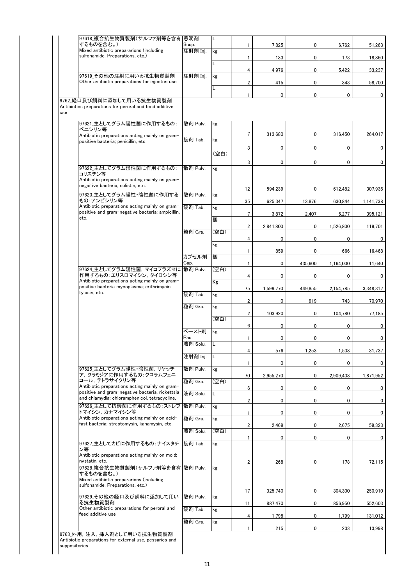| 97618 複合抗生物質製剤(サルファ剤等を含有 懸濁剤                                                                       |                   | L    |                         |           |         |           |           |
|----------------------------------------------------------------------------------------------------|-------------------|------|-------------------------|-----------|---------|-----------|-----------|
| するものを含む。)<br>Mixed antibiotic prepararions (including                                              | Susp.<br>注射剤 Inj. | kg   | 1                       | 7,825     | 0       | 6,762     | 51,263    |
| sulfonamide. Preparations, etc.)                                                                   |                   |      | 1                       | 133       | 0       | 173       | 18,860    |
|                                                                                                    |                   | L    | 4                       | 4,976     | 0       | 5,422     | 33,237    |
| 97619 その他の注射に用いる抗生物質製剤                                                                             | 注射剤 Inj.          | kg   |                         |           |         |           |           |
| Other antibiotic preparations for injecton use                                                     |                   | Г    | $\overline{2}$          | 415       | 0       | 343       | 58,700    |
| 9762 経口及び飼料に添加して用いる抗生物質製剤                                                                          |                   |      | 1                       | 0         | 0       | 0         |           |
| Antibiotics preparations for peroral and feed additive                                             |                   |      |                         |           |         |           |           |
| 97621 主としてグラム陽性菌に作用するもの:<br>ペニシリン等<br>Antibiotic preparations acting mainly on gram-               | 散剤 Pulv.          | kg   | $\overline{7}$          | 313,680   | 0       | 316,450   | 264,017   |
| positive bacteria; penicillin, etc.                                                                | 錠剤 Tab.           | kg   | 3                       | 0         | 0       | 0         |           |
|                                                                                                    |                   | (空白) | 3                       | 0         | 0       | 0         |           |
| 97622_主としてグラム陰性菌に作用するもの:<br>コリスチン等                                                                 | 散剤 Pulv.          | kg   |                         |           |         |           |           |
| Antibiotic preparations acting mainly on gram-<br>negaitive bacteria; colistin, etc.               |                   |      | 12                      | 594,239   | 0       | 612,482   | 307,936   |
| 97623_主としてグラム陽性·陰性菌に作用する<br>もの:アンピシリン等                                                             | 散剤 Pulv.          | kg   | 35                      | 625,347   | 13,876  | 630,844   | 1,141,738 |
| Antibiotic preparations acting mainly on gram-<br>positive and gram-negative bacteria; ampicillin, | 錠剤 Tab.           | kg   | 7                       | 3,872     | 2,407   | 6,277     | 395,121   |
| etc.                                                                                               |                   | 個    |                         |           |         |           |           |
|                                                                                                    | 粒剤 Gra.           | (空白) | $\overline{2}$          | 2,841,800 | 0       | 1,526,800 | 119,701   |
|                                                                                                    |                   | kg   | 4                       | 0         | 0       | 0         |           |
|                                                                                                    |                   |      | $\mathbf{1}$            | 859       | 0       | 666       | 16,468    |
|                                                                                                    | カプセル剤<br>Cap.     | 個    | 1                       | 0         | 435,600 | 1,164,000 | 11,640    |
| 97624_主としてグラム陽性菌, マイコプラズマに<br>作用するもの:エリスロマイシン, タイロシン等                                              | 散剤 Pulv.          | (空白) | 4                       | 0         | 0       | 0         |           |
| Antibiotic preparations acting mainly on gram-<br>positive bacteria mycoplasma; erithrimycin,      |                   | Kg   | 75                      | 1,599,770 | 449,855 | 2,154,785 | 3,348,317 |
| tylosin, etc.                                                                                      | 錠剤 Tab.           | kg   |                         |           |         |           |           |
|                                                                                                    | 粒剤 Gra.           | kg   | $\boldsymbol{2}$        | 0         | 919     | 743       | 70,970    |
|                                                                                                    |                   | (空白) | $\overline{2}$          | 103,920   | 0       | 104,780   | 77,185    |
|                                                                                                    |                   |      | 6                       | 0         | 0       | 0         |           |
|                                                                                                    | ペースト剤<br>Pas.     | kg   | $\mathbf{1}$            | 0         | 0       | 0         |           |
|                                                                                                    | 液剤 Solu.          | IL.  |                         |           |         |           |           |
|                                                                                                    | 注射剤 Inj.          | L    | 4                       | 576       | 1,253   | 1,538     | 31,737    |
| 97625_主としてグラム陽性・陰性菌, リケッチ                                                                          | 散剤 Pulv.          | kg   | 1                       | 0         | 0       | 0         |           |
| ア, クラミジアに作用するもの :クロラムフェニ                                                                           |                   |      | 70                      | 2,955,270 | 0       | 2,909,438 | 1,871,952 |
| コール, テトラサイクリン等<br>Antibiotic preparations acting mainly on gram-                                   | 粒剤 Gra.           | (空白) | 6                       | 0         | 0       | 0         |           |
| positive and gram-negative bacteria, rickettsia<br>and chlamydia: chloramphenicol, tetracycline.   | 液剤 Solu.          | L    | 2                       | 0         | 0       | 0         |           |
| 97626_主として抗酸菌に作用するもの: ストレプ<br>トマイシン,カナマイシン等                                                        | 散剤 Pulv.          | kg   | $\mathbf{1}$            | 0         | 0       | 0         |           |
| Antibiotic preparations acting mainly on acid-<br>fast bacteria; streptomysin, kanamysin, etc.     | 粒剤 Gra.           | kg   |                         |           |         |           |           |
|                                                                                                    | 液剤 Solu.          | (空白) | $\overline{\mathbf{2}}$ | 2,469     | 0       | 2,675     | 59,323    |
| 97627_主としてカビに作用するもの:ナイスタチ                                                                          | 錠剤 Tab.           | kg   | $\mathbf{1}$            | 0         | 0       | 0         |           |
| ン等<br>Antibiotic preparations acting mainly on mold;<br>nystatin, etc.                             |                   |      |                         |           |         |           |           |
| 97628_複合抗生物質製剤(サルファ剤等を含有 散剤 Pulv.                                                                  |                   | kg   | 2                       | 268       | 0       | 178       | 72,115    |
| するものを含む。)<br>Mixed antibiotic prepararions (including<br>sulfonamide. Preparations, etc.)          |                   |      |                         |           |         |           |           |
| 97629 その他の経口及び飼料に添加して用い                                                                            | 散剤 Pulv.          | kg   | 17                      | 325,740   | 0       | 304,300   | 250,910   |
| る抗生物質製剤<br>Other antibiotic preparations for peroral and                                           | 錠剤 Tab.           | kg   | 11                      | 887,470   | 0       | 856,950   | 552,603   |
| feed additive use                                                                                  |                   |      | 4                       | 1,798     | 0       | 1,799     | 131,012   |
|                                                                                                    | 粒剤 Gra.           | kg   | $\mathbf{1}$            | 215       | 0       | 233       | 13,998    |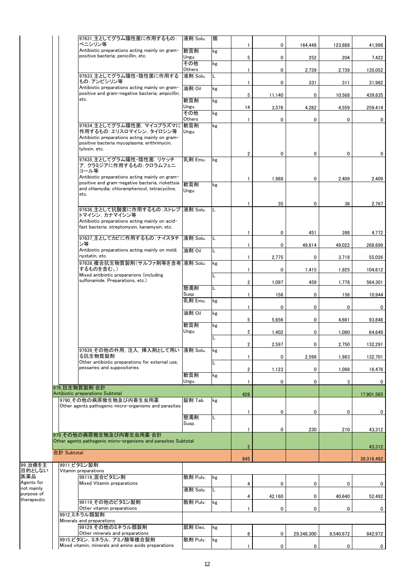|                           |             | 97631_主としてグラム陽性菌に作用するもの:<br>ペニシリン等                                                                 | 液剤 Solu.           | 個  | 1              | 0      | 164,448    | 123,888   | 41,998       |
|---------------------------|-------------|----------------------------------------------------------------------------------------------------|--------------------|----|----------------|--------|------------|-----------|--------------|
|                           |             | Antibiotic preparations acting mainly on gram-<br>positive bacteria; penicillin, etc.              | 軟膏剤                | kg |                |        |            |           |              |
|                           |             |                                                                                                    | Ungu.<br>その他       | kg | 5              | 0      | 252        | 204       | 7,422        |
|                           |             | 97633 主としてグラム陽性・陰性菌に作用する                                                                           | Others<br>液剤 Solu. |    | 1              | 0      | 2,739      | 2,739     | 135,052      |
|                           |             | もの:アンピシリン等                                                                                         |                    |    | $\mathbf{1}$   | 0      | 331        | 311       | 31,982       |
|                           |             | Antibiotic preparations acting mainly on gram-<br>positive and gram-negative bacteria; ampicillin, | 油剤 Oil             | kg | 5              | 11,140 | 0          | 10,568    | 439,835      |
|                           |             | etc.                                                                                               | 軟膏剤                | kg |                |        |            |           |              |
|                           |             |                                                                                                    | Ungu.<br>その他       | kg | 14             | 3,576  | 4,282      | 4,559     | 259,414      |
|                           |             |                                                                                                    | Others             |    | $\mathbf{1}$   | 0      | 0          | 0         | 0            |
|                           |             | 97634 主としてグラム陽性菌. マイコプラズマに 軟膏剤<br>作用するもの:エリスロマイシン, タイロシン等                                          | Ungu.              | kg |                |        |            |           |              |
|                           |             | Antibiotic preparations acting mainly on gram-<br>positive bacteria mycoplasma; erithrimycin,      |                    |    |                |        |            |           |              |
|                           |             | tylosin, etc.                                                                                      |                    |    | $\overline{2}$ | 0      | 0          | 0         | 0            |
|                           |             | 97635_主としてグラム陽性・陰性菌, リケッチ                                                                          | 乳剤 Emu.            | kg |                |        |            |           |              |
|                           |             | ア. クラミジアに作用するもの:クロラムフェニ<br>コール等                                                                    |                    |    |                |        |            |           |              |
|                           |             | Antibiotic preparations acting mainly on gram-<br>positive and gram-negative bacteria, rickettsia  |                    |    | $\mathbf{1}$   | 1,988  | 0          | 2,409     | 2,409        |
|                           |             | and chlamydia; chloramphenicol, tetracycline,                                                      | 軟膏剤<br>Ungu.       | kg |                |        |            |           |              |
|                           |             | etc.                                                                                               |                    |    | 1              | 35     | 0          | 36        | 2,767        |
|                           |             | 97636_主として抗酸菌に作用するもの:ストレプ  液剤 Solu.                                                                |                    |    |                |        |            |           |              |
|                           |             | トマイシン, カナマイシン等<br>Antibiotic preparations acting mainly on acid-                                   |                    |    |                |        |            |           |              |
|                           |             | fast bacteria; streptomysin, kanamysin, etc.                                                       |                    |    | $\mathbf{1}$   | 0      | 451        | 398       | 4,772        |
|                           |             | 97637 主としてカビに作用するもの:ナイスタチ                                                                          | 液剤 Solu.           | L  |                |        |            |           |              |
|                           |             | ン等<br>Antibiotic preparations acting mainly on mold;                                               | 油剤 Oil             | L  | $\mathbf{1}$   | 0      | 49,614     | 49,022    | 268,699      |
|                           |             | nystatin, etc.                                                                                     |                    |    | $\mathbf{1}$   | 2,775  | 0          | 3,718     | 55,026       |
|                           |             | 97638_複合抗生物質製剤(サルファ剤等を含有  液剤 Solu.<br>するものを含む。)                                                    |                    | kg | $\mathbf{1}$   | 0      | 1,415      | 1,925     | 104,612      |
|                           |             | Mixed antibiotic prepararions (including<br>sulfonamide. Preparations, etc.)                       |                    | Г  | 2              | 1,097  | 459        | 1,778     | 564,301      |
|                           |             |                                                                                                    | 懸濁剤                | Г  |                |        |            |           |              |
|                           |             |                                                                                                    | Susp.<br>乳剤 Emu.   | kg | 1              | 156    | 0          | 156       | 10,944       |
|                           |             |                                                                                                    |                    |    | $\mathbf{1}$   | 0      | 0          | 0         | 0            |
|                           |             |                                                                                                    | 油剤 Oil             | kg | 5              | 5,656  | 0          | 4,661     | 93.848       |
|                           |             |                                                                                                    | 軟膏剤<br>Ungu.       | kg | 2              |        | 0          | 1,080     | 64,649       |
|                           |             |                                                                                                    |                    | L  |                | 1,402  |            |           |              |
|                           |             | 97639_その他の外用,注入, 挿入剤として用い 夜剤 Solu.                                                                 |                    | kg | $\overline{2}$ | 2,597  | 0          | 2,750     | 132,291      |
|                           |             | る抗生物質製剤<br>Other antibiotic preparations for external use,                                         |                    |    | 1              | 0      | 2,598      | 1,983     | 132,701      |
|                           |             | pessaries and suppositories                                                                        |                    | L  | 2              | 1,123  | 0          | 1,098     | 16,476       |
|                           |             |                                                                                                    | 軟膏剤<br>Ungu.       | kg | 1              | 0      | 0          | 3         | 0            |
|                           |             | 976 抗生物質製剤 合計                                                                                      |                    |    |                |        |            |           |              |
|                           |             | Antibiotic preparations Subtotal<br>9790 その他の病原微生物及び内寄生虫用薬                                         | 錠剤 Tab.            | kg | 428            |        |            |           | 17,901,565   |
|                           |             | Other agents pathogenic micro-organisms and parasites                                              |                    |    | 1              | 0      | 0          | 0         | 0            |
|                           |             |                                                                                                    | 懸濁剤                | L  |                |        |            |           |              |
|                           |             |                                                                                                    | Susp.              |    | 1              | 0      | 230        | 210       | 43,312       |
|                           |             | 979 その他の病原微生物及び内寄生虫用薬 合計<br>Other agents pathogenic micro-organisms and parasites Subtotal         |                    |    |                |        |            |           |              |
|                           |             |                                                                                                    |                    |    | $\overline{2}$ |        |            |           | 43,312       |
|                           | 合計 Subtotal |                                                                                                    |                    |    | 845            |        |            |           | 39,316,492   |
| 99_治療を主<br>目的としない         |             | 9911_ビタミン製剤<br>Vitamin preparations                                                                |                    |    |                |        |            |           |              |
| 医薬品                       |             | 99116 混合ビタミン剤                                                                                      | 散剤 Pulv.           | kg |                |        |            |           |              |
| Agents for<br>not mainly  |             | Mixed Vitamin preparations                                                                         | 液剤 Solu.           | L  | 4              | 0      | 0          | 0         | 0            |
| purpose of<br>therapeutic |             | 99119 その他のビタミン製剤                                                                                   | 散剤 Pulv.           |    | 4              | 42,160 | 0          | 40,640    | 52,492       |
|                           |             | Other vitamin preparations                                                                         |                    | kg | 1              | 0      | 0          | 0         | 0            |
|                           |             | 9912 ミネラル類製剤<br>Minerals and preparations                                                          |                    |    |                |        |            |           |              |
|                           |             | 99129 その他のミネラル類製剤                                                                                  | 舐剤 Elec.           | kg |                |        |            |           |              |
|                           |             | Other minerals and preparations<br>9915 ビタミン, ミネラル, アミノ酸等複合製剤                                      | 散剤 Pulv.           | kg | 8              | 0      | 29,348,300 | 8,540,672 | 842,972      |
|                           |             | Mixed vitamin, minerals and amino acids preparations                                               |                    |    | 1              | 0      | 0          | 0         | $\mathbf{0}$ |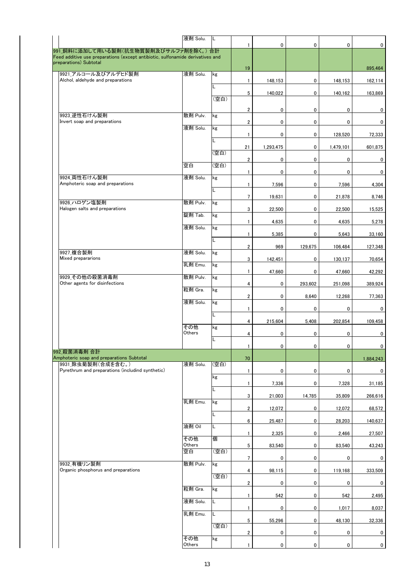|                                                                                                          | 液剤 Solu.      | IL.  |                         |           |              |             |                |
|----------------------------------------------------------------------------------------------------------|---------------|------|-------------------------|-----------|--------------|-------------|----------------|
| 991 飼料に添加して用いる製剤(抗生物質製剤及びサルファ剤を除く。)合計                                                                    |               |      | $\mathbf{1}$            | 0         | 0            | 0           | 0              |
| Feed additive use preparations (except antibiotic, sulfonamide derivatives and<br>preparations) Subtotal |               |      |                         |           |              |             |                |
| 9921 アルコール及びアルデヒド製剤                                                                                      | 液剤 Solu.      | kg   | 19                      |           |              |             | 895,464        |
| Alchol, aldehyde and preparations                                                                        |               |      | $\mathbf{1}$            | 148,153   | 0            | 148,153     | 162,114        |
|                                                                                                          |               | Г    | 5                       | 140,022   | 0            | 140,162     | 163,869        |
|                                                                                                          |               | (空白) |                         |           |              |             |                |
| 9923 逆性石けん製剤                                                                                             | 散剤 Pulv.      | kg   | $\overline{2}$          | 0         | 0            | 0           | 0              |
| Invert soap and preparations                                                                             |               |      | $\overline{\mathbf{c}}$ | 0         | 0            | 0           | $\overline{0}$ |
|                                                                                                          | 液剤 Solu.      | kg   | $\mathbf{1}$            | 0         | 0            | 128,520     | 72,333         |
|                                                                                                          |               | L    | 21                      | 1,293,475 | 0            | 1,479,101   | 601,875        |
|                                                                                                          |               | (空白) |                         |           |              |             |                |
|                                                                                                          | 空白            | (空白) | $\mathbf{2}$            | 0         | 0            | $\mathbf 0$ | $\mathbf{0}$   |
| 9924 両性石けん製剤                                                                                             | 液剤 Solu.      | kg   | $\mathbf{1}$            | 0         | 0            | 0           | 0              |
| Amphoteric soap and preparations                                                                         |               |      | $\mathbf{1}$            | 7,596     | 0            | 7,596       | 4,304          |
|                                                                                                          |               | L    | $7\overline{ }$         | 19.631    | 0            | 21,878      | 8,746          |
| 9926 ハロゲン塩製剤<br>Halogen salts and preparations                                                           | 散剤 Pulv.      | kg   | 3                       | 22,500    | 0            | 22,500      | 15,525         |
|                                                                                                          | 錠剤 Tab.       | kg   |                         |           |              |             |                |
|                                                                                                          | 液剤 Solu.      | kg   | $\mathbf{1}$            | 4,635     | 0            | 4,635       | 5,278          |
|                                                                                                          |               | L    | $\mathbf{1}$            | 5,385     | 0            | 5,643       | 33,160         |
|                                                                                                          |               |      | $\overline{2}$          | 969       | 129,675      | 106,484     | 127,348        |
| 9927 複合製剤<br>Mixed prepararions                                                                          | 液剤 Solu.      | kg   | 3                       | 142,451   | 0            | 130,137     | 70,654         |
|                                                                                                          | 乳剤 Emu.       | kg   | $\mathbf{1}$            | 47,660    | 0            | 47,660      | 42,292         |
| 9929 その他の殺菌消毒剤                                                                                           | 散剤 Pulv.      | kg   |                         |           |              |             |                |
| Other agents for disinfections                                                                           | 粒剤 Gra.       | kg   | 4                       | 0         | 293,602      | 251,098     | 389,924        |
|                                                                                                          | 液剤 Solu.      | kg   | $\overline{2}$          | 0         | 8,640        | 12,268      | 77,363         |
|                                                                                                          |               |      | $\mathbf{1}$            | 0         | 0            | 0           | 0              |
|                                                                                                          |               | L    | 4                       | 215,604   | 5,408        | 202.854     | 109,458        |
|                                                                                                          | その他<br>Others | kg   | 4                       | 0         | 0            | 0           | 0              |
|                                                                                                          |               | Г    |                         |           |              |             |                |
| 992 殺菌消毒剤 合計                                                                                             |               |      | $\mathbf{1}$            | 0         | $\mathbf{0}$ | 0           | $\overline{0}$ |
| Amphoteric soap and preparations Subtotal<br>9931 除虫菊製剤(合成を含む。)                                          | 液剤 Solu.      | (空白) | 70                      |           |              |             | 1.884.243      |
| Pyrethrum and preparations (includind synthetic)                                                         |               |      | $\mathbf{1}$            | 0         | 0            | 0           | 0              |
|                                                                                                          |               | kg   | $\mathbf{1}$            | 7,336     | 0            | 7,328       | 31,185         |
|                                                                                                          |               | Г    | 3                       | 21,003    | 14,785       | 35,809      | 266,616        |
|                                                                                                          | 乳剤 Emu.       | kg   |                         |           |              |             |                |
|                                                                                                          |               | Г    | $\overline{2}$          | 12,072    | 0            | 12,072      | 68,572         |
|                                                                                                          | 油剤 Oil        | Г    | 6                       | 25,487    | 0            | 28.203      | 140,637        |
|                                                                                                          | その他           | 個    | 1                       | 2,325     | 0            | 2,466       | 27,507         |
|                                                                                                          | Others        |      | 5                       | 83,540    | 0            | 83,540      | 43,243         |
|                                                                                                          | 空白            | (空白) | $7\overline{ }$         | 0         | 0            | 0           | 0              |
| 9932_有機リン製剤<br>Organic phosphorus and preparations                                                       | 散剤 Pulv.      | kg   | 4                       | 98,115    | 0            | 119,168     | 333,509        |
|                                                                                                          |               | (空白) |                         |           |              |             |                |
|                                                                                                          | 粒剤 Gra.       | kg   | $\overline{2}$          | 0         | 0            | 0           | 0              |
|                                                                                                          | 液剤 Solu.      | Г    | 1                       | 542       | 0            | 542         | 2,495          |
|                                                                                                          |               |      | 1                       | 0         | 0            | 1,017       | 8,037          |
|                                                                                                          | 乳剤 Emu.       | Г    | 5                       | 55,296    | 0            | 48,130      | 32,336         |
|                                                                                                          |               | (空白) | $\overline{\mathbf{2}}$ | 0         | 0            | 0           | 0              |
|                                                                                                          | その他           | kg   |                         |           |              |             |                |
|                                                                                                          | Others        |      | $\mathbf{1}$            | 0         | 0            | 0           | $\mathbf{0}$   |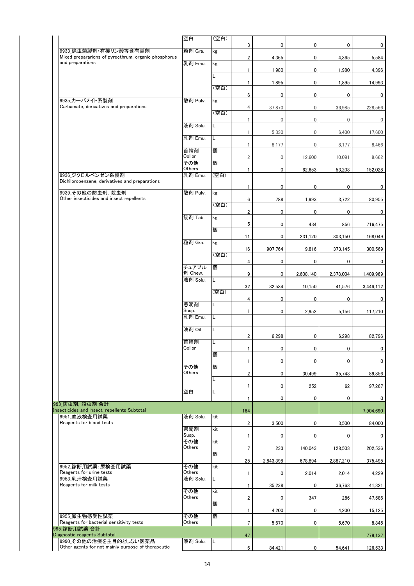|                                                                               | 空白               | (空白) |                         |                  |             |                  |           |
|-------------------------------------------------------------------------------|------------------|------|-------------------------|------------------|-------------|------------------|-----------|
|                                                                               |                  |      | 3                       | $\mathbf 0$      | 0           | 0                | 0         |
| 9933 除虫菊製剤・有機リン酸等含有製剤<br>Mixed prepararions of pyrecthrum, organic phosphorus | 粒剤 Gra.          | kg   | $\overline{\mathbf{c}}$ | 4,365            | 0           | 4,365            | 5,584     |
| and preparations                                                              | 乳剤 Emu.          | kg   |                         |                  |             |                  |           |
|                                                                               |                  | L    | 1                       | 1,980            | 0           | 1,980            | 4,396     |
|                                                                               |                  | (空白) | 1                       | 1,895            | 0           | 1,895            | 14,993    |
|                                                                               |                  |      | 6                       | $\mathbf 0$      | 0           | 0                | 0         |
| 9935 カーバメイト系製剤<br>Carbamate, derivatives and preparations                     | 散剤 Pulv.         | kg   | 4                       | 37,870           | 0           | 36,985           | 228,566   |
|                                                                               |                  | (空白) | 1                       | $\boldsymbol{0}$ | 0           | $\boldsymbol{0}$ | 0         |
|                                                                               | 液剤 Solu.         |      |                         |                  |             |                  |           |
|                                                                               | 乳剤 Emu.          | L    | 1                       | 5,330            | $\mathbf 0$ | 6,400            | 17,600    |
|                                                                               | 首輪剤              | 個    | $\mathbf{1}$            | 8,177            | $\mathbf 0$ | 8,177            | 8,466     |
|                                                                               | Collor           |      | $\overline{\mathbf{c}}$ | $\mathbf 0$      | 12,600      | 10,091           | 9,662     |
|                                                                               | その他<br>Others    | 個    | $\mathbf{1}$            | $\mathbf 0$      | 62,653      | 53,208           | 152,028   |
| 9936 ジクロルベンゼン系製剤<br>Dichilorobenzene, derivatives and preparations            | 乳剤 Emu.          | (空白) |                         |                  |             |                  |           |
| 9939 その他の防虫剤, 殺虫剤                                                             | 散剤 Pulv.         | kg   | 1                       | $\pmb{0}$        | 0           | 0                | 0         |
| Other insecticides and insect repellents                                      |                  |      | 6                       | 788              | 1,993       | 3,722            | 80,955    |
|                                                                               |                  | (空白) | $\overline{2}$          | 0                | 0           | 0                | 0         |
|                                                                               | 錠剤 Tab.          | kg   | 5                       | $\mathbf 0$      | 434         | 856              | 716,475   |
|                                                                               |                  | 個    |                         |                  |             |                  |           |
|                                                                               | 粒剤 Gra.          | kg   | 11                      | $\mathbf 0$      | 231,120     | 303,150          | 168,049   |
|                                                                               |                  | (空白) | 16                      | 907,764          | 9,816       | 373,145          | 300,569   |
|                                                                               |                  |      | 4                       | $\mathbf 0$      | 0           | 0                | 0         |
|                                                                               | チュアブル<br>剤 Chew. | 個    | 9                       | 0                | 2,608,140   | 2,378,004        | 1,409,969 |
|                                                                               | 液剤 Solu.         | L    | 32                      |                  |             |                  |           |
|                                                                               |                  | (空白) |                         | 32,534           | 10,150      | 41,576           | 3,446,112 |
|                                                                               | 懸濁剤              | L    | 4                       | $\pmb{0}$        | 0           | 0                | 0         |
|                                                                               | Susp.<br>乳剤 Emu. | L    | $\mathbf{1}$            | $\mathbf 0$      | 2,952       | 5,156            | 117,210   |
|                                                                               |                  |      |                         |                  |             |                  |           |
|                                                                               | 油剤 Oil           | L    | $\overline{\mathbf{2}}$ | 6,298            | 0           | 6,298            | 82,796    |
|                                                                               | 首輪剤<br>Collor    | L    |                         |                  |             |                  |           |
|                                                                               |                  | 個    | 1                       | 0                | 0           | 0                | 0         |
|                                                                               | その他              | 個    | $\mathbf{1}$            | 0                | 0           | 0                | 0         |
|                                                                               | Others           |      | $\overline{\mathbf{2}}$ | 0                | 30,499      | 35,743           | 89,856    |
|                                                                               |                  |      | $\mathbf{1}$            | 0                | 252         | 62               | 97,267    |
|                                                                               | 空白               | L    | $\mathbf{1}$            | 0                | 0           | 0                | 0         |
| 993 防虫剤, 殺虫剤 合計<br>Insecticides and insect-repellents Subtotal                |                  |      | 164                     |                  |             |                  | 7,904,690 |
| 9951 血液検査用試薬                                                                  | 液剤 Solu.         | kit  |                         |                  |             |                  |           |
| Reagents for blood tests                                                      | 懸濁剤              | kit  | $\overline{\mathbf{2}}$ | 3,500            | 0           | 3,500            | 84,000    |
|                                                                               | Susp.<br>その他     | kit  | $\mathbf{1}$            | $\mathbf 0$      | 0           | 0                | 0         |
|                                                                               | Others           |      | $\overline{7}$          | 233              | 140,043     | 128,503          | 202,536   |
|                                                                               |                  | 個    | 25                      | 2,843,398        | 678,894     | 2,887,210        | 375,495   |
| 9952 診断用試薬: 尿検査用試薬<br>Reagents for urine tests                                | その他<br>Others    | kit  | $\mathbf{1}$            | 0                | 2,014       | 2,014            | 4,229     |
| 9953 乳汁検査用試薬                                                                  | 液剤 Solu.         | L.   |                         |                  |             |                  |           |
| Reagents for milk tests                                                       | その他              | kit  | $\mathbf{1}$            | 35,238           | 0           | 36,763           | 41,321    |
|                                                                               | Others           | 個    | $\overline{2}$          | 0                | 347         | 286              | 47,586    |
|                                                                               |                  |      | $\mathbf{1}$            | 4,200            | 0           | 4,200            | 15,125    |
| 9955 微生物感受性試薬<br>Reagents for bacterial sensitivity tests                     | その他<br>Others    | 個    | $7\overline{ }$         | 5,670            | 0           | 5,670            | 8,845     |
| 995 診断用試薬 合計<br>Diagnostic reagents Subtotal                                  |                  |      | 47                      |                  |             |                  | 779,137   |
| 9990 その他の治療を主目的としない医薬品                                                        | 液剤 Solu.         | L    |                         |                  |             |                  |           |
| Other agents for not mainly purpose of therapeutic                            |                  |      | 6                       | 84,421           | $\mathbf 0$ | 54,641           | 126,533   |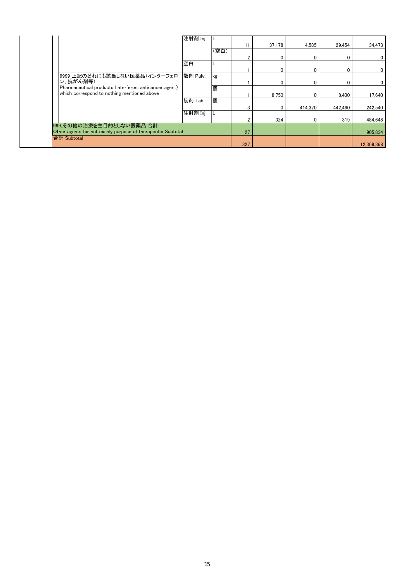|                                                             | 注射剤 Inj. |      |     |        |             |         |             |
|-------------------------------------------------------------|----------|------|-----|--------|-------------|---------|-------------|
|                                                             |          |      | 11  | 37,178 | 4,585       | 29,454  | 34,473      |
|                                                             |          | (空白) |     |        |             |         |             |
|                                                             |          |      |     |        | 0           |         | $\mathbf 0$ |
|                                                             | 空白       |      |     |        |             |         |             |
|                                                             |          |      |     |        | $\mathbf 0$ |         | $\mathbf 0$ |
| 9999_上記のどれにも該当しない医薬品(インターフェロ                                | 散剤 Pulv. | kg   |     |        |             |         |             |
| ン、抗がん剤等)                                                    |          |      |     |        | 0           |         | $\mathbf 0$ |
| Pharmaceutical products (interferon, anticancer agent)      |          | 個    |     |        |             |         |             |
| which correspond to nothing mentioned above                 |          |      |     | 8.750  | 0           | 8.400   | 17,640      |
|                                                             | 錠剤 Tab.  | 個    |     |        |             |         |             |
|                                                             |          |      |     |        | 414.320     | 442.460 | 242,540     |
|                                                             | 注射剤 Inj. |      |     |        |             |         |             |
|                                                             |          |      |     | 324    |             | 319     | 484.648     |
| 999_その他の治療を主目的としない医薬品 合計                                    |          |      |     |        |             |         |             |
| Other agents for not mainly purpose of therapeutic Subtotal |          |      | 27  |        |             |         | 905,834     |
| 合計 Subtotal                                                 |          |      |     |        |             |         |             |
|                                                             |          |      | 327 |        |             |         | 12,369,368  |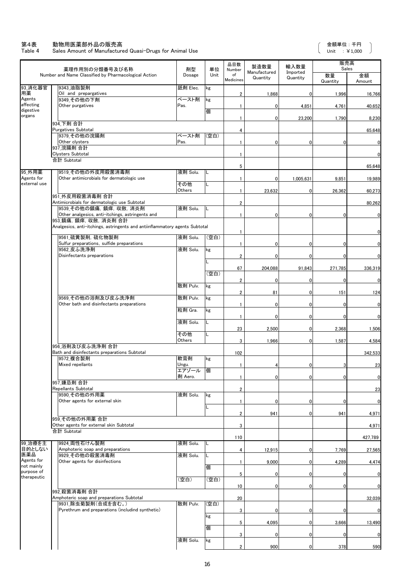#### 第4表 動物用医薬部外品の販売高

Table 4 Sales Amount of Manufactured Quasi-Drugs for Animal Use

金額単位 : 千円 Unit : ¥1,000

 $\overline{\phantom{a}}$ 

ſ

|                           | 薬理作用別の分類番号及び名称                                                              | 剤型             | 単位   | 品目数<br>Number           | 製造数量                     | 輸入数量                 | 販売高<br>Sales   |              |
|---------------------------|-----------------------------------------------------------------------------|----------------|------|-------------------------|--------------------------|----------------------|----------------|--------------|
|                           | Number and Name Classified by Pharmacological Action                        | Dosage         | Unit | of<br>Medicines         | Manufactured<br>Quantity | Imported<br>Quantity | 数量<br>Quantity | 金額<br>Amount |
| 93_消化器官<br>用薬             | 9343_油脂製剤<br>Oil and prepargatives                                          | 舐剤 Elec.       | kg   | $\overline{2}$          | 1,868                    | 0                    | 1,996          | 16,766       |
| Agents<br>affecting       | 9349 その他の下剤<br>Other purgatives                                             | ペースト剤<br>Pas.  | kg   | $\mathbf{1}$            | 0                        | 4,851                | 4,761          | 40,652       |
| digestive<br>organs       |                                                                             |                | 個    | 1                       | 0                        | 23,200               | 1,790          | 8,230        |
|                           | 934 下剤 合計                                                                   |                |      |                         |                          |                      |                |              |
|                           | <b>Purgatives Subtotal</b><br>9379 その他の浣腸剤                                  | ペースト剤          | (空白) | 4                       |                          |                      |                | 65,648       |
|                           | Other clysters<br>937 浣腸剤 合計                                                | Pas.           |      | $\mathbf{1}$            | 0                        | 0                    | 0              | 0            |
|                           | <b>Clysters Subtotal</b><br>合計 Subtotal                                     |                |      | $\overline{1}$          |                          |                      |                | 0            |
|                           |                                                                             |                |      | 5                       |                          |                      |                | 65,648       |
| 95_外用薬<br>Agents for      | 9519_その他の外皮用殺菌消毒剤<br>Other antimicrobials for dermatologic use              | 液剤 Solu.       |      | 1                       | 0                        | 1,005,631            | 9,851          | 19,989       |
| external use              |                                                                             | その他<br>Others  |      | 1                       | 23,632                   | 0                    | 26,362         | 60,273       |
|                           | 951 外皮用殺菌消毒剤 合計<br>Antimicrobials for dermatologic use Subtotal             |                |      | $\overline{\mathbf{c}}$ |                          |                      |                | 80,262       |
|                           | 9539_その他の鎮痛,鎮痒,収斂,消炎剤                                                       | 液剤 Solu.       |      |                         |                          |                      |                |              |
|                           | Other analgesics, anti-itchings, astringents and<br>953 鎮痛, 鎮痒, 収斂, 消炎剤 合計  |                |      |                         | 0                        | 0                    | 0              | 0            |
|                           | Analgesics, anti-itchings, astringents and antiinflammatory agents Subtotal |                |      |                         |                          |                      |                | O            |
|                           | 9561 硫黄製剤, 硫化物製剤<br>Sulfur preparations, sulfide preparations               | 液剤 Solu.       | (空白) | 1                       | 0                        | 0                    | 0              |              |
|                           | 9562 皮ふ洗浄剤<br>Disinfectants preparations                                    | 液剤 Solu.       | kg   | $\overline{2}$          | $\Omega$                 | $\Omega$             | U              |              |
|                           |                                                                             |                |      |                         |                          |                      |                |              |
|                           |                                                                             |                | (空白) | 67                      | 204,088                  | 91,843               | 271,785        | 336,319      |
|                           |                                                                             | 散剤 Pulv.       | kg   | $\overline{2}$          | 0                        | 0                    | 0              | 0            |
|                           | 9569 その他の浴剤及び皮ふ洗浄剤                                                          | 散剤 Pulv.       | kg   | $\sqrt{2}$              | 81                       | 0                    | 151            | 124          |
|                           | Other bath and disinfectants preparations                                   |                |      | $\mathbf{1}$            | $\mathbf 0$              | $\mathbf{0}$         | 0              | 0            |
|                           |                                                                             | 粒剤 Gra.        | kg   | $\mathbf{1}$            | 0                        | 0                    | 0              | 0            |
|                           |                                                                             | 液剤 Solu.       |      | 23                      | 2,500                    | $\overline{0}$       | 2,368          | 1,506        |
|                           |                                                                             | その他<br>Others  | L    | 3                       | 1,966                    | 0                    | 1,587          | 4,584        |
|                           | 956 浴剤及び皮ふ洗浄剤 合計<br>Bath and disinfectants preparations Subtotal            |                |      |                         |                          |                      |                |              |
|                           | 9572 複合製剤                                                                   | 軟膏剤            | kg   | 102                     |                          |                      |                | 342,533      |
|                           | Mixed repellants                                                            | Ungu.<br>エアゾール | 個    | $\mathbf{1}$            |                          | 0                    |                | 23           |
|                           | 957 嫌忌剤 合計                                                                  | 剤 Aero.        |      | 1                       | 0                        | ol                   | 0              | $\mathbf 0$  |
|                           | Repellants Subtotal<br>9590 その他の外用薬                                         | 液剤 Solu.       |      | $\overline{2}$          |                          |                      |                | 23           |
|                           | Other agents for external skin                                              |                | kg   | $\mathbf{1}$            | 0                        | $\overline{0}$       | 0              | $\mathbf 0$  |
|                           |                                                                             |                |      | $\overline{2}$          | 941                      | $\overline{0}$       | 941            | 4,971        |
|                           | 959 その他の外用薬 合計<br>Other agents for external skin Subtotal                   |                |      | 3                       |                          |                      |                | 4,971        |
|                           | 合計 Subtotal                                                                 |                |      | 110                     |                          |                      |                | 427,789      |
| 99_治療を主                   | 9924 両性石けん製剤                                                                | 液剤 Solu.       | L    |                         |                          |                      |                |              |
| 目的としない<br>医薬品             | Amphoteric soap and preparations<br>9929 その他の殺菌消毒剤                          | 液剤 Solu.       |      | 4                       | 12,915                   | $\overline{0}$       | 7,769          | 27,565       |
| Agents for<br>not mainly  | Other agents for disinfections                                              |                | 個    | 1                       | 9,000                    | 0                    | 4,289          | 4,474        |
| purpose of<br>therapeutic |                                                                             | (空白)           | (空白) | 5                       | 0                        | 0                    | 0              | 0            |
|                           |                                                                             |                |      | 10                      | $\mathbf 0$              | $\mathbf{0}$         | $\Omega$       | 0            |
|                           | 992 殺菌消毒剤 合計<br>Amphoteric soap and preparations Subtotal                   |                |      | 20                      |                          |                      |                | 32,039       |
|                           | 9931 除虫菊製剤(合成を含む。)<br>Pyrethrum and preparations (includind synthetic)      | 散剤 Pulv.       | (空白) | 3                       | 0                        | $\overline{0}$       | 0              | 0            |
|                           |                                                                             |                | kg   |                         |                          |                      |                |              |
|                           |                                                                             |                | 個    | 5                       | 4,095                    | $\mathbf 0$          | 3,666          | 13,490       |
|                           |                                                                             | 液剤 Solu.       | kg   | 3                       | 0                        | $\mathbf 0$          | 0              | $\mathbf 0$  |
|                           |                                                                             |                |      | $\overline{2}$          | 900                      | $\mathbf{0}$         | 378            | 590          |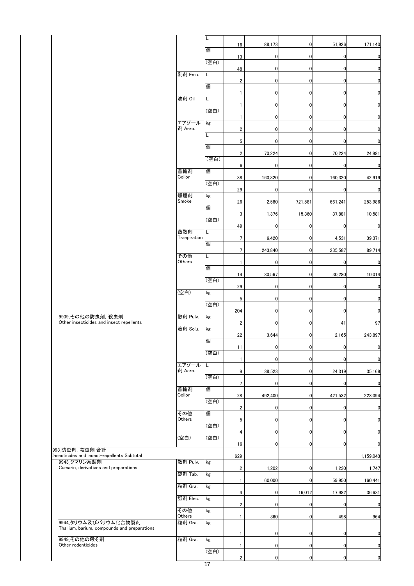|                                                                      |                  | L    | 16                      | 88,173         | $\mathbf 0$ | 51,926         | 171,140                 |
|----------------------------------------------------------------------|------------------|------|-------------------------|----------------|-------------|----------------|-------------------------|
|                                                                      |                  | 個    | 13                      | $\mathbf 0$    | $\mathbf 0$ | $\pmb{0}$      | $\mathbf 0$             |
|                                                                      |                  | (空白) | 48                      | $\mathbf 0$    | $\mathbf 0$ | 0              | $\overline{0}$          |
|                                                                      | 乳剤 Emu.          | L    |                         |                |             |                |                         |
|                                                                      |                  | 個    | $\overline{\mathbf{c}}$ | $\overline{0}$ | 0           | $\overline{0}$ | $\mathbf 0$             |
|                                                                      | 油剤 Oil           | L    | $\mathbf{1}$            | $\mathbf 0$    | 0           | $\pmb{0}$      | $\overline{\mathbf{0}}$ |
|                                                                      |                  | (空白) | $\mathbf{1}$            | $\mathbf 0$    | $\mathbf 0$ | $\pmb{0}$      | $\overline{0}$          |
|                                                                      | エアゾール            | kg   | $\mathbf{1}$            | $\overline{0}$ | $\pmb{0}$   | $\pmb{0}$      | $\bf{0}$                |
|                                                                      | 剤 Aero.          | L.   | $\boldsymbol{2}$        | $\overline{0}$ | $\pmb{0}$   | $\pmb{0}$      | $\mathbf 0$             |
|                                                                      |                  | 個    | 5                       | $\overline{0}$ | 0           | $\pmb{0}$      | $\mathbf 0$             |
|                                                                      |                  |      | $\boldsymbol{2}$        | 70,224         | $\mathbf 0$ | 70,224         | 24,981                  |
|                                                                      |                  | (空白) | 6                       | $\mathbf 0$    | 0           | $\pmb{0}$      | $\mathbf 0$             |
|                                                                      | 首輪剤<br>Collor    | 個    | 38                      | 160,320        | 0           | 160,320        | 42,919                  |
|                                                                      |                  | (空白) | 29                      | $\mathbf 0$    | $\mathbf 0$ | $\mathbf 0$    | $\overline{0}$          |
|                                                                      | 燻煙剤<br>Smoke     | kg   | 26                      | 2,580          | 721,581     | 661,241        | 253,986                 |
|                                                                      |                  | 個    | 3                       | 1,376          | 15,360      | 37,881         | 10,581                  |
|                                                                      |                  | (空白) | 49                      | $\pmb{0}$      | 0           | $\mathbf 0$    | $\overline{0}$          |
|                                                                      | 蒸散剤              | L.   |                         |                |             |                |                         |
|                                                                      | Tranpiration     | 個    | $\overline{7}$          | 6,420          | 0           | 4,531          | 39,371                  |
|                                                                      | その他              | L.   | $\overline{7}$          | 243,840        | $\mathbf 0$ | 235,587        | 89,714                  |
|                                                                      | Others           | 個    | $\mathbf{1}$            | $\overline{0}$ | $\mathbf 0$ | $\pmb{0}$      | $\mathbf 0$             |
|                                                                      |                  | (空白) | 14                      | 30,567         | $\mathbf 0$ | 30,280         | 10,014                  |
|                                                                      | (空白)             | kg   | 29                      | $\pmb{0}$      | 0           | $\pmb{0}$      | $\overline{0}$          |
|                                                                      |                  | (空白) | 5                       | 0              | 0           | 0              | $\mathbf 0$             |
|                                                                      |                  |      | 204                     | $\mathbf 0$    | $\mathbf 0$ | $\mathbf 0$    | $\mathbf 0$             |
| 9939 その他の防虫剤, 殺虫剤<br>Other insecticides and insect repellents        | 散剤 Pulv.         | kg   | $\overline{2}$          | $\mathbf 0$    | $\mathbf 0$ | 41             | 97                      |
|                                                                      | 液剤 Solu.         | kg   | 22                      | 3,644          | $\mathbf 0$ | 2,165          | 243,897                 |
|                                                                      |                  | 個    | 11                      | 0              | 0           | $\overline{0}$ | $\overline{\mathbf{0}}$ |
|                                                                      |                  | (空白) | $\mathbf{1}$            | $\mathbf 0$    | $\mathbf 0$ | $\mathbf 0$    | $\overline{0}$          |
|                                                                      | エアゾール<br>剤 Aero. | L    | 9                       | 38,523         | $\mathbf 0$ | 24,319         | 35,169                  |
|                                                                      |                  | (空白) |                         |                |             |                |                         |
|                                                                      | 首輪剤              | 個    | $\overline{7}$          | $\overline{0}$ | $\mathbf 0$ | $\overline{0}$ | $\mathbf 0$             |
|                                                                      | Collor           | (空白) | 28                      | 492,400        | $\mathbf 0$ | 421,532        | 223,094                 |
|                                                                      | その他              | 個    | $\overline{2}$          | $\mathbf{0}$   | $\mathbf 0$ | $\pmb{0}$      | $\overline{0}$          |
|                                                                      | Others           | (空白) | 5                       | $\mathbf 0$    | 0           | $\mathbf 0$    | $\mathbf 0$             |
|                                                                      | (空白)             | (空白) | $\overline{4}$          | $\mathbf{0}$   | $\mathbf 0$ | $\mathbf 0$    | $\mathbf 0$             |
| 993 防虫剤, 殺虫剤 合計                                                      |                  |      | 16                      | $\overline{0}$ | $\mathbf 0$ | $\mathbf 0$    | $\mathbf 0$             |
| Insecticides and insect-repellents Subtotal<br>9943 クマリン系製剤          | 散剤 Pulv.         | kg   | 629                     |                |             |                | 1,159,043               |
| Cumarin, derivatives and preparations                                |                  |      | $\overline{2}$          | 1,202          | $\mathbf 0$ | 1,230          | 1,747                   |
|                                                                      | 錠剤 Tab.          | kg   | $\mathbf{1}$            | 60,000         | 0           | 59,950         | 160,441                 |
|                                                                      | 粒剤 Gra.          | kg   | 4                       | $\overline{0}$ | 16,012      | 17,982         | 36,631                  |
|                                                                      | 舐剤 Elec.         | kg   | $\overline{2}$          | $\overline{0}$ | $\mathbf 0$ | $\overline{0}$ | $\mathbf 0$             |
|                                                                      | その他<br>Others    | kg   | $\mathbf{1}$            | 360            | $\mathbf 0$ | 498            | 964                     |
| 9944_タリウム及びバリウム化合物製剤<br>Thallium, barium, compounds and preparations | 粒剤 Gra.          | kg   |                         |                |             |                |                         |
| 9949 その他の殺そ剤                                                         | 粒剤 Gra.          | kg   | $\mathbf{1}$            | $\mathbf 0$    | $\mathbf 0$ | $\overline{0}$ | $\mathbf 0$             |
| Other rodenticides                                                   |                  | (空白) | 1                       | $\mathbf 0$    | $\mathbf 0$ | $\mathbf 0$    | $\bf{0}$                |
|                                                                      |                  |      | $\overline{\mathbf{2}}$ | $\mathbf 0$    | $\mathbf 0$ | $\mathbf 0$    | $\mathbf 0$             |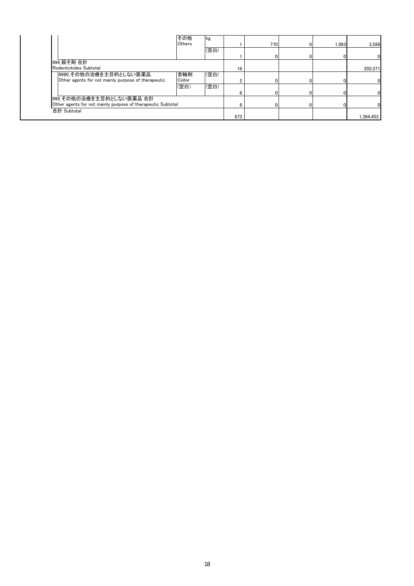|                                                             | その他<br>Others | <b>kg</b> |     | 770 | 1.093 | 3.588    |
|-------------------------------------------------------------|---------------|-----------|-----|-----|-------|----------|
|                                                             |               | (空白)      |     |     |       |          |
|                                                             |               |           |     |     |       | 01       |
| 994_殺そ剤 合計                                                  |               |           |     |     |       |          |
| Rodentickides Subtotal                                      |               |           | 16  |     |       | 203,371  |
| 9990 その他の治療を主目的としない医薬品                                      | 首輪剤           | (空白)      |     |     |       |          |
| Other agents for not mainly purpose of therapeutic          | Collor        |           |     |     |       |          |
|                                                             | (空白)          | (空白)      |     |     |       |          |
|                                                             |               |           |     |     |       | 01       |
| 999 その他の治療を主目的としない医薬品 合計                                    |               |           |     |     |       |          |
| Other agents for not mainly purpose of therapeutic Subtotal |               |           |     |     |       |          |
| 合計 Subtotal                                                 |               |           |     |     |       |          |
|                                                             |               |           | 673 |     |       | ,394,453 |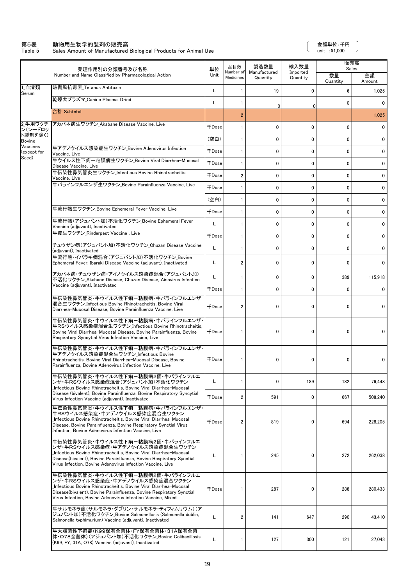#### 第5表 動物用生物学的製剤の販売高 金額単位:千円

Table 5 Sales Amount of Manufactured Biological Products for Animal Use the state of the state of the unit  $\pm$ 41,000

 $\big)$ 

|                                                    | 薬理作用別の分類番号及び名称                                                                                                                                                                                                                                                                 | 単位           | 品目数                           | 製造数量                     | 輸入数量                 | 販売高<br>Sales   |              |  |
|----------------------------------------------------|--------------------------------------------------------------------------------------------------------------------------------------------------------------------------------------------------------------------------------------------------------------------------------|--------------|-------------------------------|--------------------------|----------------------|----------------|--------------|--|
|                                                    | Number and Name Classified by Pharmacological Action                                                                                                                                                                                                                           | Unit         | Number of<br><b>Medicines</b> | Manufactured<br>Quantity | Imported<br>Quantity | 数量<br>Quantity | 金額<br>Amount |  |
| 1血清類<br>Serum                                      | 破傷風抗毒素 Tetanus Antitoxin                                                                                                                                                                                                                                                       | L            | $\mathbf{1}$                  | 19                       | 0                    | 6              | 1,025        |  |
|                                                    | 乾燥犬プラズマ Canine Plasma, Dried                                                                                                                                                                                                                                                   | L            | 1                             | $\mathbf 0$              | 0                    | 0              | 0            |  |
|                                                    | 合計 Subtotal                                                                                                                                                                                                                                                                    |              | $\overline{2}$                |                          |                      |                | 1,025        |  |
| 2 牛用ワクチ                                            | アカバネ病生ワクチン Akabane Disease Vaccine, Live                                                                                                                                                                                                                                       | 千Dose        | $\mathbf{1}$                  | 0                        | 0                    | $\mathbf{0}$   | 0            |  |
| ン(シードロッ<br>ト製剤を除く)<br><b>Bovine</b><br>(except for |                                                                                                                                                                                                                                                                                | (空白)         | $\mathbf{1}$                  | $\mathbf{0}$             | 0                    | 0              | 0            |  |
| Vaccines                                           | 牛アデノウイルス感染症生ワクチン Bovine Adenovirus Infection                                                                                                                                                                                                                                   | <b>FDose</b> | $\mathbf{1}$                  | 0                        | 0                    | $\mathbf{0}$   | 0            |  |
| Seed)                                              | Vaccine. Live<br>牛ウイルス性下痢-粘膜病生ワクチン Bovine Viral Diarrhea-Mucosal                                                                                                                                                                                                               | <b>千Dose</b> | $\mathbf{1}$                  | 0                        | 0                    | 0              | 0            |  |
|                                                    | Disease Vaccine, Live<br>牛伝染性鼻気管炎生ワクチン Infectious Bovine Rhinotracheitis                                                                                                                                                                                                       | 千Dose        | $\overline{2}$                | 0                        | 0                    | $\mathbf{0}$   | $\mathbf 0$  |  |
|                                                    | Vaccine, Live<br>牛パラインフルエンザ生ワクチン Bovine Parainfluenza Vaccine, Live                                                                                                                                                                                                            |              |                               |                          |                      |                |              |  |
|                                                    |                                                                                                                                                                                                                                                                                | 千Dose        | $\mathbf{1}$                  | 0                        | 0                    | $\mathbf{0}$   | $\mathbf 0$  |  |
|                                                    | 牛流行熱生ワクチン_Bovine Ephemeral Fever Vaccine, Live                                                                                                                                                                                                                                 | (空白)         | $\mathbf{1}$                  | 0                        | 0                    | 0              | $\mathbf 0$  |  |
|                                                    |                                                                                                                                                                                                                                                                                | <b>千Dose</b> | $\mathbf{1}$                  | 0                        | 0                    | $\mathbf{0}$   | $\mathbf 0$  |  |
|                                                    | 牛流行熱(アジュバント加)不活化ワクチン Bovine Ephemeral Fever<br>Vaccine (adjuvant), Inactivated                                                                                                                                                                                                 | L            | 1                             | 0                        | 0                    | 0              | 0            |  |
|                                                    | 牛疫生ワクチン Rinderpest Vaccine . Live                                                                                                                                                                                                                                              | <b>FDose</b> | $\mathbf{1}$                  | $\mathbf{0}$             | $\mathbf 0$          | $\mathbf{0}$   | 0            |  |
|                                                    | チュウザン病(アジュバント加)不活化ワクチン_Chuzan Disease Vaccine<br>(adjuvant), Inactivated                                                                                                                                                                                                       | L            | $\mathbf{1}$                  | 0                        | 0                    | $\mathbf{0}$   | 0            |  |
|                                                    | 牛流行熱・イバラキ病混合(アジュバント加)不活化ワクチン Bovine<br>Ephemeral Fever, Ibaraki Disease Vaccine (adjuvant), Inactivated                                                                                                                                                                        | L            | $\overline{2}$                | 0                        | 0                    | 0              | 0            |  |
|                                                    | アカバネ病・チュウザン病・アイノウイルス感染症混合(アジュバント加)<br>不活化ワクチン Akabane Disease, Chuzan Disease, Ainovirus Infection<br>Vaccine (adjuvant), Inactivated                                                                                                                                          | L            | $\mathbf{1}$                  | 0                        | 0                    | 389            | 115,918      |  |
|                                                    |                                                                                                                                                                                                                                                                                | <b>FDose</b> | $\mathbf{1}$                  | $\mathbf 0$              | 0                    | 0              | 0            |  |
|                                                    | 牛伝染性鼻気管炎・牛ウイルス性下痢-粘膜病・牛パラインフルエンザ<br>混合生ワクチン Infectious Bovine Rhinotracheitis, Bovine Viral<br>Diarrhea-Mucosal Disease, Bovine Parainfluenza Vaccine, Live                                                                                                                    | 千Dose        | $\overline{2}$                | 0                        | 0                    | 0              | 0            |  |
|                                                    | 牛伝染性鼻気管炎・牛ウイルス性下痢-粘膜病・牛パラインフルエンザ・<br>牛RSウイルス感染症混合生ワクチン_Infectious Bovine Rhinotracheitis,<br>Bovine Viral Diarrhea-Mucosal Disease, Bovine Parainfluenza, Bovine<br>Respiratory Syncytial Virus Infection Vaccine, Live                                                        | 千Dose        | $\mathbf{1}$                  | 0                        | 0                    | 0              | 0            |  |
|                                                    | 牛伝染性鼻気管炎・牛ウイルス性下痢-粘膜病・牛パラインフルエンザ・<br>牛アデノウイルス感染症混合生ワクチン Infectious Bovine<br>Rhinotracheitis, Bovine Viral Diarrhea-Mucosal Disease, Bovine<br>Parainfluenza. Bovine Adenovirus Infection Vaccine. Live                                                                        | 千Dose        | 1                             | 0                        | 0                    | 0              | 0            |  |
|                                                    | 牛伝染性鼻気管炎・牛ウイルス性下痢-粘膜病2価・牛パラインフルエ<br>ンザ・牛RSウイルス感染症混合(アジュバント加)不活化ワクチン                                                                                                                                                                                                            | L            | 1                             | 0                        | 189                  | 182            | 76,448       |  |
|                                                    | Infectious Bovine Rhinotracheitis, Bovine Viral Diarrhea-Mucosal<br>Disease (bivalent), Bovine Parainfluenza, Bovine Respiratory Syncytial<br>Virus Infection Vaccine (adjuvant). Inactivated                                                                                  | <b>千Dose</b> | $\overline{2}$                | 591                      | 0                    | 667            | 508,240      |  |
|                                                    | 牛伝染性鼻気管炎・牛ウイルス性下痢-粘膜病・牛パラインフルエンザ・<br>牛RSウイルス感染症・牛アデノウイルス感染症混合生ワクチン<br>Infectious Bovine Rhinotracheitis, Bovine Viral Diarrhea-Mucosal<br>Disease, Bovine Parainfluenza, Bovine Respiratory Synctial Virus<br>Infection, Bovine Adenovirus Infection Vaccine, Live             | 千Dose        | $\overline{2}$                | 819                      | 0                    | 694            | 228,205      |  |
|                                                    | 牛伝染性鼻気管炎・牛ウイルス性下痢-粘膜病2価・牛パラインフルエ<br>ンザ・牛RSウイルス感染症・牛アデノウイルス感染症混合生ワクチン<br>Infectious Bovine Rhinotracheitis, Bovine Viral Diarrhea-Mucosal<br>Disease(bivalent), Bovine Parainfluenza, Bovine Respiratory Synctial<br>Virus Infection, Bovine Adenovirus infection Vaccine, Live | L            | 1                             | 245                      | 0                    | 272            | 262,038      |  |
|                                                    | 牛伝染性鼻気管炎・牛ウイルス性下痢-粘膜病2価・牛パラインフルエ<br>ンザ・牛RSウイルス感染症・牛アデノウイルス感染症混合ワクチン<br>Infectious Bovine Rhinotracheitis, Bovine Viral Diarrhea-Mucosal<br>Disease(bivalent), Bovine Parainfluenza, Bovine Respiratory Synctial<br>Virus Infection, Bovine Adenovirus infection Vaccine, Mixed | <b>千Dose</b> | 1                             | 287                      | 0                    | 288            | 280,433      |  |
|                                                    | 牛サルモネラ症(サルモネラ・ダブリン・サルモネラ・ティフィムリウム)(ア<br>ジュバント加)不活化ワクチン Bovine Salmonellosis (Salmonella dublin.<br>Salmonella typhimurium) Vaccine (adjuvant), Inactivated                                                                                                                     | L            | $\overline{2}$                | 141                      | 647                  | 290            | 43,410       |  |
|                                                    | 牛大腸菌性下痢症(K99保有全菌体·FY保有全菌体·31A保有全菌<br>体・O78全菌体)(アジュバント加)不活化ワクチン_Bovine Colibacillosis<br>(K99, FY, 31A, O78) Vaccine (adjuvant), Inactivated                                                                                                                                    | L            | -1                            | 127                      | 300                  | 121            | 27,043       |  |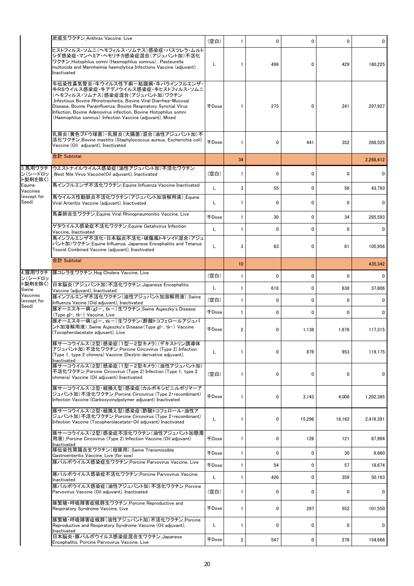|                                                     | 炭疽生ワクチン_Anthrax Vaccine, Live                                                                                                                                                                                                                                                                                                                                                       | (空白)         | 1  | 0            | 0           | 0            | 0         |
|-----------------------------------------------------|-------------------------------------------------------------------------------------------------------------------------------------------------------------------------------------------------------------------------------------------------------------------------------------------------------------------------------------------------------------------------------------|--------------|----|--------------|-------------|--------------|-----------|
| 3 馬用ワクチ<br>ン(シードロッ<br>ト製剤を除く)<br>Equine<br>Vaccines | ヒストフィルス・ソムニ(ヘモフィルス・ソムナス)感染症・パスツレラ・ムルト<br>シダ感染症・マンヘミア・ヘモリチカ感染症混合(アジュバント加)不活化<br>ワクチン Histophilus somni (Haemophilus somnus), Pasteurella<br>multocida and Mannheimia haemolytica Infections Vaccine (adjuvant),<br>Inactivated                                                                                                                                                       | L            | 1  | 499          | 0           | 429          | 160,225   |
|                                                     | 牛伝染性鼻気管炎・牛ウイルス性下痢-粘膜病・牛パラインフルエンザ・<br>牛RSウイルス感染症・牛アデノウイルス感染症・牛ヒストフィルス・ソムニ<br>(ヘモフィルス・ソムナス)感染症混合(アジュバント加)ワクチン<br>Infectious Bovine Rhinotracheitis, Bovine Viral Diarrhea-Mucosal<br>Disease, Bovine Parainfluenza, Bovine Respiratory Synctial Virus<br>Infection, Bovine Adenovirus infection, Bovine Histophilus somni<br>(Haemophilus somnus) Infection Vaccine (adjuvant), Mixed | <b>千Dose</b> |    | 275          | 0           | 241          | 297,927   |
|                                                     | 乳房炎(黄色ブドウ球菌)・乳房炎(大腸菌)混合(油性アジュバント加)不<br> 活化ワクチン_Bovine mastitis (Staphylococcus aureus, Escherichia coli)<br>Vaccine (Oil adjuvant), Inactivated                                                                                                                                                                                                                                     | <b>+Dose</b> |    | 0            | 441         | 352          | 268,525   |
|                                                     | 合計 Subtotal                                                                                                                                                                                                                                                                                                                                                                         |              | 34 |              |             |              | 2,268,412 |
|                                                     | ウエストナイルウイルス感染症(油性アジュバント加)不活化ワクチン<br>West Nile Virus Vaccine (Oil adjuvant), Inactivated                                                                                                                                                                                                                                                                                             | (空白)         | 1  | 0            | 0           | $\mathbf{0}$ | 0         |
|                                                     | 馬インフルエンザ不活化ワクチン Equine Influenza Vaccine Inactivated                                                                                                                                                                                                                                                                                                                                | L            | 3  | 55           | 0           | 56           | 43,793    |
| (except for<br>Seed)                                | 馬ウイルス性動脈炎不活化ワクチン(アジュバント加溶解用液) Equine<br>Viral Arteritis Vaccine (adjuvant), Inactivated                                                                                                                                                                                                                                                                                             | L            |    | 0            | $\mathbf 0$ | $\mathbf{0}$ | 0         |
|                                                     | 馬鼻肺炎生ワクチン_Equine Viral Rhinopneumonitis Vaccine, Live                                                                                                                                                                                                                                                                                                                               | 千Dose        | 1  | 30           | 0           | 34           | 285.593   |
|                                                     | ゲタウイルス感染症不活化ワクチン Equine Getahvirus Infection<br>Vaccine, Inactivated                                                                                                                                                                                                                                                                                                                | L            | 1  | 0            | 0           | $\mathbf{0}$ | 0         |
|                                                     | 馬インフルエンザ不活化・日本脳炎不活化・破傷風トキソイド混合(アジュ<br>バント加)ワクチン Equine Influenza, Japanese Encephalitis and Tetanus<br>Toxoid Combined Vaccine (adjuvant), Inactivated                                                                                                                                                                                                                              | L            | 3  | 63           | $\mathbf 0$ | 61           | 105,956   |
|                                                     | 合計 Subtotal                                                                                                                                                                                                                                                                                                                                                                         |              | 10 |              |             |              | 435,342   |
| ン(シードロッ                                             | 4_豚用ワクチ  豚コレラ生ワクチン_Hog Cholera Vaccine, Live                                                                                                                                                                                                                                                                                                                                        | (空白)         | 1  | $\mathbf{0}$ | 0           | $\mathbf{0}$ | 0         |
| ト製剤を除く)<br>Swine                                    | 日本脳炎(アジュバント加)不活化ワクチン_Japanese Encephalitis<br>Vaccine (adjuvant), Inactivated                                                                                                                                                                                                                                                                                                       | L            | 1  | 618          | 0           | 638          | 37,606    |
| Vaccines<br>(except for                             | 豚インフルエンザ不活化ワクチン(油性アジュバント加溶解用液) Swine<br>Influenza Vacine (Oid adjuvant), Inactivated                                                                                                                                                                                                                                                                                                | (空白)         | 1  | 0            | 0           | 0            | 0         |
| Seed)                                               | 豚オーエスキー病(gI-、tk-)生ワクチン_Swine Aujeszky's Disease<br>(Type gI-, tk-) Vaccine, Live                                                                                                                                                                                                                                                                                                    | <b>千Dose</b> | 1  | 0            | $\mathbf 0$ | $\mathbf{0}$ | 0         |
|                                                     | 豚オーエスキー病(gI-、tk-)生ワクチン(酢酸トコフェロールアジュバ<br>ント加溶解用液)_Swine Aujeszky's Disease (Type gI-, tk-) Vaccine<br>(Tocopherolacetate adjuvant), Live                                                                                                                                                                                                                                             | 千Dose        | 2  | 0            | 1,138       | 1,676        | 117,315   |
|                                                     | 豚サーコウイルス(2型)感染症(1型-2型キメラ)(デキストリン誘導体<br>アジュバント加)不活化ワクチン_Porcine Circovirus (Type 2) Infection<br>(Type 1, type 2 chimera) Vaccine (Dextrin derivative adjuvant),<br>Inactivated                                                                                                                                                                                                      | L            |    | 0            | 876         | 953          | 119,175   |
|                                                     | 豚サーコウイルス(2型)感染症(1型-2型キメラ)(油性アジュバント加)<br>不活化ワクチン_Porcine Circovirus (Type 2) Infection (Type 1, type 2<br>chimera) Vaccine (Oil adiuvant) Inactivated                                                                                                                                                                                                                                | (空白)         | 1  | 0            | 0           | 0            | 0         |
|                                                     | 豚サーコウイルス(2型・組換え型)感染症(カルボキシビニルポリマーア<br>ジュバント加)不活化ワクチン_Porcine Circovirus (Type 2•recombinant)<br>Infection Vaccine (Carboxyvinylpolymer adjuvant) Inactivated                                                                                                                                                                                                                        | <b>千Dose</b> | 1  | 0            | 3,143       | 4,008        | 1,202,385 |
|                                                     | 豚サーコウイルス(2型・組換え型)感染症(酢酸トコフェロール・油性ア<br>ジュバント加)不活化ワクチン Porcine Circovirus (Type 2 recombinant)<br>Infection Vaccine (Tocopherolacetate Oil adjuvant) Inactivated                                                                                                                                                                                                                      | L            | 1  | 0            | 15,296      | 18,162       | 2,416,391 |
|                                                     | 豚サーコウイルス(2型)感染症不活化ワクチン(油性アジュバント加懸濁<br>用液) Porcine Circovirus (Type 2) Infection Vaccine (Oil adjuvant)<br>Inactivated                                                                                                                                                                                                                                                               | 千Dose        | 1  | 0            | 126         | 121          | 67,984    |
|                                                     | 豚伝染性胃腸炎生ワクチン(母豚用) Swine Transmissible<br>Gastroenteritis Vaccine, Live (for sow)                                                                                                                                                                                                                                                                                                    | $\mp$ Dose   | 1  | 0            | 0           | 30           | 8,660     |
|                                                     | 豚パルボウイルス感染症生ワクチン Porcine Parvovirus Vaccine, Live                                                                                                                                                                                                                                                                                                                                   | <b>千Dose</b> | 1  | 54           | 0           | 57           | 18,674    |
|                                                     | 豚パルボウイルス感染症不活化ワクチン_Porcine Parvovirus Vaccine,<br>Inactivated                                                                                                                                                                                                                                                                                                                       | L            | 1  | 426          | 0           | 359          | 50,163    |
|                                                     | 豚パルボウイルス感染症(油性アジュバント加)不活化ワクチン Porcine<br>Parvovirus Vaccine (Oil adjuvant), Inactivated                                                                                                                                                                                                                                                                                             | (空白)         | 1  | 0            | 0           | 0            | 0         |
|                                                     | 豚繁殖・呼吸障害症候群生ワクチン Porcine Reproductive and<br>Respiratory Syndrome Vaccine, Live                                                                                                                                                                                                                                                                                                     | $\mp$ Dose   | 1  | 0            | 297         | 552          | 101,550   |
|                                                     | 豚繁殖・呼吸障害症候群(油性アジュバント加)不活化ワクチン Porcine<br>Reproductive and Respiratory Syndrome Vaccine (Oil adjuvant),<br>Inactivated                                                                                                                                                                                                                                                               | L            | 1  | 0            | 0           | 0            | 0         |
|                                                     | 日本脳炎・豚パルボウイルス感染症混合生ワクチン Japanese<br>Encephalitis, Porcine Parvovirus Vaccine, Live                                                                                                                                                                                                                                                                                                  | 千Dose        | 2  | 547          | 0           | 278          | 154,668   |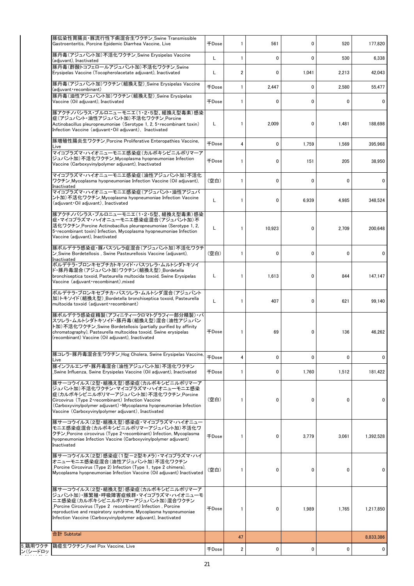| 豚伝染性胃腸炎・豚流行性下痢混合生ワクチン_Swine Transmissible<br>Gastroenteritis, Porcine Epidemic Diarrhea Vaccine, Live                                                                                                                                                                                                            | <b>千Dose</b>        | 1                | 561          | 0            | 520          | 177,820   |
|------------------------------------------------------------------------------------------------------------------------------------------------------------------------------------------------------------------------------------------------------------------------------------------------------------------|---------------------|------------------|--------------|--------------|--------------|-----------|
| 豚丹毒(アジュバント加)不活化ワクチン_Swine Erysipelas Vaccine<br>(adjuvant), Inactivated                                                                                                                                                                                                                                          | L                   | $\mathbf{1}$     | $\mathbf 0$  | $\mathbf 0$  | 530          | 6,338     |
| 豚丹毒(酢酸トコフェロールアジュバント加)不活化ワクチン Swine<br>Erysipelas Vaccine (Tocopherolacetate adjuvant), Inactivated                                                                                                                                                                                                               | L                   | $\boldsymbol{2}$ | $\mathbf{0}$ | 1,041        | 2,213        | 42,043    |
| 豚丹毒(アジュバント加)ワクチン(組換え型) Swine Erysipelas Vaccine<br>(adjuvant recombinant)                                                                                                                                                                                                                                        | <b>千Dose</b>        | $\mathbf{1}$     | 2,447        | 0            | 2,580        | 55,477    |
| 豚丹毒(油性アジュバント加)ワクチン(組換え型) Swine Erysipelas<br>Vaccine (Oil adjuvant), Inactivated                                                                                                                                                                                                                                 | $\mp$ Dose          | $\mathbf{1}$     | 0            | 0            | $\mathbf{0}$ | 0         |
| 豚アクチノバシラス・プルロニューモニエ(1・2・5型、組換え型毒素)感染<br>症(アジュバント・油性アジュバント加)不活化ワクチン Porcine<br>Actinobacillus pleuropneumoniae (Serotype 1, 2, 5 recombinant toxin)<br>Infection Vaccine (adjuvant Oil adjuvant), Inactivated                                                                                                     | L                   | $\mathbf{1}$     | 2,009        | 0            | 1,481        | 188,698   |
| 豚増殖性腸炎生ワクチン Porcine Proliferative Enteropathies Vaccine,<br>Live                                                                                                                                                                                                                                                 | <b>千Dose</b>        | $\overline{4}$   | $\mathbf 0$  | 1,759        | 1,569        | 395,968   |
| マイコプラズマ・ハイオニューモニエ感染症(カルボキシビニルポリマーア<br>ジュバント加)不活化ワクチン_Mycoplasma hyopneumoniae Infection<br>Vaccine (Carboxyvinylpolymer adjuvant), Inactivated                                                                                                                                                                   | <b>千Dose</b>        | $\mathbf{1}$     | 0            | 151          | 205          | 38,950    |
| マイコプラズマ・ハイオニューモニエ感染症(油性アジュバント加)不活化<br>ワクチン Mycoplasma hyopneumoniae Infection Vaccine (Oil adiuvant).<br>Inactivated                                                                                                                                                                                             | (空白)                | $\mathbf{1}$     | 0            | 0            | $\mathbf{0}$ | 0         |
| マイコプラズマ・ハイオニューモニエ感染症(アジュバント・油性アジュバ<br>ント加)不活化ワクチン Mycoplasma hyopneumoniae Infection Vaccine<br>(adjuvant Oil adjuvant). Inactivated                                                                                                                                                                             | L                   | 1                | 0            | 6,939        | 4,985        | 348,524   |
| 豚アクチノバシラス・プルロニューモニエ(1・2・5型、組換え型毒素)感染<br> 症・マイコプラズマ・ハイオニューモニエ感染症混合(アジュバント加)不<br>活化ワクチン Porcine Actinobacillus pleuropneumoniae (Serotype 1, 2,<br>5 recombinant toxin) Infection, Mycoplasma hyopneumoniae Infection<br>Vaccine (adjuvant), Inactivated                                                           | L                   | 1                | 10.923       | 0            | 2.709        | 200,648   |
| 豚ボルデテラ感染症・豚パスツレラ症混合(アジュバント加)不活化ワクチ<br>ン Swine Bordetellosis, Swine Pasteurellosis Vaccine (adjuvant),<br>Inactivated                                                                                                                                                                                             | (空白)                | $\mathbf{1}$     | 0            | $\mathbf{0}$ | 0            | 0         |
| ボルデテラ・ブロンキセプチカトキソイド・パスツレラ・ムルトシダトキソイ<br>ド・豚丹毒混合(アジュバント加)ワクチン(組換え型)_Bordetella<br>bronchiseptica toxoid, Pasteurella multocida toxoid, Swine Erysipelas<br>Vaccine (adjuvant recombinant), mixed                                                                                                                   | L                   | $\mathbf{1}$     | 1,613        | 0            | 844          | 147,147   |
| ボルデテラ・ブロンキセプチカ・パスツレラ・ムルトシダ混合(アジュバント<br> 加)トキソイド(組換え型) Bordetella bronchiseptica toxoid, Pasteurella<br>multocida toxoid (adjuvant recombinant)                                                                                                                                                                   | L                   | $\mathbf{1}$     | 407          | 0            | 621          | 99.140    |
| 豚ボルデテラ感染症精製(アフィニティークロマトグラフィー部分精製)・パ<br>スツレラ・ムルトシダトキソイド・豚丹毒(組換え型)混合(油性アジュバン<br>ト加) 不活化ワクチン Swine Bordetellosis (partially purified by affinity<br>chromatography), Pasteurella multocidea toxoid, Swine erysipelas<br>(recombinant) Vaccine (Oil adiuvant). Inactivated                                           | 千Dose               | 1                | 69           | 0            | 136          | 46,262    |
| 豚コレラ・豚丹毒混合生ワクチン_Hog Cholera, Swine Erysipelas Vaccine,<br>Live                                                                                                                                                                                                                                                   | <b><i>FDose</i></b> | 4                | 0            | 0            | 0            | 0         |
| 豚インフルエンザ・豚丹毒混合(油性アジュバント加)不活化ワクチン<br>Swine Influenza, Swine Erysipelas Vaccine (Oil adjuvant), Inactivated                                                                                                                                                                                                        | $\mp$ Dose          | 1                | 0            | 1,760        | 1,512        | 181,422   |
| 豚サーコウイルス(2型・組換え型)感染症(カルボキシビニルポリマーア<br> ジュバント加)不活化ワクチン・マイコプラズマ・ハイオニューモニエ感染<br>症(カルボキシビニルポリマーアジュバント加)不活化ワクチン Porcine<br>Circovirus (Type 2 · recombinant) Infection Vaccine<br>(Carboxyvinylpolymer adjuvant) • Mycoplasma hyopneumoniae Infection<br>Vaccine (Carboxyvinylpolymer adjuvant), Inactivated          | (空白)                | 1                | 0            | 0            | 0            | 0         |
| 豚サーコウイルス(2型・組換え型)感染症・マイコプラズマ・ハイオニュー<br>モニエ感染症混合(カルボキシビニルポリマーアジュバント加)不活化ワ<br>クチン Porcine circovirus (Type 2 recombinant) Infection, Mycoplasma<br>hyopneumoniae Infection Vaccine (Carboxyvinylpolymer adjuvant)<br>Inactivated                                                                                   | <b>千Dose</b>        | 1                | 0            | 3,779        | 3,061        | 1,392,528 |
| 豚サーコウイルス(2型)感染症(1型ー2型キメラ)・マイコプラズマ・ハイ<br> オニューモニエ感染症混合(油性アジュバント加)不活化ワクチン<br>Porcine Circovirus (Type 2) Infection (Type 1, type 2 chimera),<br>Mycoplasma hyopneumoniae Infection Vaccine (Oil adjuvant) Inactivated                                                                                              | (空白)                | 1                | 0            | 0            | 0            | 0         |
| 豚サーコウイルス(2型・組換え型)感染症(カルボキシビニルポリマーア<br> ジュバント加) 豚繁殖・呼吸障害症候群・マイコプラズマ・ハイオニューモ<br>ニエ感染症(カルボキシビニルポリマーアジュバント加)混合ワクチン<br>Porcine Circovirus (Type 2 recombinant) Infection, Porcine<br>reproductive and respiratory syndrome, Mycoplasma hyopneumoniae<br>Infection Vaccine (Carboxyvinylpolymer adjuvant), Inactivated | $\mp$ Dose          | 1                | 0            | 1,989        | 1,765        | 1,217,850 |
| 合計 Subtotal                                                                                                                                                                                                                                                                                                      |                     |                  |              |              |              |           |
| 5 鶏用ワクチ 鶏痘生ワクチン Fowl Pox Vaccine, Live                                                                                                                                                                                                                                                                           |                     | 47               |              |              |              | 8,833,386 |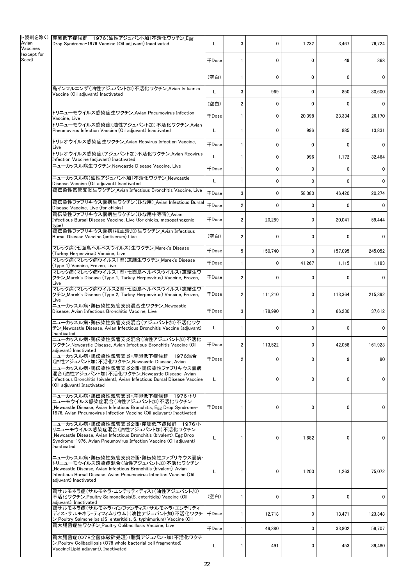|                         | ト製剤を除く) 産卵低下症候群-1976(油性アジュバント加)不活化ワクチン_Egg                                                                                                                                                                                                 |              |                         |             |              |              |          |
|-------------------------|--------------------------------------------------------------------------------------------------------------------------------------------------------------------------------------------------------------------------------------------|--------------|-------------------------|-------------|--------------|--------------|----------|
| Vaccines<br>(except for | Drop Syndrome-1976 Vaccine (Oil adjuvant) Inactivated                                                                                                                                                                                      | L            | 3                       | 0           | 1,232        | 3,467        | 76,724   |
|                         |                                                                                                                                                                                                                                            | <b>千Dose</b> | 1                       | 0           | 0            | 49           | 368      |
|                         |                                                                                                                                                                                                                                            | (空白)         | 1                       | 0           | $\mathbf{0}$ | 0            | 0        |
|                         | 鳥インフルエンザ(油性アジュバント加)不活化ワクチン_Avian Influenza<br>Vaccine (Oil adjuvant) Inactivated                                                                                                                                                           | L            | 3                       | 969         | $\mathbf{0}$ | 850          | 30,600   |
|                         |                                                                                                                                                                                                                                            | (空白)         | $\overline{\mathbf{c}}$ | $\mathbf 0$ | $\mathbf{0}$ | $\mathbf{0}$ | $\Omega$ |
|                         | トリニューモウイルス感染症生ワクチン Avian Pneumovirus Infection<br>Vaccine, Live                                                                                                                                                                            | <b>FDose</b> | 1                       | 0           | 20,398       | 23,334       | 26,170   |
|                         | トリニューモウイルス感染症(油性アジュバント加)不活化ワクチン Avian<br>Pneumovirus Infection Vaccine (Oil adjuvant) Inactivated                                                                                                                                          | L            | 1                       | 0           | 996          | 885          | 13,831   |
|                         | トリレオウイルス感染症生ワクチン_Avian Reovirus Infection Vaccine,<br>Live                                                                                                                                                                                 | <b>FDose</b> | 1                       | 0           | 0            | 0            | 0        |
|                         | トリレオウイルス感染症(アジュバント加)不活化ワクチン_Avian Reovirus<br>Infection Vaccine (adjuvant) Inactivated                                                                                                                                                     | L            | 1                       | 0           | 996          | 1,172        | 32,464   |
|                         | ニューカッスル病生ワクチン Newcastle Disease Vaccine, Live                                                                                                                                                                                              | <b>千Dose</b> | 1                       | 0           | 0            | $\mathbf{0}$ | 0        |
|                         | ニューカッスル病(油性アジュバント加)不活化ワクチン_Newcastle<br>Disease Vaccine (Oil adjuvant) Inactivated                                                                                                                                                         | L            | 1                       | 0           | 0            | 0            | 0        |
|                         | 鶏伝染性気管支炎生ワクチン Avian Infectious Bronchitis Vaccine, Live                                                                                                                                                                                    | <b>+Dose</b> | 3                       | 0           | 58,380       | 46,420       | 20,274   |
|                         | 鶏伝染性ファブリキウス嚢病生ワクチン(ひな用) Avian Infectious Bursal<br>Disease Vaccine, Live (for chicks)                                                                                                                                                      | <b>千Dose</b> | $\overline{\mathbf{c}}$ | 0           | 0            | 0            | 0        |
|                         | 鶏伝染性ファブリキウス嚢病生ワクチン(ひな用中等毒) Avian<br>Infectious Bursal Disease Vaccine, Live (for chicks, mesopathogenic<br>type)                                                                                                                           | <b>千Dose</b> | $\overline{\mathbf{c}}$ | 20,289      | 0            | 20,041       | 59,444   |
|                         | 鶏伝染性ファブリキウス嚢病(抗血清加)生ワクチン_Avian Infectious<br>Bursal Disease Vaccine (antiserum) Live                                                                                                                                                       | (空白)         | $\overline{2}$          | 0           | $\mathbf{0}$ | 0            | 0        |
|                         | マレック病(七面鳥ヘルペスウイルス)生ワクチン_Marek's Disease<br>(Turkey Herpesvirus) Vaccine, Live                                                                                                                                                              | <b>千Dose</b> | 5                       | 150,740     | 0            | 157,095      | 245,052  |
|                         | マレック病(マレック病ウイルス1型)凍結生ワクチン Marek's Disease<br>(Type 1) Vaccine, Frozen, Live                                                                                                                                                                | 千Dose        | 1                       | 0           | 41,267       | 1,115        | 1,183    |
|                         | マレック病(マレック病ウイルス1型・七面鳥ヘルペスウイルス)凍結生ワ<br>クチン_Marek's Disease (Type 1, Turkey Herpesvirus) Vaccine, Frozen,<br>Live                                                                                                                            | <b>千Dose</b> | $\overline{\mathbf{c}}$ | 0           | 0            | 0            | 0        |
|                         | マレック病(マレック病ウイルス2型・七面鳥ヘルペスウイルス)凍結生ワ<br>クチン_Marek's Disease (Type 2, Turkey Herpesvirus) Vaccine, Frozen,<br>Live                                                                                                                            | <b>千Dose</b> | $\overline{2}$          | 111,210     | 0            | 113,364      | 215,392  |
|                         | ニューカッスル病・鶏伝染性気管支炎混合生ワクチン Newcastle<br>Disease, Avian Infectious Bronchitis Vaccine, Live                                                                                                                                                   | <b>千Dose</b> | 3                       | 178,990     | 0            | 66,230       | 37,612   |
|                         | ニューカッスル病・鶏伝染性気管支炎混合(アジュバント加)不活化ワク<br>チン Newcastle Disease, Avian Infectious Bronchitis Vaccine (adjuvant)<br>Inactivated                                                                                                                   | L            | 1                       | 0           | $\mathbf{0}$ | 0            | 0        |
|                         | ニューカッスル病・鶏伝染性気管支炎混合(油性アジュバント加)不活化<br>ワクチン_Newcastle Disease, Avian Infectious Bronchitis Vaccine (Oil<br>adjuvant) Inactivated                                                                                                             | $\mp$ Dose   | $\mathfrak{p}$          | 113,522     | $\Omega$     | 42,058       | 161,923  |
|                         | ニューカッスル病・鶏伝染性気管支炎・産卵低下症候群-1976混合<br>(油性アジュバント加)不活化ワクチン_Newcastle Disease, Avian                                                                                                                                                            | <b>千Dose</b> | $\overline{2}$          | 0           | 0            | 9            | 90       |
|                         | ニューカッスル病・鶏伝染性気管支炎2価・鶏伝染性ファブリキウス嚢病<br>混合(油性アジュバント加)不活化ワクチン Newcastle Disease, Avian<br>Infectious Bronchitis (bivalent), Avian Infectious Bursal Disease Vaccine<br>(Oil adjuvant) Inactivated                                              | L            | 1                       | 0           | 0            | 0            | 0        |
|                         | ニューカッスル病・鶏伝染性気管支炎・産卵低下症候群-1976・トリ<br>ニューモウイルス感染症混合(油性アジュバント加)不活化ワクチン<br>Newcastle Disease, Avian Infectious Bronchitis, Egg Drop Syndrome-<br>1976. Avian Pneumovirus Infection Vaccine (Oil adiuvant) Inactivated                         | <b>千Dose</b> | 1                       | 0           | 0            | 0            | 0        |
|                         | ニューカッスル病・鶏伝染性気管支炎2価・産卵低下症候群-1976・ト<br>リニューモウイルス感染症混合(油性アジュバント加)不活化ワクチン<br>Newcastle Disease, Avian Infectious Bronchitis (bivalent), Egg Drop_<br>Syndrome-1976, Avian Pneumovirus Infection Vaccine (Oil adjuvant)<br>Inactivated         | L            | 1                       | 0           | 1,682        | 0            | 0        |
|                         | ニューカッスル病・鶏伝染性気管支炎2価・鶏伝染性ファブリキウス嚢病<br>トリニューモウイルス感染症混合(油性アジュバント加)不活化ワクチン<br>Newcastle Disease, Avian Infectious Bronchitis (bivalent), Avian<br>Infectious Bursal Disease, Avian Pneumovirus Infection Vaccine (Oil<br>adjuvant) Inactivated | L            | 1                       | 0           | 1,200        | 1,263        | 75,072   |
|                         | 鶏サルモネラ症(サルモネラ・エンテリティディス)(油性アジュバント加)<br>不活化ワクチン Poultry Salmonellosis(S. enteritidis) Vaccine (Oil<br>adjuvant), Inactivated                                                                                                                | (空白)         | 1                       | 0           | 0            | 0            | 0        |
|                         | 鶏サルモネラ症(サルモネラ・インファンティス・サルモネラ・エンテリティ<br>ディス・サルモネラ・ティフィムリウム)(油性アジュバント加)不活化ワクチ<br>ン_Poultry Salmonellosis(S. enteritidis, S. typhimurium) Vaccine (Oil                                                                                        | <b>千Dose</b> | 1                       | 12,718      | 0            | 13,471       | 123,348  |
|                         | 鶏大腸菌症生ワクチン Poultry Colibacillosis Vaccine, Live                                                                                                                                                                                            | <b>FDose</b> | 1                       | 49,380      | 0            | 33,802       | 59,707   |
|                         | 鶏大腸菌症(O78全菌体破砕処理)(脂質アジュバント加)不活化ワクチ<br>$\mathcal{L}$ Poultry Colibacillosis (078 whole bacterial cell fragmented)<br>Vaccine(Lipid adjuvant), Inactivated                                                                                   | L            | 1                       | 491         | 0            | 453          | 39,480   |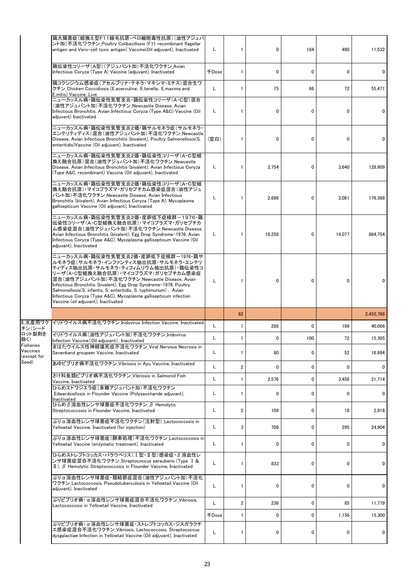|                                               | 鶏大腸菌症(組換え型F11線毛抗原·ベロ細胞毒性抗原)(油性アジュバ<br>ント加)不活化ワクチン Poultry Colibacillosis (F11 recombinant flagellar<br>antigen and Vero-cell toxic antigen) Vaccine(Oil adjuvant), Inactivated                                                                                                                     | Г          | 1  | 0           | 184          | 490          | 11,532    |
|-----------------------------------------------|----------------------------------------------------------------------------------------------------------------------------------------------------------------------------------------------------------------------------------------------------------------------------------------------------|------------|----|-------------|--------------|--------------|-----------|
|                                               | 鶏伝染性コリーザ(A型)(アジュバント加)不活化ワクチン Avian<br>Infectious Coryza (Type A) Vaccine (adjuvant), Inactivated                                                                                                                                                                                                   | $\mp$ Dose | 1  | 0           | 0            | 0            | 0         |
|                                               | 鶏コクシジウム感染症(アセルブリナ・テネラ・マキシマ・ミチス)混合生ワ<br>クチン Chicken Coccidiosis (E.acervulina, E.tenella, E.maxima and<br>E.mitis) Vaccine, Live                                                                                                                                                                    | L          | 1  | 75          | 66           | 72           | 55,471    |
|                                               | ニューカッスル病・鶏伝染性気管支炎・鶏伝染性コリーザ(A・C型)混合<br>(油性アジュバント加)不活化ワクチン_Newcastle Disease, Avian<br>Infectious Bronchitis, Avian Infectious Coryza (Type A&C) Vaccine (Oil<br>adjuvant) Inactivated                                                                                                               | Г          | 1  | 0           | $\mathbf{0}$ | $\mathbf{0}$ | 0         |
|                                               | ニューカッスル病・鶏伝染性気管支炎2価・鶏サルモネラ症(サルモネラ・<br> エンテリティディス)混合(油性アジュバント加)不活化ワクチン Newcastle<br>Disease, Avian Infectious Bronchitis (bivalent), Poultry Salmonellosis(S.<br>enteritidis) Vaccine (Oil adjuvant), Inactivated                                                                                   | (空白)       | 1  | $\mathbf 0$ | 0            | $\mathbf{0}$ | 0         |
|                                               | ニューカッスル病・鶏伝染性気管支炎2価・鶏伝染性コリーザ(A・C型組<br> 換え融合抗原)混合(油性アジュバント加)不活化ワクチン_Newcastle<br>Disease, Avian Infecitous Bronchitis (bivalent), Avian Infectious Coryza<br>(Type A&C, recombinant) Vaccine (Oil adjuvant), Inactivated                                                                            | L.         | 1  | 2,754       | 0            | 3.640        | 128,909   |
|                                               | ニューカッスル病・鶏伝染性気管支炎2価・鶏伝染性コリーザ(A・C型組<br> 換え融合抗原)・マイコプラズマ・ガリセプチカム感染症混合(油性アジュ<br>バント加) 不活化ワクチン Newcastle Disease, Avian Infectious<br>Bronchitis (bivalent), Avian Infectious Coryza (Type A), Mycoplasma<br>gallisepticum Vaccine (Oil adjuvant), Inactivated                                         | Г          | 1  | 2,698       | 0            | 3,081        | 176,368   |
|                                               | ニューカッスル病・鶏伝染性気管支炎2価・産卵低下症候群-1976・鶏<br>伝染性コリーザ(A·C型組換え融合抗原)·マイコプラズマ·ガリセプチカ<br>ム感染症混合(油性アジュバント加)不活化ワクチン Newcastle Disease,<br>Avian Infectious Bronchitis (bivalent), Egg Drop Syndrome-1976. Avian<br>Infectious Coryza (Type A&C), Mycoplasma gallisepticum Vaccine (Oil<br>adjuvant), Inactivated | L.         | 1  | 16,258      | 0            | 14,077       | 864,754   |
|                                               | ニューカッスル病・鶏伝染性気管支炎2価・産卵低下症候群ー1976・鶏サ<br>ルモネラ症(サルモネラ・インファンティス抽出抗原・サルモネラ・エンテリ<br> ティディス抽出抗原・サルモネラ・ティフィムリウム抽出抗原)・鶏伝染性コ<br>リーザ(A・C型組換え融合抗原)・マイコプラズマ・ガリセプチカム感染症<br> 混合(油性アジュバント加)不活化ワクチン_Newcastle Disease, Avian<br>Infectious Bronchitis (bivalent), Egg Drop Syndrome-1976, Poultry                   | L          | 1  | 0           | 0            | $\mathbf{0}$ | 0         |
|                                               | Salmonellosis(S. infantis, S. enteritidis, S. typhimurium), Avian<br>Infectious Coryza (Type A&C), Mycoplasma gallisepticum infection<br>Vaccine (oil adjuvant), Inactivated                                                                                                                       |            |    |             |              |              |           |
|                                               |                                                                                                                                                                                                                                                                                                    |            | 62 |             |              |              | 2,455,768 |
| 6 水産用ワク                                       | イリドウイルス病不活化ワクチン Iridovirus Infection Vaccine, Inactivated                                                                                                                                                                                                                                          | L          | 1  | 288         | 0            | 199          | 40.066    |
| チン(シード<br>ロット製剤を<br>除く)                       | イリドウイルス病(油性アジュバント加)不活化ワクチン Iridovirus<br>Infection Vaccine (Oil adjuvant), Inactivated                                                                                                                                                                                                             | L          |    | 0           | 100          | 72           | 15,305    |
|                                               | まはたウイルス性神経壊死症不活化ワクチン_Viral Nervous Necrosis in<br>Sevenband groupeer Vaccine. Inactivated                                                                                                                                                                                                          | Г          | 1  | 80          | 0            | 52           | 16,894    |
|                                               | あゆビブリオ病不活化ワクチン Vibriosis in Avu Vaccine. Inactivated                                                                                                                                                                                                                                               | L          | 2  | 0           | 0            | 0            | 0         |
| Fisheries<br>Vaccines<br>(except for<br>Seed) | さけ科魚類ビブリオ病不活化ワクチン Vibriosis in Salmonid Fish<br>Vaccine, Inactivated                                                                                                                                                                                                                               | Г          | 1  | 2,576       | 0            | 3,456        | 21,714    |
|                                               | ひらめエドワジエラ症(多糖アジュバント加)不活化ワクチン<br>Edwardsiellosis in Flounder Vaccine (Polysaccharide adjuvant),<br>Inactivated                                                                                                                                                                                      | Г          | 1  | 0           | 0            | $\mathbf{0}$ | 0         |
|                                               | ひらめβ溶血性レンサ球菌症不活化ワクチン β Hemolytic<br>Streptococcosis in Flounder Vaccine, Inactivated                                                                                                                                                                                                               | Г          | 2  | 109         | 0            | 18           | 2,918     |
|                                               | ぶりα溶血性レンサ球菌症不活化ワクチン(注射型) Lactococcosis in<br>Yellowtail Vaccine, Inactivated (for injection)                                                                                                                                                                                                       | L.         | 3  | 708         | 0            | 295          | 24,904    |
|                                               | ぶりα溶血性レンサ球菌症 (酵素処理) 不活化ワクチン Lactococcosis in<br>Yellowtail Vaccine (enzymatic treatment). Inactivated                                                                                                                                                                                              | Г          | 1  | 0           | 0            | 0            | 0         |
|                                               | ひらめストレプトコッカス・パラウベリス(Ⅰ型・Ⅱ型)感染症・β溶血性レ<br>ンサ球菌症混合不活化ワクチン_Streptococcus parauberis (Type I &<br>$\mathbb{I}$ ), $\beta$ Hemolytic Streptococcosis in Flounder Vaccine, Inactivated                                                                                                                     | Г          |    | 833         | 0            | 0            | 0         |
|                                               | ぶりα溶血性レンサ球菌症・類結節症混合(油性アジュバント加)不活化<br>ワクチン Lactococcosis, Pseudotuberculosis in Yellowtail Vaccine (Oil<br>adjuvant), Inactivated                                                                                                                                                                   | L          |    | 0           | 0            | 0            | 0         |
|                                               | ぶりビブリオ病・α溶血性レンサ球菌症混合不活化ワクチン_Vibriosis,<br>Lactococcosis in Yellowtail Vaccine, Inactivated                                                                                                                                                                                                         | Г          | 2  | 236         | 0            | 85           | 11,779    |
|                                               | ぶりビブリオ病・α 溶血性レンサ球菌症・ストレプトコッカス・ジスガラクチ                                                                                                                                                                                                                                                               | 千Dose      |    | 0           | 0            | 1,156        | 15,300    |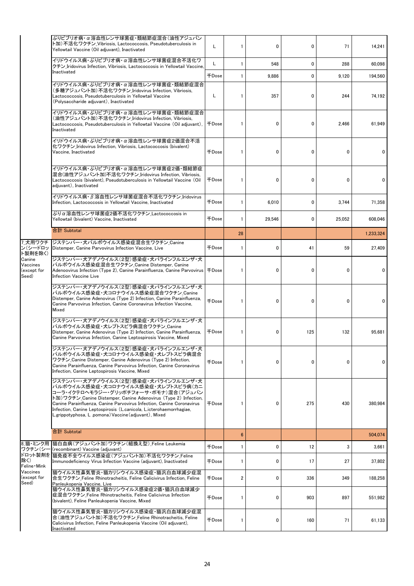| ぶりビブリオ病・α溶血性レンサ球菌症・類結節症混合(油性アジュバン<br>ト加)不活化ワクチン Vibriosis, Lactococcosis, Pseudotuberculosis in<br>Yellowtail Vaccine (Oil adjuvant), Inactivated                                                                                                                                                                                                                                            | L                                                                                                                                                                                                                                                                              |                                                                                 | 0      | 0           | 71           | 14,241    |
|----------------------------------------------------------------------------------------------------------------------------------------------------------------------------------------------------------------------------------------------------------------------------------------------------------------------------------------------------------------------------------------------|--------------------------------------------------------------------------------------------------------------------------------------------------------------------------------------------------------------------------------------------------------------------------------|---------------------------------------------------------------------------------|--------|-------------|--------------|-----------|
| イリドウイルス病・ぶりビブリオ病・α溶血性レンサ球菌症混合不活化ワ<br>クチン Iridovirus Infection, Vibriosis, Lactococcosis in Yellowtail Vaccine,                                                                                                                                                                                                                                                                               | Г                                                                                                                                                                                                                                                                              | 1                                                                               | 548    | 0           | 288          | 60,098    |
|                                                                                                                                                                                                                                                                                                                                                                                              | $\mp$ Dose                                                                                                                                                                                                                                                                     | $\mathbf{1}$                                                                    | 9,886  | 0           | 9.120        | 194,560   |
| イリドウイルス病・ぶりビブリオ病・α溶血性レンサ球菌症・類結節症混合<br>(多糖アジュバント加)不活化ワクチン Iridovirus Infection, Vibriosis,<br>Lactococcosis, Pseudotuberculosis in Yellowtail Vaccine<br>(Polysaccharide adjuvant), Inactivated                                                                                                                                                                                               | L                                                                                                                                                                                                                                                                              | 1                                                                               | 357    | 0           | 244          | 74,192    |
| イリドウイルス病・ぶりビブリオ病・α溶血性レンサ球菌症・類結節症混合<br>(油性アジュバント加)不活化ワクチン Iridovirus Infection, Vibriosis,<br>Lactococcosis, Pseudotuberculosis in Yellowtail Vaccine (Oil adjuvant),<br>Inactivated                                                                                                                                                                                                          | 千Dose                                                                                                                                                                                                                                                                          | 1                                                                               | 0      | 0           | 2.466        | 61,949    |
| イリドウイルス病・ぶりビブリオ病・α溶血性レンサ球菌症2価混合不活<br>化ワクチン Iridovirus Infection, Vibriosis, Lactococcosis (bivalent)<br>Vaccine. Inactivated                                                                                                                                                                                                                                                                 | $\mp$ Dose                                                                                                                                                                                                                                                                     | 1                                                                               | 0      | 0           | $\mathbf{0}$ | 0         |
| イリドウイルス病・ぶりビブリオ病・α溶血性レンサ球菌症2価・類結節症<br>混合(油性アジュバント加)不活化ワクチン_Iridovirus Infection, Vibriosis,<br>Lactococcosis (bivalent), Pseudotuberculosis in Yellowtail Vaccine (Oil<br>adjuvant), Inactivated                                                                                                                                                                                             | <b>FDose</b>                                                                                                                                                                                                                                                                   | 1                                                                               | 0      | 0           | $\mathbf{0}$ | 0         |
| イリドウイルス病·β溶血性レンサ球菌症混合不活化ワクチン Iridovirus<br>Infection, Lactococcosis in Yellowtail Vaccine, Inactivated                                                                                                                                                                                                                                                                                       | <b>千Dose</b>                                                                                                                                                                                                                                                                   | 1                                                                               | 6.010  | 0           | 3.744        | 71,358    |
| ぶりα溶血性レンサ球菌症2価不活化ワクチン Lactococcosis in<br>Yellowtail (bivalent) Vaccine, Inactivated                                                                                                                                                                                                                                                                                                         | $\mp$ Dose                                                                                                                                                                                                                                                                     | 1                                                                               | 29.546 | 0           | 25,052       | 608.046   |
| 合計 Subtotal                                                                                                                                                                                                                                                                                                                                                                                  |                                                                                                                                                                                                                                                                                | 28                                                                              |        |             |              | 1.233.324 |
|                                                                                                                                                                                                                                                                                                                                                                                              | $\mp$ Dose                                                                                                                                                                                                                                                                     | 1                                                                               | 0      | 41          | 59           | 27,409    |
| ジステンパー・犬アデノウイルス(2型)感染症・犬パラインフルエンザ・犬<br>パルボウイルス感染症混合生ワクチン Canine Distemper, Canine<br>Infection Vaccine Live                                                                                                                                                                                                                                                                                  |                                                                                                                                                                                                                                                                                | 1                                                                               | 0      | $\mathbf 0$ | $\mathbf{0}$ | 0         |
| ジステンパー・犬アデノウイルス(2型)感染症・犬パラインフルエンザ・犬<br> パルボウイルス感染症・犬コロナウイルス感染症混合ワクチン Canine<br>Distemper, Canine Adenovirus (Type 2) Infection, Canine Parainfluenza,<br>Canine Parvovirus Infection, Canine Coronavirus Infection Vaccine,<br>Mixed                                                                                                                                                         | <b>千Dose</b>                                                                                                                                                                                                                                                                   | 1                                                                               | 0      | 0           | $\mathbf{0}$ | 0         |
| ジステンパー・犬アデノウイルス(2型)感染症・犬パラインフルエンザ・犬<br>パルボウイルス感染症・犬レプトスピラ病混合ワクチン Canine<br>Distemper, Canine Adenovirus (Type 2) Infection, Canine Parainfluenza,<br>Canine Parvovirus Infection, Canine Leptospirosis Vaccine, Mixed                                                                                                                                                                        | 千Dose                                                                                                                                                                                                                                                                          | 1                                                                               | 0      | 125         | 132          | 95,681    |
| ジステンパー・犬アデノウイルス(2型)感染症・犬パラインフルエンザ・犬<br>パルボウイルス感染症・犬コロナウイルス感染症・犬レプトスピラ病混合<br>ワクチン Canine Distemper, Canine Adenovirus (Type 2) Infection,<br>Canine Parainfluenza, Canine Parvovirus Infection, Canine Coronavirus<br>Infection, Canine Leptospirosis Vaccine, Mixed                                                                                                                          | $\mp$ Dose                                                                                                                                                                                                                                                                     | 1                                                                               | 0      | 0           | 0            | 0         |
| ジステンパー・犬アデノウイルス(2型)感染症・犬パラインフルエンザ・犬<br>パルボウイルス感染症・犬コロナウイルス感染症・犬レプトスピラ病(カニ<br>コーラ・イクテロヘモラジー・グリッポチフォーサ・ポモナ)混合(アジュバン<br>ト加)ワクチン Canine Distemper, Canine Adenovirus (Type 2) Infection,<br>Canine Parainfluenza, Canine Parvovirus Infection, Canine Coronavirus<br>Infection, Canine Leptospirosis (L.canicola, L.icterohaemorrhagiae,<br>L.grippotyphosa, L.pomona) Vaccine (adiuvant), Mixed | <b>千Dose</b>                                                                                                                                                                                                                                                                   | 1                                                                               | 0      | 275         | 430          | 380,984   |
| 合計 Subtotal                                                                                                                                                                                                                                                                                                                                                                                  |                                                                                                                                                                                                                                                                                | $6\phantom{1}$                                                                  |        |             |              | 504,074   |
|                                                                                                                                                                                                                                                                                                                                                                                              | 千Dose                                                                                                                                                                                                                                                                          | 1                                                                               | 0      | 12          | 3            | 3,661     |
| Immunodeficiency Virus Infection Vaccine (adjuvant), Inactivated                                                                                                                                                                                                                                                                                                                             | 千Dose                                                                                                                                                                                                                                                                          | 1                                                                               | 0      | 17          | 27           | 37,802    |
| 猫ウイルス性鼻気管炎・猫カリシウイルス感染症・猫汎白血球減少症混<br>合生ワクチン Feline Rhinotracheitis, Feline Calicivirus Infection, Feline                                                                                                                                                                                                                                                                                      | 千Dose                                                                                                                                                                                                                                                                          | 2                                                                               | 0      | 336         | 349          | 188,258   |
| 猫ウイルス性鼻気管炎・猫カリシウイルス感染症2価・猫汎白血球減少<br>症混合ワクチン Feline Rhinotracheitis, Feline Calicivirus Infection<br>(bivalent), Feline Panleukopenia Vaccine, Mixed                                                                                                                                                                                                                                          | $\mp$ Dose                                                                                                                                                                                                                                                                     | 1                                                                               | 0      | 903         | 897          | 551,982   |
| 猫ウイルス性鼻気管炎・猫カリシウイルス感染症・猫汎白血球減少症混<br> 合(油性アジュバント加)不活化ワクチン Feline Rhinotracheitis, Feline<br>Calicivirus Infection, Feline Panleukopenia Vaccine (Oil adjuvant),<br>Inactivated                                                                                                                                                                                                                | $\mp$ Dose                                                                                                                                                                                                                                                                     | 1                                                                               | 0      | 160         | 71           | 61,133    |
|                                                                                                                                                                                                                                                                                                                                                                                              | Inactivated<br>7 犬用ワクチ  ジステンパー・犬パルボウイルス感染症混合生ワクチン Canine<br>Distemper, Canine Parvovirus Infection Vaccine, Live<br> 猫白血病(アジュバント加)ワクチン(組換え型) Feline Leukemia<br>(recombinant) Vaccine (adjuvant)<br>ドロット製剤を 描免疫不全ウイルス感染症(アジュバント加)不活化ワクチン_Feline<br>Panleukopenia Vaccine, Live | Adenoovirus Infection (Type 2), Canine Parainfluenza, Canine Parvovirus   FDose |        |             |              |           |

Seed)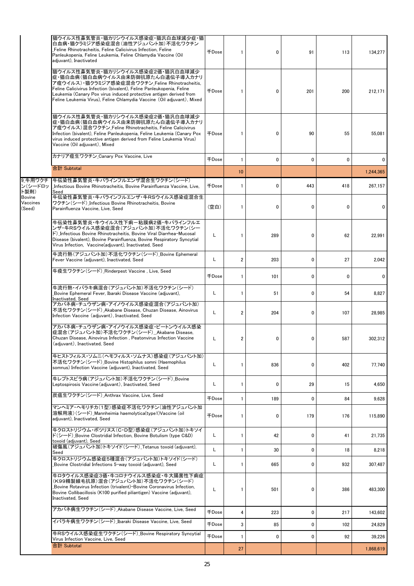|                           | 猫ウイルス性鼻気管炎・猫カリシウイルス感染症・猫汎白血球減少症・猫<br>白血病・猫クラミジア感染症混合(油性アジュバント加)不活化ワクチン<br>Feline Rhinotracheitis, Feline Calicivirus Infection, Feline<br>Panleukopenia, Feline Leukemia, Feline Chlamydia Vaccine (Oil<br>adjuvant), Inactivated                                                                                                                  | <b>千Dose</b> | 1              | 0   | 91  | 113          | 134,277   |
|---------------------------|----------------------------------------------------------------------------------------------------------------------------------------------------------------------------------------------------------------------------------------------------------------------------------------------------------------------------------------------------|--------------|----------------|-----|-----|--------------|-----------|
|                           | 猫ウイルス性鼻気管炎・猫カリシウイルス感染症2価・猫汎白血球減少<br> 症・猫白血病(猫白血病ウイルス由来防御抗原たん白遺伝子導入カナリ<br> ア痘ウイルス)・猫クラミジア感染症混合ワクチン_Feline Rhinotracheitis,<br>Feline Calicivirus Infection (bivalent), Feline Panleukopenia, Feline<br>Leukemia (Canary Pox virus induced protective antigen derived from<br>Feline Leukemia Virus), Feline Chlamydia Vaccine (Oil adjuvant), Mixed | 千Dose        | $\mathbf{1}$   | 0   | 201 | 200          | 212,171   |
|                           | 猫ウイルス性鼻気管炎・猫カリシウイルス感染症2価・猫汎白血球減少<br> 症・猫白血病(猫白血病ウイルス由来防御抗原たん白遺伝子導入カナリ<br>ア痘ウイルス)混合ワクチン Feline Rhinotracheitis, Feline Calicivirus<br>Infection (bivalent), Feline Panleukopenia, Feline Leukemia (Canary Pox<br>virus induced protective antigen derived from Feline Leukemia Virus)<br>Vaccine (Oil adjuvant), Mixed                              | <b>千Dose</b> | 1              | 0   | 90  | 55           | 55.081    |
|                           | カナリア痘生ワクチン_Canary Pox Vaccine, Live                                                                                                                                                                                                                                                                                                                | <b>+Dose</b> | 1              | 0   | 0   | $\mathbf{0}$ | 0         |
|                           | 合計 Subtotal                                                                                                                                                                                                                                                                                                                                        |              | 10             |     |     |              | 1,244,365 |
| ン(シードロッ<br>ト製剤)<br>Bovine | 9 牛用ワクチ  牛伝染性鼻気管炎・牛パラインフルエンザ混合生ワクチン(シード)<br>Infectious Bovine Rhinotracheitis, Bovine Parainfluenza Vaccine, Live,<br>Seed<br>牛伝染性鼻気管炎・牛パラインフルエンザ・牛RSウイルス感染症混合生                                                                                                                                                                                    | <b>千Dose</b> | 1              | 0   | 443 | 418          | 267,157   |
| Vaccines<br>(Seed)        | ワクチン(シード) Infectious Bovine Rhinotracheitis. Bovine<br>Parainfluenza Vaccine, Live, Seed                                                                                                                                                                                                                                                           | (空白)         | 1              | 0   | 0   | 0            | 0         |
|                           | 牛伝染性鼻気管炎・牛ウイルス性下痢ー粘膜病2価・牛パラインフルエ<br>ンザ・牛RSウイルス感染症混合(アジュバント加)不活化ワクチン(シー<br>ド) Infectious Bovine Rhinotracheitis, Bovine Viral Diarrhea-Mucosal<br>Disease (bivalent), Bovine Parainfluenza, Bovine Respiratory Syncytial<br>Virus Infection, Vaccine (adjuvant), Inactivated, Seed                                                                  | L            | 1              | 289 | 0   | 62           | 22,991    |
|                           | 牛流行熱(アジュバント加)不活化ワクチン(シード) Bovine Ephemeral<br>Fever Vaccine (adjuvant), Inactivated, Seed                                                                                                                                                                                                                                                          | L            | $\overline{2}$ | 203 | 0   | 27           | 2,042     |
|                           | 牛疫生ワクチン(シード) Rinderpest Vaccine , Live, Seed                                                                                                                                                                                                                                                                                                       | <b>千Dose</b> | 1              | 101 | 0   | 0            | 0         |
|                           | 牛流行熱・イバラキ病混合(アジュバント加)不活化ワクチン(シード)<br>Bovine Ephemeral Fever, Ibaraki Disease Vaccine (adjuvant),<br>Inactivated, Seed                                                                                                                                                                                                                              | L            | 1              | 51  | 0   | 54           | 8,827     |
|                           | アカバネ病・チュウザン病・アイノウイルス感染症混合(アジュバント加)<br>不活化ワクチン(シード)_Akabane Disease, Chuzan Disease, Ainovirus<br>Infection Vaccine (adjuvant), Inactivated, Seed                                                                                                                                                                                                   | L            | $\overline{2}$ | 204 | 0   | 107          | 28,985    |
|                           | アカバネ病・チュウザン病・アイノウイルス感染症・ピートンウイルス感染<br>症混合(アジュバント加)不活化ワクチン(シード) Akabane Disease,<br>Chuzan Disease, Ainovirus Infection, Peatonvirus Infection Vaccine<br>(adjuvant), Inactivated, Seed                                                                                                                                                             | L            | 2              | 0   | 0   | 587          | 302.312   |
|                           | 牛ヒストフィルス・ソムニ(ヘモフィルス・ソムナス)感染症(アジュバント加)<br>不活化ワクチン(シード) Bovine Histophilus somni (Haemophilus<br>somnus) Infection Vaccine (adjuvant), Inactivated, Seed                                                                                                                                                                                             | L            | 1              | 836 | 0   | 402          | 77,740    |
|                           | 牛レプトスピラ病(アジュバント加)不活化ワクチン(シード) Bovine<br>Leptospirosis Vaccine (adjuvant), Inactivated, Seed                                                                                                                                                                                                                                                        | L            | 1              | 0   | 29  | 15           | 4,650     |
|                           | 炭疽生ワクチン(シード) Anthrax Vaccine. Live. Seed                                                                                                                                                                                                                                                                                                           | <b>千Dose</b> | 1              | 189 | 0   | 84           | 9,628     |
|                           | マンヘミア・ヘモリチカ(1型)感染症不活化ワクチン(油性アジュバント加<br>溶解用液)(シード)_Mannheimia haemolytica(type1)Vaccine (oil<br>adjuvant), Inactivated, Seed                                                                                                                                                                                                                        | <b>千Dose</b> | 1              | 0   | 179 | 176          | 115,890   |
|                           | 牛クロストリジウム・ボツリヌス(C・D型)感染症(アジュバント加)トキソイ<br>ド(シード) Bovine Clostridial Infection, Bovine Botulism (type C&D)<br>toxoid (adjuvant), Seed                                                                                                                                                                                                                | L            | 1              | 42  | 0   | 41           | 21,735    |
|                           | 破傷風(アジュバント加)トキソイド(シード) Tetanus toxoid (adjuvant),<br>Seed                                                                                                                                                                                                                                                                                          | L            | 1              | 30  | 0   | 18           | 8,218     |
|                           | 牛クロストリジウム感染症5種混合(アジュバント加)トキソイド(シード)<br>Bovine Clostridial Infections 5-way toxoid (adjuvant), Seed                                                                                                                                                                                                                                                 | L            | 1              | 665 | 0   | 932          | 307,487   |
|                           | 牛ロタウイルス感染症3価・牛コロナウイルス感染症・牛大腸菌性下痢症<br>(K99精製線毛抗原)混合(アジュバント加)不活化ワクチン(シード)<br>Bovine Rotavirus Infection (trivalent)-Bovine Coronavirus Infection,<br>Bovine Collibacillosis (K100 purified piliantigen) Vaccine (adjuvant),<br>Inactivated, Seed                                                                                                     | L            | 1              | 501 | 0   | 386          | 483,300   |
|                           | アカバネ病生ワクチン(シード) Akabane Disease Vaccine, Live, Seed                                                                                                                                                                                                                                                                                                | <b>千Dose</b> | 4              | 223 | 0   | 217          | 143,602   |
|                           | イバラキ病生ワクチン(シード) Ibaraki Disease Vaccine, Live, Seed                                                                                                                                                                                                                                                                                                | 千Dose        | 3              | 85  | 0   | 102          | 24,829    |
|                           | 牛RSウイルス感染症生ワクチン(シード) Bovine Respiratory Syncytial<br>Virus Infection Vaccine, Live, Seed                                                                                                                                                                                                                                                           | <b>千Dose</b> | $\mathbf{1}$   | 0   | 0   | 92           | 39,226    |
|                           | 合計 Subtotal                                                                                                                                                                                                                                                                                                                                        |              | 27             |     |     |              | 1,868,619 |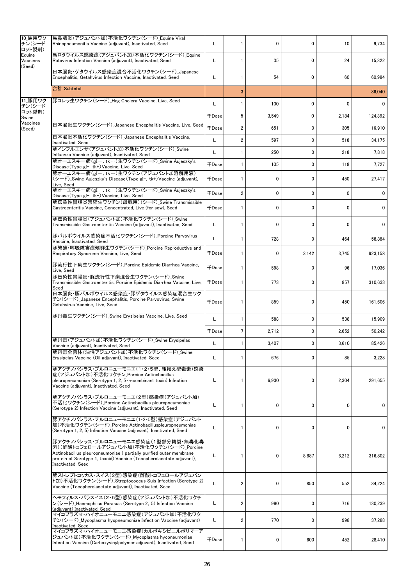| 10 馬用ワク<br>チン(シード                      | 馬鼻肺炎(アジュバント加)不活化ワクチン(シード)_Equine Viral<br>Rhinopneumonitis Vaccine (adjuvant), Inactivated, Seed                                                                                                                                                   | L            | 1               | 0     | 0     | 10           | 9,734   |
|----------------------------------------|----------------------------------------------------------------------------------------------------------------------------------------------------------------------------------------------------------------------------------------------------|--------------|-----------------|-------|-------|--------------|---------|
| ロット製剤)<br>Eauine<br>Vaccines<br>(Seed) | 馬ロタウイルス感染症(アジュバント加)不活化ワクチン(シード) Equine<br>Rotavirus Infection Vaccine (adjuvant), Inactivated, Seed                                                                                                                                                | L            | 1               | 35    | 0     | 24           | 15,322  |
|                                        | 日本脳炎・ゲタウイルス感染症混合不活化ワクチン(シード) Japanese<br>Encephalitis, Getahvirus Infection Vaccine, Inactivated, Seed                                                                                                                                             | L            | 1               | 54    | 0     | 60           | 60,984  |
|                                        | 合計 Subtotal                                                                                                                                                                                                                                        |              | 3               |       |       |              | 86,040  |
| 11 豚用ワク<br>チン(シード                      | 豚コレラ生ワクチン(シード)_Hog Cholera Vaccine, Live, Seed                                                                                                                                                                                                     | L            | 1               | 100   | 0     | $\mathbf{0}$ | 0       |
| ロット製剤)<br>Swine                        |                                                                                                                                                                                                                                                    | <b>千Dose</b> | 5               | 3,549 | 0     | 2,184        | 124,392 |
| Vaccines<br>(Seed)                     | 日本脳炎生ワクチン(シード) Japanese Encephalitis Vaccine, Live, Seed                                                                                                                                                                                           | <b>千Dose</b> | 2               | 651   | 0     | 305          | 16,910  |
|                                        | 日本脳炎不活化ワクチン(シード)_Japanese Encephalitis Vaccine,<br>Inactivated, Seed                                                                                                                                                                               | L            | $\overline{2}$  | 597   | 0     | 518          | 34,175  |
|                                        | 豚インフルエンザ(アジュバント加)不活化ワクチン(シード) Swine<br>Influenza Vaccine (adjuvant), Inactivated, Seed                                                                                                                                                             | L            | 1               | 250   | 0     | 218          | 7,818   |
|                                        | 豚オーエスキー病(gIー、tk+)生ワクチン(シード) Swine Aujeszky's<br>Disease(Type gI-, tk+)Vaccine, Live, Seed                                                                                                                                                          | $\mp$ Dose   | 1               | 105   | 0     | 118          | 7,727   |
|                                        | 豚オーエスキー病(gI-、tk+)生ワクチン(アジュバント加溶解用液)<br>(シード)_Swine Aujeszky's Disease (Type gI−, tk+) Vaccine (adjuvant),<br>Live, Seed                                                                                                                            | 千Dose        | 1               | 0     | 0     | 450          | 27,417  |
|                                        | 豚オーエスキー病(gI-、tk-)生ワクチン(シード) Swine Aujeszky's<br>Disease(Type gI-, tk-)Vaccine, Live, Seed                                                                                                                                                          | <b>千Dose</b> | $\overline{2}$  | 0     | 0     | $\mathbf{0}$ | 0       |
|                                        | 豚伝染性胃腸炎濃縮生ワクチン(母豚用)(シード) Swine Transmissible<br>Gastroenteritis Vaccine, Concentrated, Live (for sow), Seed                                                                                                                                        | <b>千Dose</b> | 1               | 0     | 0     | $\mathbf{0}$ | 0       |
|                                        | 豚伝染性胃腸炎(アジュバント加)不活化ワクチン(シード)_Swine<br>Transmissible Gastroenteritis Vaccine (adiuvant). Inactivated. Seed                                                                                                                                          | L            | 1               | 0     | 0     | $\mathbf{0}$ | 0       |
|                                        | 豚パルボウイルス感染症不活化ワクチン(シード) Porcine Parvovirus<br>Vaccine, Inactivated, Seed                                                                                                                                                                           | L            | 1               | 728   | 0     | 464          | 58,884  |
|                                        | 豚繁殖・呼吸障害症候群生ワクチン(シード) Porcine Reproductive and<br>Respiratory Syndrome Vaccine, Live, Seed                                                                                                                                                         |              | 1               | 0     | 3,142 | 3,745        | 923,158 |
|                                        | 豚流行性下痢生ワクチン(シード)_Porcine Epidemic Diarrhea Vaccine,<br>Live, Seed                                                                                                                                                                                  | <b>千Dose</b> | 1               | 598   | 0     | 96           | 17,036  |
|                                        | 豚伝染性胃腸炎・豚流行性下痢混合生ワクチン(シード) Swine<br>Transmissible Gastroenteritis, Porcine Epidemic Diarrhea Vaccine, Live,<br>Seed                                                                                                                                | 千Dose        | 1               | 773   | 0     | 857          | 310,633 |
|                                        | 日本脳炎・豚パルボウイルス感染症・豚ゲタウイルス感染症混合生ワク<br>チン(シード)Japanese Encephalitis, Porcine Parvovirus, Swine<br>Getahvirus Vaccine, Live, Seed                                                                                                                      | <b>千Dose</b> | 1               | 859   | 0     | 450          | 161,606 |
|                                        | 豚丹毒生ワクチン(シード) Swine Erysipelas Vaccine, Live, Seed                                                                                                                                                                                                 | L            | 1               | 588   | 0     | 538          | 15,909  |
|                                        |                                                                                                                                                                                                                                                    | 千Dose        | $7\overline{ }$ | 2,712 | 0     | 2,652        | 50,242  |
|                                        | 豚丹毒(アジュバント加)不活化ワクチン(シード)_Swine Erysipelas<br>Vaccine (adjuvant), Inactivated, Seed                                                                                                                                                                 | L            | $\mathbf{1}$    | 3.407 | 0     | 3,610        | 85,426  |
|                                        | 豚丹毒全菌体(油性アジュバント加)不活化ワクチン(シード)_Swine<br>Erysipelas Vaccine (Oil adjuvant), Inactivated, Seed                                                                                                                                                        | L            | 1               | 676   | 0     | 85           | 3,228   |
|                                        | 豚アクチノバシラス・プルロニューモニエ(1・2・5型、組換え型毒素)感染<br>症(アジュバント加)不活化ワクチン_Porcine Actinobacillus<br>pleuropneumoniae (Serotype 1, 2, 5 recombinant toxin) Infection<br>Vaccine (adjuvant), Inactivated, Seed                                                       | L            | 1               | 6,930 | 0     | 2,304        | 291,655 |
|                                        | 豚アクチノバシラス・プルロニューモニエ(2型)感染症(アジュバント加)<br>不活化ワクチン(シード)_Porcine Actinobacillus pleuropneumoniae<br>(Serotype 2) Infection Vaccine (adjuvant), Inactivated, Seed                                                                                        | L            | 1               | 0     | 0     | 0            | 0       |
|                                        | 豚アクチノバシラス・プルロニューモニエ(1・2・5型)感染症(アジュバント<br>加)不活化ワクチン(シード)_Porcine Actinobacilluspleuropneumoniae<br>(Serotype 1, 2, 5) Infection Vaccine (adjuvant), Inactivated, Seed                                                                               | L            | 1               | 0     | 0     | 0            | 0       |
|                                        | 豚アクチノバシラス・プルロニューモニエ感染症(1型部分精製・無毒化毒<br>素)(酢酸トコフェロールアジュバント加)不活化ワクチン(シード) Porcine<br>Actinobacillus pleuropneumoniae ( partially purified outer membrane<br>protein of Serotype 1, toxoid) Vaccine (Tocopherolacetate adjuvant),<br>Inactivated, Seed | L            | 1               | 0     | 8,887 | 6,212        | 316,802 |
|                                        | 豚ストレプトコッカス・スイス(2型)感染症(酢酸トコフェロールアジュバン<br>ト加)不活化ワクチン(シード)_Streptococcus Suis Infection (Serotype 2)<br>Vaccine (Tocopherolacetate adjuvant), Inactivated, Seed                                                                                       | L            | 2               | 0     | 850   | 552          | 34,224  |
|                                        | ヘモフィルス・パラスイス(2・5型)感染症(アジュバント加)不活化ワクチ<br>ン(シード)_Haemophilus Parasuis (Serotype 2, 5) Infection Vaccine<br>(adjuvant) Inactivated, Seed                                                                                                              | L            | 2               | 990   | 0     | 716          | 130,239 |
|                                        | マイコプラズマ・ハイオニューモニエ感染症(アジュバント加)不活化ワク<br>チン(シード)_Mycoplasma hyopneumoniae Infection Vaccine (adjuvant)<br>Inactivated, Seed                                                                                                                           | L            | 2               | 770   | 0     | 998          | 37,288  |
|                                        | マイコプラズマ・ハイオニューモニエ感染症(カルボキシビニルポリマーア<br>ジュバント加)不活化ワクチン(シード)_Mycoplasma hyopneumoniae<br>Infection Vaccine (Carboxyvinylpolymer adjuvant), Inactivated, Seed                                                                                          | <b>千Dose</b> | 1               | 0     | 600   | 452          | 28,410  |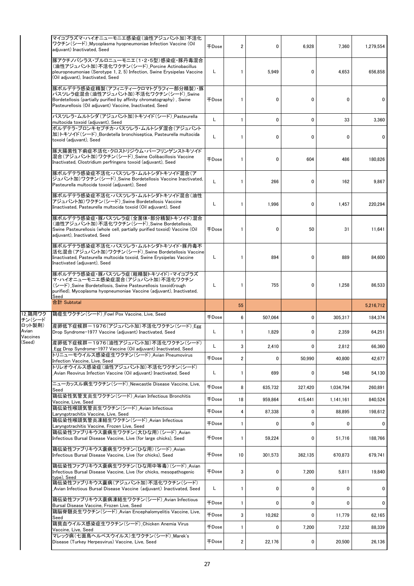|                             | マイコプラズマ・ハイオニューモニエ感染症(油性アジュバント加)不活化<br>ワクチン (シード) Mycoplasma hyopneumoniae Infection Vaccine (Oil<br>adjuvant) Inactivated, Seed                                                                                  | $\mp$ Dose   | 2                       | 0       | 6,928   | 7,360        | 1,279,554 |
|-----------------------------|------------------------------------------------------------------------------------------------------------------------------------------------------------------------------------------------------------------|--------------|-------------------------|---------|---------|--------------|-----------|
|                             | 豚アクチノバシラス・プルロニューモニエ(1・2・5型)感染症・豚丹毒混合<br>(油性アジュバント加)不活化ワクチン(シード)_Porcine Actinobacillus<br>pleuropneumoniae (Serotype 1, 2, 5) Infection, Swine Erysipelas Vaccine<br>(Oil adjuvant), Inactivated, Seed           | L            | 1                       | 5,949   | 0       | 4.653        | 656,858   |
|                             | 豚ボルデテラ感染症精製(アフィニティークロマトグラフィー部分精製)・豚<br>パスツレラ症混合(油性アジュバント加)不活化ワクチン(シード)_Swine<br>Bordetellosis (partially purified by affinity chromatography), Swine<br>Pasteurellosis (Oil adjuvant) Vaccine, Inactivated, Seed | <b>FDose</b> | 1                       | 0       | 0       | 0            | 0         |
|                             | パスツレラ・ムルトシダ (アジュバント加)トキソイド(シード) Pasteurella<br>multocida toxoid (adjuvant), Seed                                                                                                                                 | L            | 1                       | 0       | 0       | 33           | 3,360     |
|                             | ボルデテラ・ブロンキセプチカ・パスツレラ・ムルトシダ混合(アジュバント<br>加)トキソイド(シード) Bordetella bronchiseptica, Pasteurella multocida<br>toxoid (adjuvant), Seed                                                                                  | Г            |                         | 0       | 0       | $\mathbf{0}$ | 0         |
|                             | 豚大腸菌性下痢症不活化・クロストリジウム・パーフリンゲンストキソイド<br>混合(アジュバント加)ワクチン(シード)_Swine Colibacillosis Vaccine<br>Inactivated, Clostridium perfringens toxoid (adjuvant), Seed                                                          | $\mp$ Dose   |                         | 0       | 604     | 486          | 180,826   |
|                             | 豚ボルデテラ感染症不活化・パスツレラ・ムルトシダトキソイド混合(ア<br>ジュバント加)ワクチン(シード)_Swine Bordetellosis Vaccine Inactivated,<br>Pasteurella multocida toxoid (adjuvant), Seed                                                                  | L            |                         | 266     | 0       | 162          | 9,867     |
|                             | 豚ボルデテラ感染症不活化・パスツレラ・ムルトシダトキソイド混合(油性<br>アジュバント加)ワクチン(シード) Swine Bordetellosis Vaccine<br>Iinactivated, Pasteurella multocida toxoid (Oil adjuvant), Seed                                                           | Г            | 1                       | 1,996   | 0       | 1,457        | 220,294   |
|                             | 豚ボルデテラ感染症・豚パスツレラ症(全菌体・部分精製トキソイド)混合<br>(油性アジュバント加)不活化ワクチン(シード) Swine Bordetellosis,<br>Swine Pasteurellosis (whole cell, partially purified toxoid) Vaccine (Oil<br>adjuvant), Inactivated, Seed                  | $\mp$ Dose   | 1                       | 0       | 50      | 31           | 11,641    |
|                             | 豚ボルデテラ感染症不活化・パスツレラ・ムルトシダトキソイド・豚丹毒不<br>活化混合(アジュバント加)ワクチン(シード)_Swine Bordetellosis Vaccine<br>Iinactivated, Pasteurella multocida toxoid, Swine Erysipelas Vaccine<br>Inactivated (adjuvant), Seed                 | L            | 1                       | 894     | 0       | 889          | 84,600    |
|                             | 豚ボルデテラ感染症・豚パスツレラ症(粗精製トキソイド)・マイコプラズ<br>マ・ハイオニューモニエ感染症混合(アジュバント加)不活化ワクチン<br>(シード) Swine Bordetellosis, Swine Pasteurellosis toxoid(rough<br>purified), Mycoplasma hyopneumoniae Vaccine (adjuvant), Inactivated,   | L            | 1                       | 755     | 0       | 1,258        | 86,533    |
|                             | Seed                                                                                                                                                                                                             |              |                         |         |         |              |           |
|                             | 合計 Subtotal                                                                                                                                                                                                      |              | 55                      |         |         |              | 5,216,712 |
| 12 鶏用ワク<br>チン(シード           | 鶏痘生ワクチン(シード) Fowl Pox Vaccine, Live, Seed                                                                                                                                                                        | $\mp$ Dose   | 6                       | 507,064 | 0       | 305,317      | 184.374   |
| ロット製剤)<br>Avian<br>Vaccines | 産卵低下症候群ー1976(アジュバント加)不活化ワクチン(シード) Egg<br>Drop Syndrome-1977 Vaccine (adjuvant) Inactivated, Seed                                                                                                                 | Г            | 1                       | 1,829   | 0       | 2,359        | 64,251    |
| (Seed)                      | 産卵低下症候群-1976(油性アジュバント加)不活化ワクチン(シード)<br>Egg Drop Syndrome-1977 Vaccine (Oil adjuvant) Inactivated, Seed                                                                                                           |              | 3                       | 2,410   | 0       | 2,812        | 66,360    |
|                             | トリニューモウイルス感染症生ワクチン(シード) Avian Pneumovirus<br>Infection Vaccine, Live, Seed                                                                                                                                       | <b>FDose</b> | $\overline{\mathbf{c}}$ | 0       | 50,990  | 40,800       | 42,677    |
|                             | トリレオウイルス感染症(油性アジュバント加)不活化ワクチン(シード)<br>Avian Reovirus Infection Vaccine (Oil adjuvant) Inactivated, Seed                                                                                                          | L.           | 1                       | 699     | 0       | 548          | 54,130    |
|                             | ニューカッスル病生ワクチン(シード) Newcastle Disease Vaccine, Live,<br>Seed                                                                                                                                                      | <b>FDose</b> | 8                       | 635,732 | 327,420 | 1,034,794    | 260,891   |
|                             | 鶏伝染性気管支炎生ワクチン(シード) Avian Infectious Bronchitis<br>Vaccine, Live, Seed                                                                                                                                            | $\mp$ Dose   | 18                      | 959.864 | 415,441 | 1.141.161    | 840,524   |
|                             | 鶏伝染性喉頭気管炎生ワクチン(シード) Avian Infectious<br>Laryngotrachitis Vaccine, Live, Seed                                                                                                                                     | 千Dose        | 4                       | 87,338  | 0       | 88,895       | 198,612   |
|                             | 鶏伝染性喉頭気管炎凍結生ワクチン(シード) Avian Infectious<br>Laryngotrachitis Vaccine, Frozen Live, Seed                                                                                                                            | $\mp$ Dose   |                         | 0       | 0       | $\mathbf{0}$ | 0         |
|                             | 鶏伝染性ファブリキウス嚢病生ワクチン(大ひな用)(シード) Avian<br>Infectious Bursal Disease Vaccine, Live (for large chicks), Seed                                                                                                          | 千Dose        | 1                       | 59,224  | 0       | 51,716       | 188,766   |
|                             | 鶏伝染性ファブリキウス嚢病生ワクチン(ひな用)(シード) Avian<br>Infectious Bursal Disease Vaccine, Live (for chicks), Seed                                                                                                                 | $\mp$ Dose   | 10                      | 301,573 | 362,135 | 670,873      | 679,741   |
|                             | 鶏伝染性ファブリキウス嚢病生ワクチン(ひな用中等毒)(シード) Avian<br>Infectious Bursal Disease Vaccine, Live (for chicks, mesopathogenic<br>type), Seed                                                                                      | <b>千Dose</b> | 3                       | 0       | 7,200   | 5,811        | 19,840    |
|                             | 鶏伝染性ファブリキウス囊病(アジュバント加)不活化ワクチン(シード)<br>Avian Infectious Bursal Disease Vaccine (adjuvant) Inactivated, Seed                                                                                                       | L            | 1                       | 0       | 0       | 0            | 0         |
|                             | 鶏伝染性ファブリキウス嚢病凍結生ワクチン(シード) Avian Infectious<br>Bursal Disease Vaccine, Frozen Live, Seed                                                                                                                          | <b>千Dose</b> | 1                       | 0       | 0       | 0            | 0         |
|                             | 鶏脳脊髄炎生ワクチン(シード) Avian Encephalomyelitis Vaccine, Live,<br>Seed                                                                                                                                                   | 千Dose        | 3                       | 10,262  | 0       | 11,779       | 62,165    |
|                             | 鶏貧血ウイルス感染症生ワクチン(シード)_Chicken Anemia Virus<br>Vaccine, Live, Seed<br>マレック病(七面鳥ヘルペスウイルス)生ワクチン(シード) Marek's                                                                                                         | 千Dose        | 1                       | 0       | 7,200   | 7,232        | 88,339    |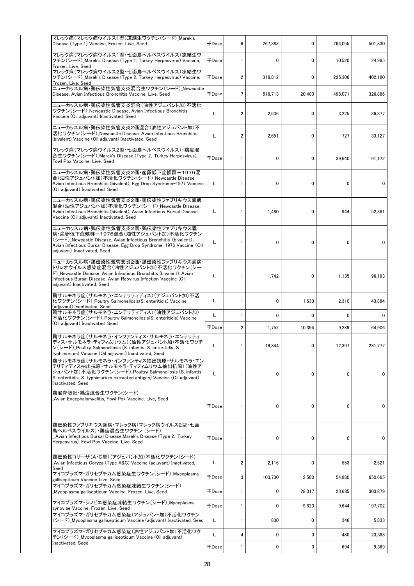| マレック病(マレック病ウイルス1型)凍結生ワクチン(シード) Marek's<br>Disease (Type 1) Vaccine, Frozen, Live, Seed                                                                                                                                                            | 千Dose               | 6                       | 267,383 | 0      | 264,055 | 501,330 |
|---------------------------------------------------------------------------------------------------------------------------------------------------------------------------------------------------------------------------------------------------|---------------------|-------------------------|---------|--------|---------|---------|
| マレック病(マレック病ウイルス1型・七面鳥ヘルペスウイルス)凍結生ワ<br>クチン(シード)_Marek's Disease (Type 1, Turkey Herpesvirus) Vaccine,<br>Frozen, Live, Seed                                                                                                                        | <b>千Dose</b>        | 1                       | 0       | 0      | 10,520  | 24,985  |
| マレック病(マレック病ウイルス2型・七面鳥ヘルペスウイルス)凍結生ワ<br>クチン(シード)_Marek's Disease (Type 2, Turkey Herpesvirus) Vaccine,<br>Frozen, Live, Seed                                                                                                                        | 千Dose               | $\overline{\mathbf{c}}$ | 318,812 | 0      | 225,306 | 402,180 |
| ニューカッスル病・鶏伝染性気管支炎混合生ワクチン(シード) Newcastle<br>Disease, Avian Infectious Bronchitis Vaccine, Live, Seed                                                                                                                                               | <b>千Dose</b>        | 7                       | 516,713 | 20,400 | 498,071 | 326,886 |
| ニューカッスル病・鶏伝染性気管支炎混合(油性アジュバント加)不活化<br>ワクチン (シード)_Newcastle Disease, Avian Infectious Bronchitis<br>Vaccine (Oil adjuvant) Inactivated, Seed                                                                                                        | L                   | 2                       | 2,636   | 0      | 3,225   | 36,377  |
| ニューカッスル病・鶏伝染性気管支炎2価混合(油性アジュバント加)不<br>活化ワクチン(シード)_Newcastle Disease. Avian Infectious Bronchitis<br>(bivalent) Vaccine (Oil adjuvant) Inactivated, Seed                                                                                            | L                   | 2                       | 2,651   | 0      | 727     | 33,127  |
| マレック病(マレック病ウイルス2型・七面鳥ヘルペスウイルス)・鶏痘混<br>合生ワクチン (シード)_Marek's Disease (Type 2, Turkey Herpesvirus).<br>Fowl Pox Vaccine, Live, Seed                                                                                                                  | $\mp$ Dose          | 1                       | 0       | 0      | 39,640  | 91,172  |
| ニューカッスル病・鶏伝染性気管支炎2価・産卵低下症候群-1976混<br>合(油性アジュバント加)不活化ワクチン(シード)_Newcastle Disease,<br>Avian Infectious Bronchitis (bivalent), Egg Drop Syndrome-1977 Vaccine<br>(Oil adjuvant) Inactivated, Seed                                                    | L                   | 1                       | 0       | 0      | 0       | 0       |
| ニューカッスル病・鶏伝染性気管支炎2価・鶏伝染性ファブリキウス嚢病<br>混合(油性アジュバント加)不活化ワクチン(シード)_Newcastle Disease,<br>Avian Infectious Bronchitis (bivalent), Avian Infectious Bursal Disease<br>Vaccine (Oil adjuvant) Inactivated, Seed                                          | L                   | 1                       | 1,480   | 0      | 944     | 52,381  |
| ニューカッスル病・鶏伝染性気管支炎2価・鶏伝染性ファブリキウス嚢<br>病・産卵低下症候群-1976混合(油性アジュバント加)不活化ワクチン<br>(シード)_Newcastle Disease, Avian Infectious Bronchitis (bivalent),<br>Avian Infectious Bursal Disease, Egg Drop Syndrome-1976 Vaccine (Oil<br>adjuvant) Inactivated, Seed |                     | 1                       | 0       | 0      | 0       | 0       |
| ニューカッスル病・鶏伝染性気管支炎2価・鶏伝染性ファブリキウス嚢病<br>トリレオウイルス感染症混合(油性アジュバント加)不活化ワクチン(シー<br>ド) Newcastle Disease, Avian Infectious Bronchitis (bivalent), Avian<br>Infectious Bursal Disease, Avian Reovirus Infection Vaccine (Oil<br>adjuvant) Inactivated, Seed | L                   | 1                       | 1,742   | 0      | 1,135   | 96,193  |
| 鶏サルモネラ症(サルモネラ・エンテリティディス)(アジュバント加)不活<br>化ワクチン (シード) _Poultry Salmonellosis(S. enteritidis) Vaccine<br>(adjuvant) Inactivated, Seed                                                                                                                 | L                   | 1                       | 0       | 1,633  | 2,310   | 43,884  |
| 鶏サルモネラ症(サルモネラ・エンテリティディス)(油性アジュバント加)<br>不活化ワクチン(シード) Poultry Salmonellosis(S. enteritidis) Vaccine                                                                                                                                                 | Г                   | 1                       | 0       | 0      | 0       | 0       |
| (Oil adjuvant) Inactivated, Seed                                                                                                                                                                                                                  | 千Dose               | 2                       | 1,752   | 10,394 | 9,289   | 64,906  |
| 鶏サルモネラ症(サルモネラ・インファンティス・サルモネラ・エンテリティ<br>ディス・サルモネラ・ティフィムリウム)(油性アジュバント加)不活化ワクチ<br>ン(シード) Poultry Salmonellosis (S. infantis, S. enteritidis, S.<br>typhimurium) Vaccine (Oil adjuvant) Inactivated, Seed                                             |                     |                         | 19,344  |        | 12,397  | 281,777 |
| 鶏サルモネラ症(サルモネラ・インファンティス抽出抗原・サルモネラ・エン<br>テリティディス抽出抗原・サルモネラ・ティフィムリウム抽出抗原)(油性ア<br>ジュバント加)不活化ワクチン(シード)_Poultry Salmonellosis (S. infantis,<br>S. enteritidis, S. typhimurium extracted antigen) Vaccine (Oil adjuvant)<br>Inactivated, Seed            | L                   | 1                       | 0       | 0      | 0       | 0       |
| 鶏脳脊髄炎・鶏痘混合生ワクチン(シード)<br>Avian Encephalomyelitis, Fowl Pox Vaccine, Live, Seed                                                                                                                                                                     | 千Dose               | 1                       | 0       | 0      | 0       | 0       |
| 鶏伝染性ファブリキウス嚢病・マレック病(マレック病ウイルス2型・七面<br>鳥ヘルペスウイルス)・鶏痘混合生ワクチン(シード)<br>_Avian Infectious Bursal Disease,Marek's Disease (Type 2, Turkey<br>Herpesvirus). Fowl Pox Vaccine, Live, Seed                                                                 | <b>千Dose</b>        | $\mathbf{1}$            | 0       | 0      | 0       | 0       |
| 鶏伝染性コリーザ(A・C型)(アジュバント加)不活化ワクチン(シード)<br>Avian Infectious Coryza (Type A&C) Vaccine (adjuvant) Inactivated,<br>Seed                                                                                                                                 | L                   | 2                       | 2,116   | 0      | 553     | 2,521   |
| マイコプラズマ・ガリセプチカム感染症生ワクチン(シード)_Mycoplasma<br>gallisepticum Vaccine Live, Seed                                                                                                                                                                       | <b>千Dose</b>        | 3                       | 103,730 | 2,580  | 54,880  | 650,665 |
| マイコプラズマ・ガリセプチカム感染症凍結生ワクチン(シード)<br>Mycoplasma gallisepticum Vaccine, Frozen, Live, Seed                                                                                                                                                            | $\mp$ Dose          | 1                       | 0       | 28,317 | 23,685  | 303,879 |
| マイコプラズマ・シノビエ感染症凍結生ワクチン(シード) Mycoplasma<br>synoviae Vaccine, Frozen, Live, Seed                                                                                                                                                                    | <b><i>千Dose</i></b> | 1                       | 0       | 9,623  | 9,644   | 197,702 |
| マイコプラズマ・ガリセプチカム感染症(アジュバント加)不活化ワクチン<br>(シード)_Mycoplasma gallisepticum Vaccine (adjuvant) Inactivated, Seed                                                                                                                                         | L                   | 1                       | 830     | 0      | 346     | 5,833   |
| マイコプラズマ・ガリセプチカム感染症(油性アジュバント加)不活化ワク<br>チン(シード) Mycoplasma gallisepticum Vaccine (Oil adjuvant)                                                                                                                                                     | L                   | 4                       | 0       | 0      | 480     | 23,388  |
| Inactivated, Seed                                                                                                                                                                                                                                 | 千Dose               | $\mathbf{1}$            | 0       | 0      | 694     | 9,369   |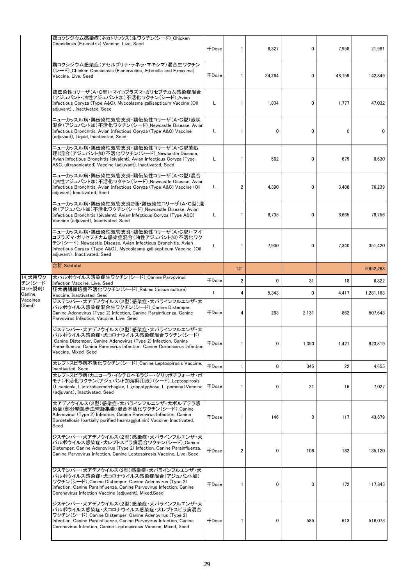|                    | 鶏コクシジウム感染症(ネカトリックス)生ワクチン(シード)_Chicken<br>Coccidiosis (E.necatrix) Vaccine, Live, Seed                                                                                                                                                                               | $\mp$ Dose          | 1              | 8,327       | 0     | 7,958        | 21,981    |
|--------------------|---------------------------------------------------------------------------------------------------------------------------------------------------------------------------------------------------------------------------------------------------------------------|---------------------|----------------|-------------|-------|--------------|-----------|
|                    | 鶏コクシジウム感染症(アセルブリナ・テネラ・マキシマ)混合生ワクチン<br>(シード) Chicken Coccidiosis (E.acervulina, E.tenella and E.maxima)<br>Vaccine, Live, Seed                                                                                                                                       | $\mp$ Dose          | 1              | 34,264      | 0     | 48.159       | 142,849   |
|                    | 鶏伝染性コリーザ(A・C型)・マイコプラズマ・ガリセプチカム感染症混合<br>(アジュバント・油性アジュバント加)不活化ワクチン(シード) Avian<br>Infectious Coryza (Type A&C), Mycoplasma gallisepticum Vaccine (Oil<br>adjuvant), Inactivated, Seed                                                                                  | L.                  | 1              | 1,804       | 0     | 1,777        | 47,032    |
|                    | ニューカッスル病・鶏伝染性気管支炎・鶏伝染性コリーザ(A・C型)液状<br> 混合(アジュバント加)不活化ワクチン(シード)_Newcastle Disease, Avian<br>Infectious Bronchitis, Avian Infectious Coryza (Type A&C) Vaccine<br>(adjuvant), Liquid, Inactivated, Seed                                                               | L.                  | 1              | 0           | 0     | $\mathbf{0}$ | 0         |
|                    | ニューカッスル病・鶏伝染性気管支炎・鶏伝染性コリーザ(A・C型菌処<br> 理)混合(アジュバント加)不活化ワクチン(シード) Newcastle Disease,<br>Avian Infectious Bronchitis (bivalent), Avian Infectious Coryza (Type<br>A&C, ultrasonicated) Vaccine (adjuvant), Inactivated, Seed                                           | Г                   | 1              | 562         | 0     | 679          | 8,630     |
|                    | ニューカッスル病・鶏伝染性気管支炎・鶏伝染性コリーザ(A・C型)混合<br>(油性アジュバント加)不活化ワクチン(シード)_Newcastle Disease, Avian<br>Infectious Bronchitis, Avian Infectious Coryza (Type A&C) Vaccine (Oil<br>adjuvant) Inactivated, Seed                                                                     | L.                  | $\overline{2}$ | 4,390       | 0     | 3,488        | 76,239    |
|                    | ニューカッスル病・鶏伝染性気管支炎2価・鶏伝染性コリーザ(A・C型)混<br>合(アジュバント加)不活化ワクチン(シード)_Newcastle Disease, Avian<br>Infectious Bronchitis (bivalent), Avian Infectious Coryza (Type A&C)<br>Vaccine (adjuvant), Inactivated, Seed                                                             | L                   | 1              | 6,735       | 0     | 6,665        | 78,756    |
|                    | ニューカッスル病・鶏伝染性気管支炎・鶏伝染性コリーザ(A・C型)・マイ<br>コプラズマ・ガリセプチカム感染症混合(油性アジュバント加)不活化ワク<br>チン(シード) Newcastle Disease, Avian Infectious Bronchitis, Avian<br>Infectious Coryza (Type A&C), Mycoplasma gallisepticum Vaccine (Oil<br>adjuvant), Inactivated, Seed                   | Г                   | $\mathbf{1}$   | 7,900       | 0     | 7,340        | 351,420   |
|                    | 合計 Subtotal                                                                                                                                                                                                                                                         |                     | 121            |             |       |              | 6,652,268 |
| 14 犬用ワク<br>チン(シード  | 犬パルボウイルス感染症生ワクチン(シード) Canine Parvovirus                                                                                                                                                                                                                             | 千Dose               | 2              | 0           | 31    | 18           | 6,822     |
| ロット製剤)<br>Canine   | Infection Vaccine, Live, Seed<br>狂犬病組織培養不活化ワクチン(シード) Rabies (tissue culture)<br>Vaccine, Inactivated, Seed                                                                                                                                                          | L                   | 4              | 5,343       | 0     | 4,417        | 1,281,163 |
| Vaccines<br>(Seed) | ジステンパー・犬アデノウイルス(2型)感染症・犬パラインフルエンザ・犬<br>パルボウイルス感染症混合生ワクチン(シード) Canine Distemper.<br>Canine Adenovirus (Type 2) Infection, Canine Parainfluenza, Canine<br>Parvovirus Infection, Vaccine, Live, Seed                                                                  | ∓Dose               | 4              | 263         | 2,131 | 862          | 507,643   |
|                    | ジステンパー・犬アデノウイルス(2型)感染症・犬パラインフルエンザ・犬<br> パルボウイルス感染症・犬コロナウイルス感染症混合ワクチン(シード)<br>Canine Distemper, Canine Adenovirus (Type 2) Infection, Canine<br>Parainfluenza, Canine Parvovirus Infection, Canine Coronavirus Infection<br>Vaccine, Mixed, Seed                     | <b>千Dose</b>        | 1              | $\mathbf 0$ | 1,350 | 1,421        | 923.819   |
|                    | 犬レプトスピラ病不活化ワクチン(シード) Canine Leptospirosis Vaccine,<br><b>Inactivated, Seed</b>                                                                                                                                                                                      | <b><i>FDose</i></b> | $\mathbf{1}$   | 0           | 345   | 22           | 4,655     |
|                    | 犬レプトスピラ病(カニコーラ・イクテロへモラジー・グリッポチフォーサ・ポ<br> モナ)不活化ワクチン(アジュバント加溶解用液)(シード) Leptospirosis<br>(L.canicola, L.icterohaemorrhagiae, L.grippotyphosa, L.pomona) Vaccine<br>(adiuvant). Inactivated. Seed                                                                      | $\mp$ Dose          | 1              | 0           | 21    | 16           | 7,027     |
|                    | 犬アデノウイルス(2型)感染症・犬パラインフルエンザ・犬ボルデテラ感<br>染症(部分精製赤血球凝集素)混合不活化ワクチン(シード) Canine<br>Adenovirus (Type 2) Infection, Canine Parvovirus Infection, Canine<br>Bordetellosis (partially purified heamagglutinin) Vaccine, Inactivated,<br>Seed                                  | 千Dose               | 1              | 146         | 0     | 117          | 43,679    |
|                    | ジステンパー・犬アデノウイルス(2型)感染症・犬パラインフルエンザ・犬<br> パルボウイルス感染症・犬レプトスピラ病混合ワクチン(シード) Canine<br>Distemper, Canine Adenovirus (Type 2) Infection, Canine Parainfluenza,<br>Canine Parvovirus Infection, Canine Leptospirosis Vaccine, Live, Seed                                    | <b>千Dose</b>        | 2              | 0           | 108   | 182          | 135,120   |
|                    |                                                                                                                                                                                                                                                                     |                     |                |             |       |              |           |
|                    | ジステンパー・犬アデノウイルス(2型)感染症・犬パラインフルエンザ・犬<br>パルボウイルス感染症・犬コロナウイルス感染症混合(アジュバント加)<br>ワクチン(シード) Canine Distemper, Canine Adenovirus (Type 2)<br>Infection, Canine Parainfluenza, Canine Parvovirus Infection, Canine<br>Coronavirus Infection Vaccine (adjuvant), Mixed, Seed | $\mp$ Dose          | 1              | 0           | 0     | 172          | 117,843   |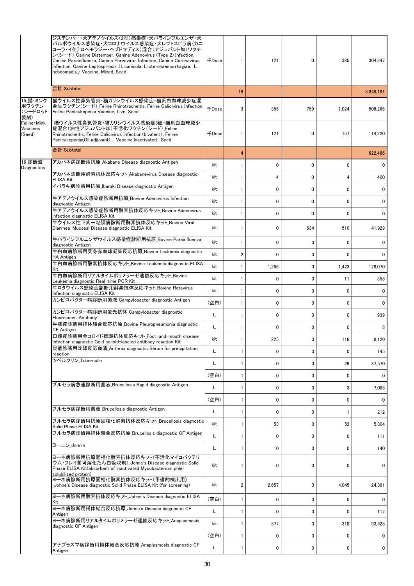|                                     | ジステンパー・犬アデノウイルス(2型)感染症・犬パラインフルエンザ・犬<br>パルボウイルス感染症・犬コロナウイルス感染症・犬レプトスピラ病(カニ<br>コーラ・イクテロヘモラジー・ヘブドマディス)混合(アジュバント加)ワクチ<br>ン(シード) Canine Distemper, Canine Adenovirus (Type 2) Infection,<br>Canine Parainfluenza, Canine Parvovirus Infection, Canine Coronavirus<br>Infection, Canine Leptospirosis (L.canicola, L.icterohaemorrhagiae, L.<br>hebdomadis.) Vaccine. Mixed. Seed | <b>千Dose</b> | 1                       | 121            | 0            | 385          | 304,347        |
|-------------------------------------|-----------------------------------------------------------------------------------------------------------------------------------------------------------------------------------------------------------------------------------------------------------------------------------------------------------------------------------------------------------------------------|--------------|-------------------------|----------------|--------------|--------------|----------------|
|                                     | 合計 Subtotal                                                                                                                                                                                                                                                                                                                                                                 |              | 19                      |                |              |              | 3,848,191      |
| 15 猫・ミンク<br>用ワクチン<br>(シードロット<br>製剤) | 猫ウイルス性鼻気管炎・猫カリシウイルス感染症・猫汎白血球減少症混 <br>合生ワクチン(シード) Feline Rhinotracheitis, Feline Calicivirus Infection.<br>Feline Panleukopenia Vaccine, Live, Seed                                                                                                                                                                                                                          | <b>+Dose</b> | 3                       | 355            | 759          | 1,024        | 508,266        |
| Feline Mink<br>Vaccines<br>(Seed)   | 猫ウイルス性鼻気管炎・猫カリシウイルス感染症3価・猫汎白血球減少<br>症混合(油性アジュバント加)不活化ワクチン(シード) Feline<br>Rhinotracheitis, Feline Calicivirus Infection (bivalent), Feline<br>Panleukopenia(Oil adjuvant), Vaccine, Inactivated, Seed                                                                                                                                                                        | <b>千Dose</b> | 1                       | 121            | 0            | 157          | 114,220        |
|                                     | 合計 Subtotal                                                                                                                                                                                                                                                                                                                                                                 |              | 4                       |                |              |              | 622,486        |
| 16_診断液<br>Diagnostics               | アカバネ病診断用抗原_Akabane Disease diagnostic Antigen                                                                                                                                                                                                                                                                                                                               | kit          | 1                       | 0              | 0            | $\mathbf{0}$ | 0              |
|                                     | アカバネ診断用酵素抗体反応キット_Akabanevirus Disease diagnostic<br>ELISA Kit                                                                                                                                                                                                                                                                                                               | kit          | $\mathbf{1}$            | $\overline{4}$ | 0            | 4            | 400            |
|                                     | イバラキ病診断用抗原 Ibaraki Disease diagnostic Antigen                                                                                                                                                                                                                                                                                                                               | kit          | 1                       | 0              | 0            | 0            | 0              |
|                                     | 牛アデノウイルス感染症診断用抗原 Bovine Adenovirus Infection<br>diagnostic Antigen                                                                                                                                                                                                                                                                                                          | kit          | 1                       | 0              | $\mathbf{0}$ | $\mathbf{0}$ | $\mathbf{0}$   |
|                                     | 牛アデノウイルス感染症診断用酵素抗体反応キット Bovine Adenovirus<br>infection diagnostic ELISA Kit                                                                                                                                                                                                                                                                                                 | kit          | $\mathbf{1}$            | 0              | $\mathbf 0$  | $\mathbf{0}$ | 0              |
|                                     | 牛ウイルス性下痢-粘膜病診断用酵素抗体反応キット Bovine Viral<br>Diarrhea-Mucosal Disease diagnostic ELISA Kit                                                                                                                                                                                                                                                                                      | kit          | 1                       | 0              | 634          | 510          | 41,929         |
|                                     | 牛パラインフルエンザウイルス感染症診断用抗原 Bovine Parainfluenza<br>diagnostic Antigen                                                                                                                                                                                                                                                                                                           | kit          | 1                       | $\mathbf 0$    | $\mathbf{0}$ | $\mathbf{0}$ | 0              |
|                                     | 牛白血病診断用受身赤血球凝集反応抗原 Bovine Leukemia diagnostic<br><b>HA Antigen</b>                                                                                                                                                                                                                                                                                                          | kit          | $\overline{\mathbf{2}}$ | $\mathbf 0$    | $\mathbf{0}$ | $\mathbf{0}$ | 0              |
|                                     | 牛白血病診断用酵素抗体反応キット_Bovine Leukemia diagnostic ELISA<br>Kit                                                                                                                                                                                                                                                                                                                    | kit          | 1                       | 1,266          | 0            | 1,423        | 128,070        |
|                                     | 牛白血病診断用リアルタイムポリメラーゼ連鎖反応キット Bovine<br>Leukemia diagnostic Real-time PCR Kit                                                                                                                                                                                                                                                                                                  | kit          | 1                       | 0              | 0            | 11           | 358            |
|                                     | 牛ロタウイルス感染症診断用酵素抗体反応キット Bovine Rotavirus<br>Infection diagnostic ELISA Kit                                                                                                                                                                                                                                                                                                   | kit          | 1                       | 0              | $\mathbf 0$  | 0            | 0              |
|                                     | カンピロバクタ―病診断用菌液 Campylobacter diagnostic Antigen                                                                                                                                                                                                                                                                                                                             | (空白)         | 1                       | 0              | 0            | $\mathbf{0}$ | $\mathbf{0}$   |
|                                     | カンピロバクタ―病診断用蛍光抗体_Campylobacter diagnostic<br>Fluorescent Antibody                                                                                                                                                                                                                                                                                                           | L            | 1                       | 0              | 0            | 0            | 939            |
|                                     | 牛肺疫診断用補体結合反応抗原 Bovine Pleuropneumonia diagnostic<br>CF Antigen                                                                                                                                                                                                                                                                                                              | L            | 1                       | $\mathbf{0}$   | 0            | $\mathbf{0}$ | 8              |
|                                     | 口蹄疫診断用金コロイド標識抗体反応キット_Foot-and-mouth disease<br>Infection diagnostic Gold colloid-labeled antibody reaction Kit                                                                                                                                                                                                                                                              | kit          | 1                       | 225            | $\mathbf{0}$ | 116          | 8,120          |
|                                     | 炭疽診断用沈降反応血清_Anthrax diagnostic Serum for precipitation<br>reaction                                                                                                                                                                                                                                                                                                          | L            | 1                       | 0              | 0            | 0            | 145            |
|                                     | ツベルクリン Tuberculin                                                                                                                                                                                                                                                                                                                                                           | L            | 1                       | 0              | $\mathbf{0}$ | 29           | 37,570         |
|                                     |                                                                                                                                                                                                                                                                                                                                                                             | (空白)         | 1                       | 0              | 0            | 0            | 0              |
|                                     | ブルセラ病急速診断用菌液 Brucellosis Rapid diagnostic Antigen                                                                                                                                                                                                                                                                                                                           | L            | 1                       | 0              | 0            | 3            | 7,088          |
|                                     |                                                                                                                                                                                                                                                                                                                                                                             | (空白)         | 1                       | 0              | 0            | $\mathbf{0}$ | 0              |
|                                     | ブルセラ病診断用菌液 Brucellosis diagnostic Antigen                                                                                                                                                                                                                                                                                                                                   | L            | 1                       | 0              | 0            | $\mathbf{1}$ | 212            |
|                                     | ブルセラ病診断用抗原固相化酵素抗体反応キット_Brucellosis diagnostic<br>Solid Phase ELISA Kit                                                                                                                                                                                                                                                                                                      | kit          | 1                       | 53             | 0            | 52           | 5,304          |
|                                     | ブルセラ病診断用補体結合反応抗原_Brucellosis diagnostic CF Antigen                                                                                                                                                                                                                                                                                                                          | L            | 1                       | 0              | 0            | $\mathbf{0}$ | 111            |
|                                     | ヨーニン Johnin                                                                                                                                                                                                                                                                                                                                                                 | L            | 1                       | 0              | 0            | 0            | 140            |
|                                     | ヨ―ネ病診断用抗原固相化酵素抗体反応キット(不活化マイコバクテリ<br>ウム・フレイ菌可溶化たん白吸収剤) Johne's Disease diagnostic Solid<br>Phase ELISA Kit(absorbent of inactivated Mycobacterium phlei<br>solubilized protein)                                                                                                                                                                                              | kit          | 1                       | $\mathbf{0}$   | 0            | $\mathbf{0}$ | 0              |
|                                     | ヨ―ネ病診断用抗原固相化酵素抗体反応キット(予備的検出用)<br>Johne's Disease diagnostic Solid Phase ELISA Kit (for screening)                                                                                                                                                                                                                                                                           | kit          | $\overline{\mathbf{c}}$ | 2,657          | 0            | 4,045        | 124,391        |
|                                     | ヨーネ病診断用酵素抗体反応キット_Johne's Disease diagnostic ELISA<br>Kit                                                                                                                                                                                                                                                                                                                    | (空白)         | 1                       | 0              | 0            | $\mathbf{0}$ | 0              |
|                                     | ヨーネ病診断用補体結合反応抗原_Johne's Disease diagnostic CF<br>Antigen                                                                                                                                                                                                                                                                                                                    | L            | 1                       | 0              | 0            | $\mathbf{0}$ | 112            |
|                                     | ヨ―ネ病診断用リアルタイムポリメラ―ゼ連鎖反応キット Anaplasmosis<br>diagnostic CF Antigen                                                                                                                                                                                                                                                                                                            | kit          | 1                       | 377            | 0            | 318          | 93,528         |
|                                     |                                                                                                                                                                                                                                                                                                                                                                             | (空白)         | 1                       | 0              | 0            | 0            | 0              |
|                                     | アナプラズマ病診断用補体結合反応抗原_Anaplasmosis diagnostic CF<br>Antigen                                                                                                                                                                                                                                                                                                                    | L            | 1                       | 0              | 0            | 0            | $\overline{0}$ |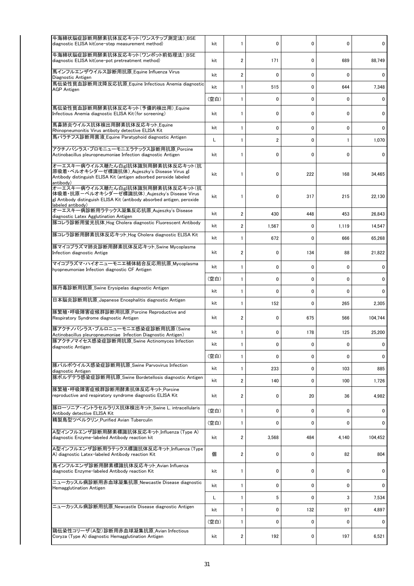| 牛海綿状脳症診断用酵素抗体反応キット(ワンステップ測定法) BSE<br>diagnostic ELISA kit(one-step measurement method)                                                                                            | kit  | 1              | 0                       | 0            | 0            | 0       |
|-----------------------------------------------------------------------------------------------------------------------------------------------------------------------------------|------|----------------|-------------------------|--------------|--------------|---------|
| 牛海綿状脳症診断用酵素抗体反応キット(ワンポット前処理法) BSE<br>diagnostic ELISA kit(one-pot pretreatment method)                                                                                            | kit  | $\overline{2}$ | 171                     | $\mathbf{0}$ | 689          | 88,749  |
| 馬インフルエンザウイルス診断用抗原_Equine Influenza Virus<br>Diagnostic Antigen                                                                                                                    | kit  | $\overline{2}$ | 0                       | $\mathbf{0}$ | $\mathbf{0}$ | 0       |
| 馬伝染性貧血診断用沈降反応抗原_Equine Infectious Anemia diagnostic<br><b>AGP Antigen</b>                                                                                                         | kit  | 1              | 515                     | 0            | 644          | 7,348   |
|                                                                                                                                                                                   | (空白) | 1              | 0                       | 0            | 0            | 0       |
| 馬伝染性貧血診断用酵素抗体反応キット(予備的検出用)_Equine<br>Infectious Anemia diagnostic ELISA Kit (for screening)                                                                                       | kit  | 1              | 0                       | 0            | 0            | 0       |
| 馬鼻肺炎ウイルス抗体検出用酵素抗体反応キット Equine<br>Rhinopneumonitis Virus antiboty detective ELISA Kit                                                                                              | kit  | 1              | 0                       | 0            | 0            | 0       |
| 馬パラチフス診断用菌液_Equine Paratyphoid diagnostic Antigen                                                                                                                                 | L    | 1              | $\overline{\mathbf{c}}$ | $\mathbf 0$  | 1            | 1,070   |
| アクチノバシラス・プロモニューモニエラテックス診断用抗原 Porcine<br>Actinobacillus pleuropneumoniae Infection diagnostic Antigen                                                                              | kit  | 1              | 0                       | $\mathbf 0$  | 0            | 0       |
| オーエスキー病ウイルス糖たん白gI抗体識別用酵素抗体反応キット(抗<br>原吸着・ペルオキシダーゼ標識抗体)_Aujeszky's Disease Virus gI<br>Antibody distinguish ELISA Kit (antigen adsorbed peroxide labeled<br>antibody)              | kit  | 1              | 0                       | 222          | 168          | 34,465  |
| オーエスキー病ウイルス糖たん白gI抗体識別用酵素抗体反応キット(抗<br>体吸着・抗原ーペルオキシダーゼ標識抗体)_Aujeszky's Disease Virus<br>gI Antibody distinguish ELISA Kit (antibody absorbed antigen, peroxide<br>labeled antibody) | kit  | 1              | 0                       | 317          | 215          | 22,130  |
| オーエスキー病診断用ラテックス凝集反応抗原_Aujeszky's Disease<br>diagnostic Latex Agglutination Antigen                                                                                                | kit  | $\overline{2}$ | 430                     | 448          | 453          | 26,843  |
| 豚コレラ診断用蛍光抗体_Hog Cholera diagnostic Fluorescent Antibody                                                                                                                           | kit  | $\overline{2}$ | 1,567                   | $\mathbf{0}$ | 1,119        | 14,547  |
| 豚コレラ診断用酵素抗体反応キット_Hog Cholera diagnostic ELISA Kit                                                                                                                                 | kit  | 1              | 672                     | $\mathbf{0}$ | 666          | 65,268  |
| 豚マイコプラズマ肺炎診断用酵素抗体反応キット_Swine Mycoplasma<br>Infection diagnostic Antige                                                                                                            |      | $\overline{2}$ | 0                       | 134          | 88           | 21,822  |
| マイコプラズマ・ハイオニューモニエ補体結合反応用抗原_Mycoplasma<br>hyopneumoniae Infection diagnostic CF Antigen                                                                                            |      | 1              | 0                       | 0            | 0            | 0       |
|                                                                                                                                                                                   | (空白) | 1              | 0                       | 0            | 0            | 0       |
| 豚丹毒診断用抗原_Swine Erysipelas diagnostic Antigen                                                                                                                                      | kit  | 1              | 0                       | 0            | 0            | 0       |
| 日本脳炎診断用抗原_Japanese Encephalitis diagnostic Antigen                                                                                                                                | kit  | 1              | 152                     | $\mathbf{0}$ | 265          | 2,305   |
| 豚繁殖・呼吸障害症候群診断用抗原_Porcine Reproductive and<br>Respiratory Syndrome diagnostic Antigen                                                                                              | kit  | 2              | $\mathbf 0$             | 675          | 566          | 104,744 |
| 豚アクチノバシラス・プルロニューモニエ感染症診断用抗原(Swine<br>Actinobacillus pleuropneumoniae Infection Diagnostic Antigen)                                                                                | kit  | 1              | 0                       | 178          | 125          | 25,200  |
| 豚アクチノマイセス感染症診断用抗原 Swine Actinomyces Infection<br>diagnostic Antigen                                                                                                               | kit  | $\mathbf{1}$   | 0                       | $\mathbf{0}$ | 0            | 0       |
|                                                                                                                                                                                   | (空白) | 1              | 0                       | 0            | $\mathbf{0}$ | 0       |
| 豚パルボウイルス感染症診断用抗原 Swine Parvovirus Infection<br>diagnostic Antigen                                                                                                                 | kit  | 1              | 233                     | 0            | 103          | 885     |
| 豚ボルデテラ感染症診断用抗原 Swine Bordetellosis diagnostic Antigen                                                                                                                             | kit  | 2              | 140                     | 0            | 100          | 1,726   |
| 豚繁殖・呼吸障害症候群診断用酵素抗体反応キット Porcine<br>reproductive and respiratory syndrome diagnostic ELISA Kit                                                                                     | kit  | 2              | 0                       | 20           | 36           | 4,982   |
| 豚ローソニア・イントラセルラリス抗体検出キット_Swine L. intracellularis<br>Antibody detective ELISA Kit                                                                                                  | (空白) | 1              | 0                       | 0            | 0            | 0       |
| 精製鳥型ツベルクリン Purified Avian Tuberculin                                                                                                                                              | (空白) | 1              | $\mathbf 0$             | $\mathbf 0$  | 0            | 0       |
| A型インフルエンザ診断用酵素標識抗体反応キット_Influenza (Type A)<br>diagnostic Enzyme-labeled Antibody reaction kit                                                                                     | kit  | 2              | 3,568                   | 484          | 4,140        | 104,452 |
| A型インフルエンザ診断用ラテックス標識抗体反応キット_Influenza (Type<br>A) diagnostic Latex-labeled Antibody reaction Kit                                                                                   | 個    | 2              | 0                       | 0            | 82           | 804     |
| 鳥インフルエンザ診断用酵素標識抗体反応キット Avian Influenza<br>diagnostic Enzyme-labeled Antibody reaction Kit                                                                                         | kit  | 1              | 0                       | 0            | 0            | 0       |
| ニューカッスル病診断用赤血球凝集抗原_Newcastle Disease diagnostic<br>Hemagglutination Antigen                                                                                                       | kit  | 1              | 0                       | 0            | 0            | 0       |
|                                                                                                                                                                                   | L    | 1              | 5                       | $\mathbf{0}$ | 3            | 7,534   |
| ニューカッスル病診断用抗原_Newcastle Disease diagnostic Antigen                                                                                                                                | kit  | 1              | 0                       | 132          | 97           | 4,897   |
|                                                                                                                                                                                   | (空白) | 1              | 0                       | 0            | 0            | 0       |
| 鶏伝染性コリーザ(A型)診断用赤血球凝集抗原 Avian Infectious<br>Coryza (Type A) diagnostic Hemagglutination Antigen                                                                                    | kit  | 2              | 192                     | 0            | 197          | 6,521   |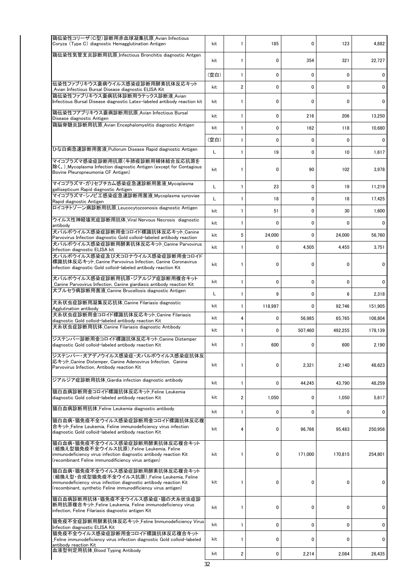| 鶏伝染性コリーザ(C型)診断用赤血球凝集抗原 Avian Infectious<br>Coryza (Type C) diagnostic Hemagglutination Antigen                                                                                                                                                  | kit  | 1              | 185         | 0           | 123          | 4,882   |
|-------------------------------------------------------------------------------------------------------------------------------------------------------------------------------------------------------------------------------------------------|------|----------------|-------------|-------------|--------------|---------|
| 鶏伝染性気管支炎診断用抗原 Infectious Bronchitis diagnostic Antgen                                                                                                                                                                                           | kit  | 1              | $\mathbf 0$ | 354         | 321          | 22,727  |
|                                                                                                                                                                                                                                                 | (空白) | 1              | 0           | $\mathbf 0$ | 0            | 0       |
| 伝染性ファブリキウス嚢病ウイルス感染症診断用酵素抗体反応キット<br>Avian Infectious Bursal Disease diagnostic ELISA Kit                                                                                                                                                         | kit  | $\overline{2}$ | 0           | 0           | $\mathbf{0}$ | 0       |
| 鶏伝染性ファブリキウス嚢病抗体診断用ラテックス診断液 Avian<br>Infectious Bursal Disease diagnostic Latex-labeled antibody reaction kit                                                                                                                                    | kit  | 1              | 0           | 0           | 0            | 0       |
| 鶏伝染性フアブリキウス嚢病診断用抗原_Avian Infectious Bursal<br>Disease diagnostic Antigen                                                                                                                                                                        | kit  | 1              | 0           | 216         | 206          | 13,250  |
| 鶏脳脊髄炎診断用抗原 Avian Encephalomyelitis diagnostic Antigen                                                                                                                                                                                           | kit  | 1              | 0           | 162         | 118          | 10,680  |
|                                                                                                                                                                                                                                                 | (空白) | 1              | 0           | $\mathbf 0$ | 0            | 0       |
| ひな白痢急速診断用菌液 Pullorum Disease Rapid diagnostic Antigen                                                                                                                                                                                           | L    | 1              | 19          | $\mathbf 0$ | 10           | 1,617   |
| マイコプラズマ感染症診断用抗原(牛肺疫診断用補体結合反応抗原を<br>除く。)Mycoplasma Infection diagnostic Antigen (except for Contagious<br>Bovine Pleuropneumonia CF Antigen)                                                                                                     | kit  | 1              | 0           | 90          | 102          | 3,978   |
| マイコプラズマ・ガリセプチカム感染症急速診断用菌液_Mycoplasma<br>gallisepticum Rapid diagnostic Antigen                                                                                                                                                                  | L    | 1              | 23          | $\mathbf 0$ | 19           | 11,219  |
| マイコプラズマ・シノビエ感染症急速診断用菌液 Mycoplasma synoviae<br>Rapid diagnostic Antigen                                                                                                                                                                          | L    | 1              | 18          | 0           | 18           | 17,425  |
| ロイコチトゾーン病診断用抗原_Leucocytozoonosis diagnostic Antigen                                                                                                                                                                                             | kit  | 1              | 51          | $\mathbf 0$ | 30           | 1,600   |
| ウイルス性神経壊死症診断用抗体_Viral Nervous Necrosis diagnostic<br>antibody                                                                                                                                                                                   | kit  | 1              | 0           | $\mathbf 0$ | 0            | 0       |
| 犬パルボウイルス感染症診断用金コロイド標識抗体反応キット Canine<br>Parvovirus Infection diagnostic Gold colloid-labeled antibody reaction                                                                                                                                   | kit  | 5              | 24,000      | 0           | 24,000       | 56,760  |
| 犬パルボウイルス感染症診断用酵素抗体反応キット Canine Parvovirus<br>Infection diagnostic ELISA kit<br>犬パルボウイルス感染症及び犬コロナウイルス感染症診断用金コロイド<br>標識抗体反応キット_Canine Parvovirus Infection, Canine Coronavirus<br>infection diagnostic Gold colloid-labeled antibody reaction Kit |      | 1              | 0           | 4,505       | 4,455        | 3,751   |
|                                                                                                                                                                                                                                                 |      | 1              | 0           | 0           | 0            | 0       |
| 犬パルボウイルス感染症診断用抗原・ジアルジア症診断用複合キット<br>Canine Parvovirus Infection, Canine giardiasis antibody reaction Kit                                                                                                                                         | kit  | 1              | 0           | $\mathbf 0$ | 0            | 0       |
| 犬ブルセラ病診断用菌液 Canine Brucellosis diagnostic Antigen                                                                                                                                                                                               | L    | 1              | 9           | $\mathbf 0$ | 6            | 2,318   |
| 犬糸状虫症診断用凝集反応抗体_Canine Filariasis diagnostic<br>Agglutination antibody                                                                                                                                                                           | kit  | 1              | 118,997     | 0           | 92,746       | 151,905 |
| 犬糸状虫症診断用金コロイド標識抗体反応キット Canine Filariasis<br>diagnostic Gold colloid-labeled antibody reaction Kit                                                                                                                                               | kit  | 4              | 0           | 56,985      | 65,765       | 108.804 |
| 犬糸状虫症診断用抗体 Canine Filariasis diagnostic Antibody                                                                                                                                                                                                | kit  | 1              | 0           | 507,460     | 492,255      | 178,139 |
| ジステンパー診断用金コロイド標識抗体反応キット_Canine Distemper<br>diagnostic Gold colloid-labeled antibody reaction Kit                                                                                                                                               | kit  |                | 600         | $\Omega$    | 600          | 2,190   |
| ジステンパー・犬アデノウイルス感染症・犬パルボウイルス感染症抗体反<br>応キット Canine Distemper, Canine Adenovirus Infection, Canine<br>Parvovirus Infection, Antibody reaction Kit                                                                                                  | kit  | 1              | 0           | 2,321       | 2,140        | 48,623  |
| ジアルジア症診断用抗体_Giardia infection diagnostic antibody                                                                                                                                                                                               | kit  | 1              | 0           | 44,245      | 43,790       | 48,259  |
| 猫白血病診断用金コロイド標識抗体反応キット_Feline Leukemia<br>diagnostic Gold colloid-labeled antibody reaction Kit                                                                                                                                                  | kit  | 2              | 1,050       | 0           | 1,050        | 5,617   |
| 猫白血病診断用抗体_Feline Leukemia diagnostic antibody                                                                                                                                                                                                   | kit  | 1              | 0           | 0           | 0            | 0       |
| 猫白血病・猫免疫不全ウイルス感染症診断用金コロイド標識抗体反応複<br>合キット Feline Leukemia, Feline immunodeficiency virus infection<br>diagnostic Gold colloid-labeled antibody reaction Kit                                                                                      | kit  | 4              | 0           | 96,766      | 95,483       | 250.956 |
| 猫白血病・猫免疫不全ウイルス感染症診断用酵素抗体反応複合キット<br>(組換え型猫免疫不全ウイルス抗原) Feline Leukemia, Feline<br>immunodeficiency virus infection diagnostic antibody reaction Kit<br>(recombinant Feline immunodificiency virus antigen)                                        | kit  | 1              | 0           | 171,000     | 170,815      | 254,801 |
| 猫白血病・猫免疫不全ウイルス感染症診断用酵素抗体反応複合キット<br>(組換え型・合成型猫免疫不全ウイルス抗原)Feline Leukemia, Feline<br>immunodeficiency virus infection diagnostic antibody reaction Kit<br>(recombinant, synthetic Feline immunodificiency virus antigen)                          | kit  | 1              | 0           | 0           | 0            | 0       |
| 猫白血病診断用抗体・猫免疫不全ウイルス感染症・猫の犬糸状虫症診<br>断用抗原複合キット Feline Leukemia, Feline immunodeficiency virus<br>infection, Feline Filariasis diagnostic antigen Kit                                                                                              | kit  | 1              | 0           | 0           | 0            | 0       |
| 猫免疫不全症診断用酵素抗体反応キット_Feline Immunodeficiency Virus<br>Infection diagnostic ELISA Kit                                                                                                                                                              | kit  | 1              | 0           | 0           | 0            | 0       |
| 猫免疫不全ウイルス感染症診断用金コロイド標識抗体反応複合キット<br>Feline immunodeficiency virus infection diagnostic Gold colloid-labeled<br>antibody reaction Kit                                                                                                             | kit  | 1              | 0           | 0           | 0            | 0       |
| 血液型判定用抗体_Blood Typing Antibody                                                                                                                                                                                                                  | kit  | 2              | 0           | 2,214       | 2,084        | 26,435  |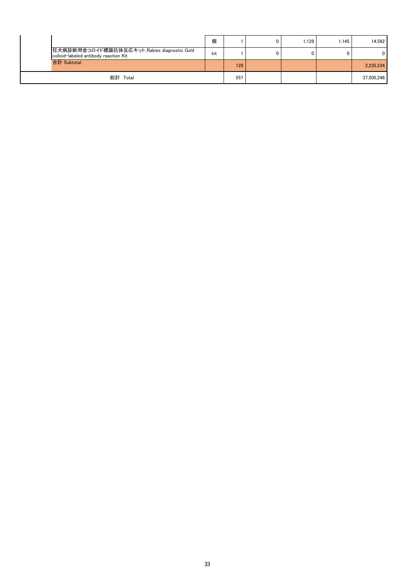|                                                                                      | 個   |     | ٥ | .129 | 1.145 | 14.582      |
|--------------------------------------------------------------------------------------|-----|-----|---|------|-------|-------------|
| 狂犬病診断用金コロイド標識抗体反応キット Rabies diagnostic Gold<br>colloid-labeled antibody reaction Kit | kit |     | 0 | 0    |       | $\mathbf 0$ |
| 合計 Subtotal                                                                          |     | 129 |   |      |       | 2.235.234   |
| 総計 Total                                                                             |     | 557 |   |      |       | 37,505,246  |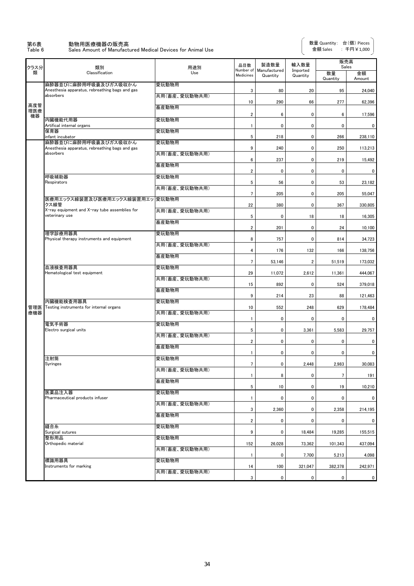# 第6表 動物用医療機器の販売高<br>Table 6 Sales Amount of Manufactu

**Table 6 Amount of Manufactured Medical Devices for Animal Use** 

| クラス分       | 類別                                                                     | 用途別           | 品目数                     | 製造数量                               | 輸入数量                 | 販売高<br>Sales         |                         |
|------------|------------------------------------------------------------------------|---------------|-------------------------|------------------------------------|----------------------|----------------------|-------------------------|
| 類          | Classification                                                         | Use           | Medicines               | Number of Manufactured<br>Quantity | Imported<br>Quantity | 数量<br>Quantity       | 金額<br>Amount            |
|            | 麻酔器並びに麻酔用呼吸囊及びガス吸収かん<br>Anesthesia apparatus, rebreathing bags and gas | 愛玩動物用         | 3                       | 80                                 | 20                   | 95                   | 24,040                  |
|            | absorbers                                                              | 共用(畜産、愛玩動物共用) |                         |                                    |                      |                      |                         |
| 高度管<br>理医療 |                                                                        | 畜産動物用         | 10                      | 290                                | 66                   | 277                  | 62,396                  |
| 機器         | 内臓機能代用器                                                                | 愛玩動物用         | $\overline{2}$          | 6                                  | 0                    | 6                    | 17,596                  |
|            | Artifical internal organs<br>保育器                                       | 愛玩動物用         | $\mathbf{1}$            | $\mathbf 0$                        | $\mathbf 0$          | $\mathbf 0$          | 0                       |
|            | infant incubator<br>麻酔器並びに麻酔用呼吸囊及びガス吸収かん                               | 愛玩動物用         | 5                       | 218                                | 0                    | 266                  | 238,110                 |
|            | Anesthesia apparatus, rebreathing bags and gas<br>absorbers            | 共用(畜産、愛玩動物共用) | 9                       | 240                                | $\mathbf 0$          | 250                  | 113,213                 |
|            |                                                                        | 畜産動物用         | 6                       | 237                                | $\pmb{0}$            | 219                  | 15,492                  |
|            | 呼吸補助器                                                                  | 愛玩動物用         | $\overline{2}$          | 0                                  | 0                    | $\pmb{0}$            | 0                       |
|            | Respirators                                                            | 共用(畜産、愛玩動物共用) | 5                       | 56                                 | 0                    | 53                   | 23,182                  |
|            | 医療用エックス線装置及び医療用エックス線装置用エッ                                              | 愛玩動物用         | $\overline{7}$          | 205                                | 0                    | 205                  | 55,047                  |
|            | クス線管<br>X-ray equipment and X-ray tube assemblies for                  | 共用(畜産、愛玩動物共用) | 22                      | 380                                | $\pmb{0}$            | 367                  | 330,805                 |
|            | veterinary use                                                         | 畜産動物用         | 5                       | 0                                  | 18                   | 18                   | 16,305                  |
|            | 理学診療用器具                                                                | 愛玩動物用         | $\overline{2}$          | 201                                | $\mathbf 0$          | 24                   | 10,100                  |
|            | Physical therapy instruments and equipment                             | 共用(畜産、愛玩動物共用) | 8                       | 757                                | $\pmb{0}$            | 814                  | 34,723                  |
|            |                                                                        |               | 4                       | 176                                | 132                  | 166                  | 138,756                 |
|            | 血液検査用器具                                                                | 畜産動物用         | 7                       | 53,146                             | $\overline{2}$       | 51,519               | 173,032                 |
|            | Hematological test equipment                                           | 愛玩動物用         | 29                      | 11,072                             | 2,612                | 11,361               | 444,067                 |
|            |                                                                        | 共用(畜産、愛玩動物共用) | 15                      | 892                                | $\mathbf 0$          | 524                  | 379,018                 |
|            |                                                                        | 畜産動物用         | 9                       | 214                                | 23                   | 88                   | 121,463                 |
| 管理医        | 内臓機能検査用器具<br>Testing instruments for internal organs                   | 愛玩動物用         | 10                      | 552                                | 248                  | 629                  | 178,484                 |
| 療機器        |                                                                        | 共用(畜産、愛玩動物共用) | $\mathbf{1}$            | 0                                  | $\mathbf 0$          | 0                    | 0                       |
|            | 電気手術器<br>Electro surgical units                                        | 愛玩動物用         | 5                       | $\mathbf 0$                        | 3,361                | 5,583                | 29,757                  |
|            |                                                                        | 共用(畜産、愛玩動物共用) | $\overline{\mathbf{2}}$ | $\pmb{0}$                          | $\pmb{0}$            | 0                    | 0                       |
|            |                                                                        | 畜産動物用         | $\mathbf{1}$            | 0                                  | 0                    | 0                    | 0                       |
|            | 注射筒<br><b>Syringes</b>                                                 | 愛玩動物用         | 7                       | 0                                  | 2,448                | 2,983                | 30.083                  |
|            |                                                                        | 共用(畜産、愛玩動物共用) | 1                       | 8                                  | $\pmb{0}$            | $\overline{7}$       | 191                     |
|            |                                                                        | 畜産動物用         | 5                       | 10                                 | $\mathbf 0$          | 19                   | 10,210                  |
|            | 医薬品注入器<br>Pharmaceutical products infuser                              | 愛玩動物用         | $\mathbf{1}$            | 0                                  | 0                    | 0                    | $\mathbf 0$             |
|            |                                                                        | 共用(畜産、愛玩動物共用) | 3                       | 2,360                              | $\mathbf 0$          | 2,358                | 214,195                 |
|            |                                                                        | 畜産動物用         | $\overline{2}$          | 0                                  | $\mathbf 0$          | 0                    | 0                       |
|            | 縫合糸<br>Surgical sutures                                                | 愛玩動物用         | 9                       | 0                                  | 18,484               | 19,285               | 155,515                 |
|            | 整形用品<br>Orthopedic material                                            | 愛玩動物用         | 152                     | 26,028                             | 73,362               | 101,343              | 437,094                 |
|            |                                                                        | 共用(畜産、愛玩動物共用) |                         | 0                                  |                      |                      |                         |
|            | 標識用器具                                                                  | 愛玩動物用         | 1                       | 100                                | 7,700                | 5,213                | 4,098                   |
|            | Instruments for marking                                                | 共用(畜産、愛玩動物共用) | 14<br>3                 | $\mathbf 0$                        | 321,047<br>0         | 382,378<br>$\pmb{0}$ | 242,971<br>$\mathbf{0}$ |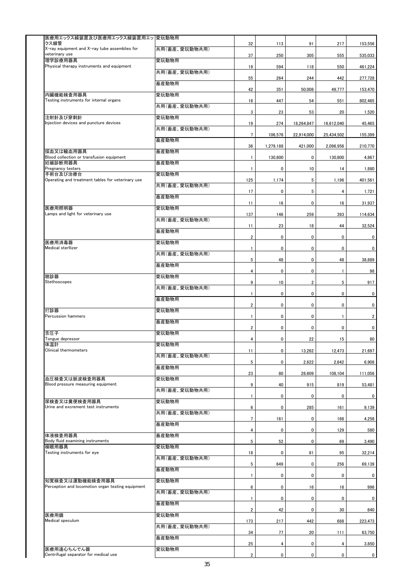| 医療用エックス線装置及び医療用エックス線装置用エッ  愛玩動物用                                     |               |                         |           |                |                |                |
|----------------------------------------------------------------------|---------------|-------------------------|-----------|----------------|----------------|----------------|
| クス線管                                                                 |               | 32                      | 113       | 91             | 217            | 153,556        |
| X-ray equipment and X-ray tube assemblies for<br>veterinary use      | 共用(畜産、愛玩動物共用) | 37                      | 250       | 305            | 555            | 535,033        |
| 理学診療用器具<br>Physical therapy instruments and equipment                | 愛玩動物用         | 19                      | 594       | 118            | 550            | 461,224        |
|                                                                      | 共用(畜産、愛玩動物共用) | 55                      | 264       | 244            | 442            | 277,728        |
|                                                                      | 畜産動物用         | 42                      | 351       | 50,008         | 49,777         | 153,470        |
| 内臓機能検査用器具<br>Testing instruments for internal organs                 | 愛玩動物用         | 16                      | 447       | 54             | 551            | 802,465        |
|                                                                      | 共用(畜産、愛玩動物共用) | 3                       | 23        | 53             | 20             | 1,520          |
| 注射針及び穿刺針<br>Injection devices and puncture devices                   | 愛玩動物用         | 19                      | 274       | 18,264,847     | 16,612,040     | 45,465         |
|                                                                      | 共用(畜産、愛玩動物共用) | $\overline{7}$          | 106,576   | 22,914,000     | 25,434,502     | 155,399        |
|                                                                      | 畜産動物用         |                         |           |                |                |                |
| 採血又は輸血用器具                                                            | 畜産動物用         | 36                      | 1,279,188 | 421,000        | 2,096,956      | 210,770        |
| Blood collection or transfusion equipment<br>妊娠診断用器具                 | 畜産動物用         | $\mathbf{1}$            | 130,800   | $\pmb{0}$      | 130,800        | 4,867          |
| Pregnancy testers<br>手術台及び治療台                                        | 愛玩動物用         | 1                       | 0         | 10             | 14             | 1,880          |
| Operating and treatment tables for veterinary use                    | 共用(畜産、愛玩動物共用) | 125                     | 1,174     | 5              | 1,196          | 401,561        |
|                                                                      | 畜産動物用         | 17                      | 0         | 5              | $\overline{4}$ | 1,721          |
| 医療用照明器                                                               | 愛玩動物用         | 11                      | 16        | $\mathbf 0$    | 16             | 31.937         |
| Lamps and light for veterinary use                                   | 共用(畜産、愛玩動物共用) | 137                     | 146       | 259            | 393            | 114,634        |
|                                                                      | 畜産動物用         | 11                      | 23        | 18             | 44             | 32,524         |
|                                                                      |               | $\overline{2}$          | 0         | $\pmb{0}$      | 0              | $\overline{0}$ |
| 医療用消毒器<br>Medical sterllizer                                         | 愛玩動物用         | 1                       | 0         | 0              | 0              | $\overline{0}$ |
|                                                                      | 共用(畜産、愛玩動物共用) | 5                       | 48        | $\pmb{0}$      | 48             | 38,889         |
|                                                                      | 畜産動物用         | 4                       | 0         | $\mathbf 0$    | $\mathbf{1}$   | 98             |
| 聴診器<br>Stethoscopes                                                  | 愛玩動物用         | 9                       | 10        | $\overline{2}$ | 5              | 917            |
|                                                                      | 共用(畜産、愛玩動物共用) | $\mathbf{1}$            | 0         | $\pmb{0}$      | $\mathbf 0$    | 0              |
|                                                                      | 畜産動物用         | $\overline{2}$          | 0         | $\mathbf 0$    | $\mathbf 0$    | 0              |
| 打診器<br>Percussion hammers                                            | 愛玩動物用         | $\mathbf{1}$            | 0         | $\pmb{0}$      | $\mathbf{1}$   | $\overline{2}$ |
|                                                                      | 畜産動物用         | $\overline{\mathbf{c}}$ | 0         | $\mathbf 0$    | 0              | 0              |
| 舌圧子<br>Tongue depressor                                              | 愛玩動物用         |                         |           |                |                |                |
| 体温計<br>Clinical thermometers                                         | 愛玩動物用         | 4                       | 0         | 22             | 15             | 80             |
|                                                                      | 共用(畜産、愛玩動物共用) | 11                      | 0         | 13,262         | 12,473         | 21,697         |
|                                                                      | 畜産動物用         | $5\phantom{.0}$         | 0         | 2,622          | 2,642          | 6,908          |
| 血圧検査又は脈波検査用器具                                                        | 愛玩動物用         | 23                      | 80        | 28,609         | 108,104        | 111,056        |
| Blood pressure measuring equipment                                   | 共用(畜産、愛玩動物共用) | 9                       | 40        | 915            | 819            | 53,481         |
| 尿検査又は糞便検査用器具                                                         | 愛玩動物用         | 1                       | 0         | $\mathbf 0$    | 0              | $\mathbf 0$    |
| Urine and excrement test instruments                                 | 共用(畜産、愛玩動物共用) | 6                       | 0         | 285            | 161            | 9,139          |
|                                                                      | 畜産動物用         | $\overline{7}$          | 161       | $\pmb{0}$      | 166            | 4,258          |
| 体液検査用器具                                                              | 畜産動物用         | 4                       | 0         | $\pmb{0}$      | 129            | 580            |
| Body fluid examining instruments<br>検眼用器具                            | 愛玩動物用         | 5                       | 52        | $\pmb{0}$      | 69             | 3,490          |
| Testing instruments for eye                                          | 共用(畜産、愛玩動物共用) | 18                      | 0         | 81             | 95             | 32,214         |
|                                                                      |               | 5                       | 649       | $\mathbf 0$    | 256            | 69,139         |
|                                                                      | 畜産動物用         | $\mathbf{1}$            | 0         | $\mathbf 0$    | 0              | $\overline{0}$ |
| 知覚検査又は運動機能検査用器具<br>Perception and locomotion organ testing equipment | 愛玩動物用         | 6                       | 0         | 16             | 16             | 996            |
|                                                                      | 共用(畜産、愛玩動物共用) | 1                       | 0         | $\pmb{0}$      | $\mathbf 0$    | $\mathbf{0}$   |
|                                                                      | 畜産動物用         | $\overline{\mathbf{c}}$ | 42        | $\mathbf 0$    | 30             | 840            |
| 医療用鏡<br>Medical speculum                                             | 愛玩動物用         | 173                     | 217       | 442            | 688            | 223,473        |
|                                                                      | 共用(畜産、愛玩動物共用) | 34                      | 77        | 20             | 111            | 63,750         |
|                                                                      | 畜産動物用         | 25                      | 4         | $\pmb{0}$      | 4              | 3,850          |
| 医療用遠心ちんでん器<br>Centrifugal separator for medical use                  | 愛玩動物用         | $\overline{\mathbf{2}}$ | 0         | $\mathbf 0$    | $\mathbf 0$    | $\mathbf{0}$   |
|                                                                      |               |                         |           |                |                |                |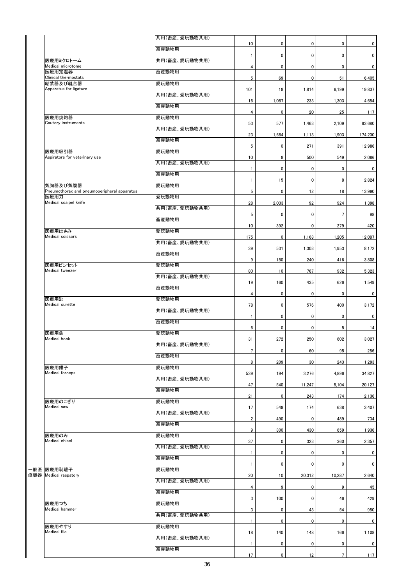| 共用(畜産、愛玩動物共用) |                                                                                                                                                                                                                        |                                                                                                                       |                                                                                                                           |                                                                                                      |                                                                                                                |
|---------------|------------------------------------------------------------------------------------------------------------------------------------------------------------------------------------------------------------------------|-----------------------------------------------------------------------------------------------------------------------|---------------------------------------------------------------------------------------------------------------------------|------------------------------------------------------------------------------------------------------|----------------------------------------------------------------------------------------------------------------|
| 畜産動物用         |                                                                                                                                                                                                                        |                                                                                                                       |                                                                                                                           |                                                                                                      | 0                                                                                                              |
| 共用(畜産、愛玩動物共用) |                                                                                                                                                                                                                        |                                                                                                                       |                                                                                                                           |                                                                                                      | $\mathbf{0}$                                                                                                   |
| 畜産動物用         | 4                                                                                                                                                                                                                      | 0                                                                                                                     |                                                                                                                           |                                                                                                      | $\mathbf{0}$                                                                                                   |
| 愛玩動物用         | 5                                                                                                                                                                                                                      | 69                                                                                                                    | 0                                                                                                                         | 51                                                                                                   | 6,405                                                                                                          |
| 共用(畜産、愛玩動物共用) | 101                                                                                                                                                                                                                    | 18                                                                                                                    | 1,814                                                                                                                     | 6,199                                                                                                | 19,807                                                                                                         |
|               | 16                                                                                                                                                                                                                     | 1,087                                                                                                                 | 233                                                                                                                       | 1,303                                                                                                | 4,654                                                                                                          |
|               | 4                                                                                                                                                                                                                      | 0                                                                                                                     | 20                                                                                                                        | 25                                                                                                   | 117                                                                                                            |
|               | 53                                                                                                                                                                                                                     | 577                                                                                                                   | 1,463                                                                                                                     | 2,109                                                                                                | 93,680                                                                                                         |
|               | 23                                                                                                                                                                                                                     | 1,684                                                                                                                 | 1,113                                                                                                                     | 1,903                                                                                                | 174,200                                                                                                        |
|               | $\,$ 5 $\,$                                                                                                                                                                                                            | 0                                                                                                                     | 271                                                                                                                       | 391                                                                                                  | 12,986                                                                                                         |
|               | 10                                                                                                                                                                                                                     | 8                                                                                                                     | 500                                                                                                                       | 549                                                                                                  | 2,086                                                                                                          |
|               | $\mathbf{1}$                                                                                                                                                                                                           | $\mathbf 0$                                                                                                           | 0                                                                                                                         | 0                                                                                                    | $\mathbf 0$                                                                                                    |
| 畜産動物用         | $\mathbf{1}$                                                                                                                                                                                                           |                                                                                                                       |                                                                                                                           |                                                                                                      | 2,824                                                                                                          |
| 愛玩動物用         |                                                                                                                                                                                                                        |                                                                                                                       |                                                                                                                           |                                                                                                      | 13,990                                                                                                         |
| 愛玩動物用         |                                                                                                                                                                                                                        |                                                                                                                       |                                                                                                                           |                                                                                                      | 1,398                                                                                                          |
| 共用(畜産、愛玩動物共用) |                                                                                                                                                                                                                        |                                                                                                                       |                                                                                                                           |                                                                                                      |                                                                                                                |
| 畜産動物用         |                                                                                                                                                                                                                        |                                                                                                                       |                                                                                                                           |                                                                                                      | 98                                                                                                             |
| 愛玩動物用         |                                                                                                                                                                                                                        |                                                                                                                       |                                                                                                                           |                                                                                                      | 420                                                                                                            |
| 共用(畜産、愛玩動物共用) |                                                                                                                                                                                                                        |                                                                                                                       |                                                                                                                           |                                                                                                      | 12,087                                                                                                         |
| 畜産動物用         |                                                                                                                                                                                                                        | 531                                                                                                                   | 1,303                                                                                                                     | 1,953                                                                                                | 8,172                                                                                                          |
| 愛玩動物用         | 9                                                                                                                                                                                                                      | 150                                                                                                                   | 240                                                                                                                       | 416                                                                                                  | 3,808                                                                                                          |
|               | 80                                                                                                                                                                                                                     | 10                                                                                                                    | 767                                                                                                                       | 932                                                                                                  | 5,323                                                                                                          |
|               | 19                                                                                                                                                                                                                     | 160                                                                                                                   | 435                                                                                                                       | 626                                                                                                  | 1,549                                                                                                          |
|               | 4                                                                                                                                                                                                                      | 0                                                                                                                     | 0                                                                                                                         | 0                                                                                                    | $\mathbf 0$                                                                                                    |
|               | 78                                                                                                                                                                                                                     | 0                                                                                                                     | 576                                                                                                                       | 400                                                                                                  | 3,172                                                                                                          |
|               | $\mathbf{1}$                                                                                                                                                                                                           | 0                                                                                                                     | 0                                                                                                                         | 0                                                                                                    | $\overline{0}$                                                                                                 |
|               | 6                                                                                                                                                                                                                      | $\mathbf 0$                                                                                                           | 0                                                                                                                         | 5                                                                                                    | 14                                                                                                             |
|               | 31                                                                                                                                                                                                                     | 272                                                                                                                   | 250                                                                                                                       | 602                                                                                                  | 3,027                                                                                                          |
|               | $\overline{7}$                                                                                                                                                                                                         | $\pmb{0}$                                                                                                             | 60                                                                                                                        | 95                                                                                                   | 286                                                                                                            |
|               | 8                                                                                                                                                                                                                      | 209                                                                                                                   | 30                                                                                                                        | 243                                                                                                  | 1,293                                                                                                          |
| 愛玩動物用         |                                                                                                                                                                                                                        |                                                                                                                       |                                                                                                                           |                                                                                                      | 34,827                                                                                                         |
| 共用(畜産、愛玩動物共用) |                                                                                                                                                                                                                        |                                                                                                                       |                                                                                                                           |                                                                                                      | 20,127                                                                                                         |
| 畜産動物用         |                                                                                                                                                                                                                        |                                                                                                                       |                                                                                                                           |                                                                                                      | 2,136                                                                                                          |
| 愛玩動物用         |                                                                                                                                                                                                                        |                                                                                                                       |                                                                                                                           |                                                                                                      |                                                                                                                |
| 共用(畜産、愛玩動物共用) |                                                                                                                                                                                                                        |                                                                                                                       |                                                                                                                           |                                                                                                      | 3,407                                                                                                          |
| 畜産動物用         |                                                                                                                                                                                                                        |                                                                                                                       |                                                                                                                           |                                                                                                      | 734                                                                                                            |
| 愛玩動物用         |                                                                                                                                                                                                                        |                                                                                                                       |                                                                                                                           |                                                                                                      | 1,936                                                                                                          |
| 共用(畜産、愛玩動物共用) | 37                                                                                                                                                                                                                     | 0                                                                                                                     | 323                                                                                                                       | 360                                                                                                  | 2,357                                                                                                          |
| 畜産動物用         | $\mathbf{1}$                                                                                                                                                                                                           | $\mathbf 0$                                                                                                           | 0                                                                                                                         | 0                                                                                                    | $\mathbf{0}$                                                                                                   |
| 愛玩動物用         | $\mathbf{1}$                                                                                                                                                                                                           | 0                                                                                                                     | 0                                                                                                                         | 0                                                                                                    | $\mathbf 0$                                                                                                    |
|               | 20                                                                                                                                                                                                                     | 10                                                                                                                    | 20,312                                                                                                                    | 10,287                                                                                               | 2,640                                                                                                          |
|               | 4                                                                                                                                                                                                                      | 9                                                                                                                     | 0                                                                                                                         | 9                                                                                                    | 45                                                                                                             |
|               | 3                                                                                                                                                                                                                      | 100                                                                                                                   | 0                                                                                                                         | 46                                                                                                   | 429                                                                                                            |
|               | 3                                                                                                                                                                                                                      | 0                                                                                                                     | 43                                                                                                                        | 54                                                                                                   | 950                                                                                                            |
|               | $\mathbf{1}$                                                                                                                                                                                                           | 0                                                                                                                     | 0                                                                                                                         | 0                                                                                                    | $\mathbf 0$                                                                                                    |
| 愛玩動物用         | 18                                                                                                                                                                                                                     | 140                                                                                                                   | 148                                                                                                                       | 166                                                                                                  | 1,108                                                                                                          |
| 共用(畜産、愛玩動物共用) |                                                                                                                                                                                                                        | 0                                                                                                                     | 0                                                                                                                         | 0                                                                                                    | $\mathbf 0$                                                                                                    |
|               |                                                                                                                                                                                                                        |                                                                                                                       |                                                                                                                           |                                                                                                      |                                                                                                                |
|               | 畜産動物用<br>愛玩動物用<br>共用(畜産、愛玩動物共用)<br>畜産動物用<br>愛玩動物用<br>共用(畜産、愛玩動物共用)<br>共用(畜産、愛玩動物共用)<br>畜産動物用<br>愛玩動物用<br>共用(畜産、愛玩動物共用)<br>畜産動物用<br>愛玩動物用<br>共用(畜産、愛玩動物共用)<br>畜産動物用<br>共用(畜産、愛玩動物共用)<br>畜産動物用<br>愛玩動物用<br>共用(畜産、愛玩動物共用) | 10<br>$\mathbf{1}$<br>5<br>28<br>5<br>10<br>175<br>39<br>539<br>47<br>21<br>17<br>$\overline{2}$<br>9<br>$\mathbf{1}$ | $\mathbf 0$<br>$\mathbf 0$<br>15<br>0<br>2,033<br>$\mathbf 0$<br>392<br>$\pmb{0}$<br>194<br>540<br>0<br>549<br>490<br>300 | 0<br>0<br>$\pmb{0}$<br>0<br>12<br>92<br>0<br>0<br>1,168<br>3,276<br>11,247<br>243<br>174<br>0<br>430 | 0<br>0<br>0<br>8<br>18<br>924<br>$7\overline{ }$<br>279<br>1,205<br>4,896<br>5,104<br>174<br>638<br>489<br>659 |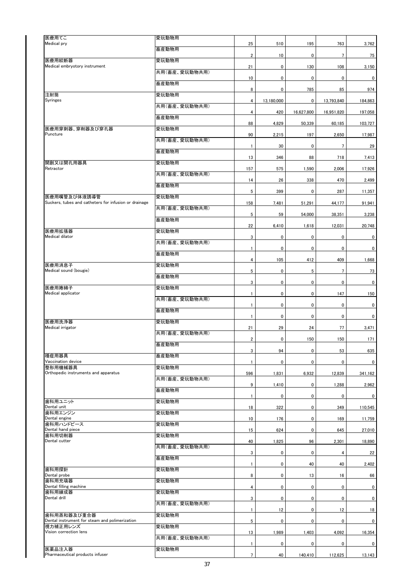| 医療用てこ                                                 | 愛玩動物用         |                         |             |             |                 |                |
|-------------------------------------------------------|---------------|-------------------------|-------------|-------------|-----------------|----------------|
| Medical pry                                           | 畜産動物用         | 25                      | 510         | 195         | 763             | 3,762          |
| 医療用絞断器                                                | 愛玩動物用         | $\boldsymbol{2}$        | 10          | $\pmb{0}$   | $\overline{7}$  | 75             |
| Medical embryotory instrument<br>注射筒<br>Syringes      | 共用(畜産、愛玩動物共用) | 21                      | 0           | 130         | 108             | 3,150          |
|                                                       | 畜産動物用         | 10                      | 0           | $\pmb{0}$   | 0               | $\mathbf{0}$   |
|                                                       | 愛玩動物用         | 8                       | 0           | 785         | 85              | 974            |
|                                                       | 共用(畜産、愛玩動物共用) | 4                       | 13,180,000  | 0           | 13,793,840      | 184,863        |
|                                                       | 畜産動物用         | 4                       | 420         | 16,627,800  | 16,951,820      | 197,058        |
| 医療用穿刺器、穿削器及び穿孔器                                       | 愛玩動物用         | 88                      | 4,829       | 50,339      | 60,185          | 103,727        |
| Puncture                                              | 共用(畜産、愛玩動物共用) | 90                      | 2,215       | 197         | 2,650           | 17,987         |
|                                                       | 畜産動物用         | 1                       | 30          | $\pmb{0}$   | $7\overline{ }$ | 29             |
| 開創又は開孔用器具                                             | 愛玩動物用         | 13                      | 346         | 88          | 718             | 7,413          |
| Retractor                                             | 共用(畜産、愛玩動物共用) | 157                     | 575         | 1,590       | 2,006           | 17,926         |
|                                                       | 畜産動物用         | 14                      | 26          | 338         | 470             | 2,499          |
| 医療用嘴管及び体液誘導管                                          |               | 5                       | 399         | $\pmb{0}$   | 287             | 11,357         |
| Suckers, tubes and catheters for infusion or drainage | 愛玩動物用         | 158                     | 7,481       | 51,291      | 44,177          | 91,941         |
|                                                       | 共用(畜産、愛玩動物共用) | 5                       | 59          | 54,000      | 38,351          | 3,238          |
|                                                       | 畜産動物用         | 22                      | 6,410       | 1,618       | 12,031          | 20,748         |
| 医療用拡張器<br>Medical dilator                             | 愛玩動物用         | 3                       | 0           | $\pmb{0}$   | 0               | $\mathbf{0}$   |
|                                                       | 共用(畜産、愛玩動物共用) | 1                       | $\mathbf 0$ | $\pmb{0}$   | 0               | $\mathbf{0}$   |
|                                                       | 畜産動物用         | 4                       | 105         | 412         | 409             | 1,668          |
| 医療用消息子<br>Medical sound (bougie)                      | 愛玩動物用         | 5                       | 0           | 5           | $7\overline{ }$ | 73             |
|                                                       | 畜産動物用         | 3                       | 0           | 0           | 0               | $\mathbf{0}$   |
| 医療用捲綿子<br>Medical applicator                          | 愛玩動物用         | $\mathbf{1}$            | 0           | $\pmb{0}$   | 147             | 150            |
|                                                       | 共用(畜産、愛玩動物共用) | $\mathbf{1}$            | 0           | 0           | $\mathbf 0$     | $\overline{0}$ |
|                                                       | 畜産動物用         | $\mathbf{1}$            | 0           | $\pmb{0}$   | 0               | $\overline{0}$ |
| 医療用洗浄器<br>Medical irrigator                           | 愛玩動物用         | 21                      | 29          | 24          | 77              | 3,471          |
|                                                       | 共用(畜産、愛玩動物共用) | $\overline{\mathbf{2}}$ | 0           | 150         | 150             | 171            |
|                                                       | 畜産動物用         | 3                       | 94          | $\pmb{0}$   | 53              | 635            |
| 種痘用器具<br>Vaccination device                           | 畜産動物用         |                         |             |             |                 |                |
| 整形用機械器具                                               | 愛玩動物用         | 1                       | 0           | $\pmb{0}$   | 0               | $\mathbf{0}$   |
| Orthopedic instruments and apparatus                  | 共用(畜産、愛玩動物共用) | 596                     | 1,831       | 6,932       | 12,839          | 341,162        |
|                                                       | 畜産動物用         | 9                       | 1,410       | 0           | 1,288           | 2,962          |
| 歯科用ユニット                                               | 愛玩動物用         | $\mathbf{1}$            | 0           | 0           | 0               | $\mathbf{0}$   |
| Dental unit<br>歯科用エンジン                                | 愛玩動物用         | 18                      | 322         | $\pmb{0}$   | 349             | 110,545        |
| Dental engine<br>歯科用ハンドピース                            | 愛玩動物用         | 10                      | 176         | $\pmb{0}$   | 169             | 11,759         |
| Dental hand piece<br>歯科用切削器                           | 愛玩動物用         | 15                      | 624         | 0           | 645             | 27,010         |
| Dental cutter                                         | 共用(畜産、愛玩動物共用) | 40                      | 1,825       | 96          | 2,301           | 18,890         |
|                                                       | 畜産動物用         | 3                       | 0           | $\pmb{0}$   | 4               | 22             |
| 歯科用探針                                                 | 愛玩動物用         | $\mathbf{1}$            | 0           | 40          | 40              | 2,402          |
| Dental probe<br>歯科用充填器                                | 愛玩動物用         | 8                       | 0           | 13          | 16              | 66             |
| Dental filling machine<br>歯科用練成器                      | 愛玩動物用         | 4                       | 0           | 0           | 0               | $\overline{0}$ |
| Dental drill                                          | 共用(畜産、愛玩動物共用) | 3                       | 0           | $\pmb{0}$   | 0               | $\overline{0}$ |
| 歯科用蒸和器及び重合器                                           |               | $\mathbf{1}$            | 12          | $\mathbf 0$ | 12              | 18             |
| Dental instrument for steam and polimerization        | 愛玩動物用         | 5                       | 0           | $\pmb{0}$   | 0               | $\mathbf{0}$   |
| 視力補正用レンズ<br>Vision correction lens                    | 愛玩動物用         | 13                      | 1,989       | 1,403       | 4,092           | 16,354         |
|                                                       | 共用(畜産、愛玩動物共用) | $\mathbf{1}$            | 0           | 0           | 0               | $\overline{0}$ |
| 医薬品注入器<br>Pharmaceutical products infuser             | 愛玩動物用         | $7^{\circ}$             | 40          | 140,410     | 112,625         | 13,143         |